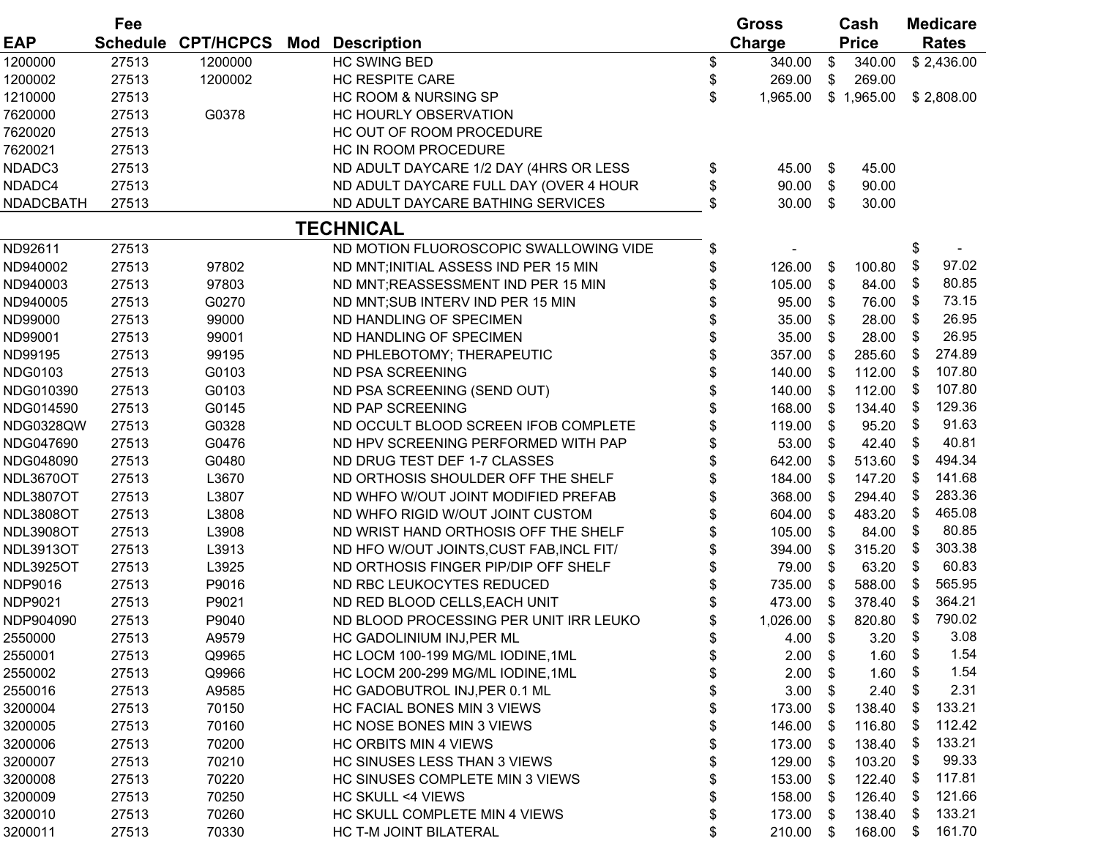|                  | Fee             | <b>CPT/HCPCS</b><br><b>Description</b><br>Mod |  | <b>Gross</b>                             |    | Cash      | <b>Medicare</b> |              |    |              |
|------------------|-----------------|-----------------------------------------------|--|------------------------------------------|----|-----------|-----------------|--------------|----|--------------|
| <b>EAP</b>       | <b>Schedule</b> |                                               |  |                                          |    | Charge    |                 | <b>Price</b> |    | <b>Rates</b> |
| 1200000          | 27513           | 1200000                                       |  | <b>HC SWING BED</b>                      | \$ | 340.00    | \$              | 340.00       |    | \$2,436.00   |
| 1200002          | 27513           | 1200002                                       |  | <b>HC RESPITE CARE</b>                   | \$ | 269.00    | \$              | 269.00       |    |              |
| 1210000          | 27513           |                                               |  | <b>HC ROOM &amp; NURSING SP</b>          | \$ | 1,965.00  |                 | \$1,965.00   |    | \$2,808.00   |
| 7620000          | 27513           | G0378                                         |  | HC HOURLY OBSERVATION                    |    |           |                 |              |    |              |
| 7620020          | 27513           |                                               |  | HC OUT OF ROOM PROCEDURE                 |    |           |                 |              |    |              |
| 7620021          | 27513           |                                               |  | HC IN ROOM PROCEDURE                     |    |           |                 |              |    |              |
| NDADC3           | 27513           |                                               |  | ND ADULT DAYCARE 1/2 DAY (4HRS OR LESS   | \$ | 45.00     | \$              | 45.00        |    |              |
| NDADC4           | 27513           |                                               |  | ND ADULT DAYCARE FULL DAY (OVER 4 HOUR   | \$ | 90.00     | $\$\$           | 90.00        |    |              |
| NDADCBATH        | 27513           |                                               |  | ND ADULT DAYCARE BATHING SERVICES        | \$ | 30.00     | \$              | 30.00        |    |              |
|                  |                 |                                               |  | <b>TECHNICAL</b>                         |    |           |                 |              |    |              |
| ND92611          | 27513           |                                               |  | ND MOTION FLUOROSCOPIC SWALLOWING VIDE   | \$ |           |                 |              | \$ |              |
| ND940002         | 27513           | 97802                                         |  | ND MNT; INITIAL ASSESS IND PER 15 MIN    | \$ | 126.00    | \$              | 100.80       | \$ | 97.02        |
| ND940003         | 27513           | 97803                                         |  | ND MNT; REASSESSMENT IND PER 15 MIN      |    | 105.00    | \$              | 84.00        | \$ | 80.85        |
| ND940005         | 27513           | G0270                                         |  | ND MNT; SUB INTERV IND PER 15 MIN        | \$ | 95.00     | \$              | 76.00        | \$ | 73.15        |
| ND99000          | 27513           | 99000                                         |  | ND HANDLING OF SPECIMEN                  | \$ | 35.00     | \$              | 28.00        | \$ | 26.95        |
| ND99001          | 27513           | 99001                                         |  | ND HANDLING OF SPECIMEN                  | \$ | 35.00     | \$              | 28.00        | \$ | 26.95        |
| ND99195          | 27513           | 99195                                         |  | ND PHLEBOTOMY; THERAPEUTIC               | \$ | 357.00    | \$              | 285.60       | \$ | 274.89       |
| <b>NDG0103</b>   | 27513           | G0103                                         |  | ND PSA SCREENING                         | \$ | 140.00    | \$              | 112.00       | \$ | 107.80       |
| NDG010390        | 27513           | G0103                                         |  | ND PSA SCREENING (SEND OUT)              | \$ | 140.00    | \$              | 112.00       | \$ | 107.80       |
| NDG014590        | 27513           | G0145                                         |  | ND PAP SCREENING                         |    | 168.00    | \$              | 134.40       | \$ | 129.36       |
| NDG0328QW        | 27513           | G0328                                         |  | ND OCCULT BLOOD SCREEN IFOB COMPLETE     |    | 119.00    | \$              | 95.20        | \$ | 91.63        |
| NDG047690        | 27513           | G0476                                         |  | ND HPV SCREENING PERFORMED WITH PAP      | \$ | 53.00     | \$              | 42.40        | \$ | 40.81        |
| NDG048090        | 27513           | G0480                                         |  | ND DRUG TEST DEF 1-7 CLASSES             | \$ | 642.00    | $\$\$           | 513.60       | \$ | 494.34       |
| NDL3670OT        | 27513           | L3670                                         |  | ND ORTHOSIS SHOULDER OFF THE SHELF       | \$ | 184.00    | \$              | 147.20       | \$ | 141.68       |
| NDL3807OT        | 27513           | L3807                                         |  | ND WHFO W/OUT JOINT MODIFIED PREFAB      | \$ | 368.00    | \$              | 294.40       | \$ | 283.36       |
| NDL3808OT        | 27513           | L3808                                         |  | ND WHFO RIGID W/OUT JOINT CUSTOM         | \$ | 604.00    | \$              | 483.20       | \$ | 465.08       |
| NDL3908OT        | 27513           | L3908                                         |  | ND WRIST HAND ORTHOSIS OFF THE SHELF     | \$ | 105.00    | \$              | 84.00        | \$ | 80.85        |
| <b>NDL3913OT</b> | 27513           | L3913                                         |  | ND HFO W/OUT JOINTS, CUST FAB, INCL FIT/ | \$ | 394.00    | \$              | 315.20       | \$ | 303.38       |
| NDL3925OT        | 27513           | L3925                                         |  | ND ORTHOSIS FINGER PIP/DIP OFF SHELF     | \$ | 79.00     | \$              | 63.20        | \$ | 60.83        |
| NDP9016          | 27513           | P9016                                         |  | ND RBC LEUKOCYTES REDUCED                | \$ | 735.00    | \$              | 588.00       | \$ | 565.95       |
| NDP9021          | 27513           | P9021                                         |  | ND RED BLOOD CELLS, EACH UNIT            |    | 473.00    | \$              | 378.40       | S  | 364.21       |
| NDP904090        | 27513           | P9040                                         |  | ND BLOOD PROCESSING PER UNIT IRR LEUKO   | \$ | 1,026.00  | \$              | 820.80       | \$ | 790.02       |
| 2550000          | 27513           | A9579                                         |  | HC GADOLINIUM INJ, PER ML                | \$ | $4.00$ \$ |                 | 3.20         | \$ | 3.08         |
| 2550001          | 27513           | Q9965                                         |  | HC LOCM 100-199 MG/ML IODINE, 1ML        | \$ | 2.00      | \$              | 1.60         | \$ | 1.54         |
| 2550002          | 27513           | Q9966                                         |  | HC LOCM 200-299 MG/ML IODINE, 1ML        | \$ | 2.00      | \$              | 1.60         |    | 1.54         |
| 2550016          | 27513           | A9585                                         |  | HC GADOBUTROL INJ, PER 0.1 ML            | \$ | 3.00      | S.              | 2.40         | \$ | 2.31         |
| 3200004          | 27513           | 70150                                         |  | HC FACIAL BONES MIN 3 VIEWS              | \$ | 173.00    | S               | 138.40       | \$ | 133.21       |
| 3200005          | 27513           | 70160                                         |  | HC NOSE BONES MIN 3 VIEWS                |    | 146.00    | \$              | 116.80       | \$ | 112.42       |
|                  |                 |                                               |  |                                          | \$ |           |                 |              | \$ | 133.21       |
| 3200006          | 27513           | 70200                                         |  | <b>HC ORBITS MIN 4 VIEWS</b>             | \$ | 173.00    | \$              | 138.40       |    | 99.33        |
| 3200007          | 27513           | 70210                                         |  | HC SINUSES LESS THAN 3 VIEWS             | \$ | 129.00    | \$              | 103.20       | \$ | 117.81       |
| 3200008          | 27513           | 70220                                         |  | HC SINUSES COMPLETE MIN 3 VIEWS          | \$ | 153.00    | \$              | 122.40       | \$ |              |
| 3200009          | 27513           | 70250                                         |  | HC SKULL <4 VIEWS                        | \$ | 158.00    | S               | 126.40       | \$ | 121.66       |
| 3200010          | 27513           | 70260                                         |  | HC SKULL COMPLETE MIN 4 VIEWS            | \$ | 173.00    | S.              | 138.40       | \$ | 133.21       |
| 3200011          | 27513           | 70330                                         |  | HC T-M JOINT BILATERAL                   | \$ | 210.00    | \$              | 168.00       | \$ | 161.70       |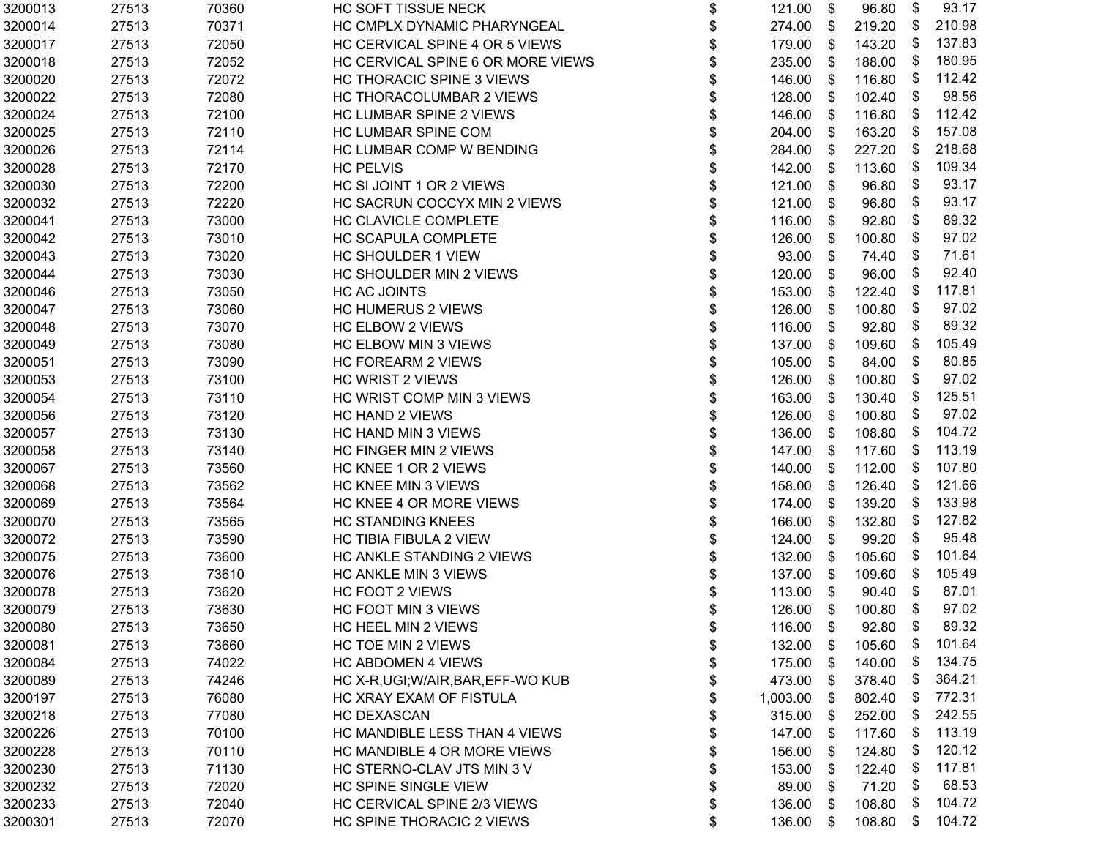| 3200013 | 27513 | 70360 | HC SOFT TISSUE NECK                 | \$<br>121.00    | \$   | 96.80  | \$                        | 93.17  |
|---------|-------|-------|-------------------------------------|-----------------|------|--------|---------------------------|--------|
| 3200014 | 27513 | 70371 | HC CMPLX DYNAMIC PHARYNGEAL         | \$<br>274.00    | \$   | 219.20 | \$                        | 210.98 |
| 3200017 | 27513 | 72050 | HC CERVICAL SPINE 4 OR 5 VIEWS      | \$<br>179.00    | \$   | 143.20 | \$                        | 137.83 |
| 3200018 | 27513 | 72052 | HC CERVICAL SPINE 6 OR MORE VIEWS   | \$<br>235.00    | \$   | 188.00 | \$                        | 180.95 |
| 3200020 | 27513 | 72072 | <b>HC THORACIC SPINE 3 VIEWS</b>    | \$<br>146.00    | S    | 116.80 | \$                        | 112.42 |
| 3200022 | 27513 | 72080 | HC THORACOLUMBAR 2 VIEWS            | \$<br>128.00    | \$   | 102.40 | \$                        | 98.56  |
| 3200024 | 27513 | 72100 | HC LUMBAR SPINE 2 VIEWS             | \$<br>146.00    | S    | 116.80 | \$                        | 112.42 |
| 3200025 | 27513 | 72110 | HC LUMBAR SPINE COM                 | \$<br>204.00    | \$   | 163.20 | \$                        | 157.08 |
| 3200026 | 27513 | 72114 | HC LUMBAR COMP W BENDING            | \$<br>284.00    | \$   | 227.20 | \$                        | 218.68 |
| 3200028 | 27513 | 72170 | <b>HC PELVIS</b>                    | \$<br>142.00    | \$   | 113.60 | \$                        | 109.34 |
| 3200030 | 27513 | 72200 | HC SI JOINT 1 OR 2 VIEWS            | \$<br>121.00    | \$   | 96.80  | \$                        | 93.17  |
| 3200032 | 27513 | 72220 | HC SACRUN COCCYX MIN 2 VIEWS        | \$<br>121.00    | \$   | 96.80  | \$                        | 93.17  |
| 3200041 | 27513 | 73000 | HC CLAVICLE COMPLETE                | \$<br>116.00    | \$   | 92.80  | \$                        | 89.32  |
| 3200042 | 27513 | 73010 | HC SCAPULA COMPLETE                 | \$<br>126.00    | \$   | 100.80 | \$                        | 97.02  |
| 3200043 | 27513 | 73020 | HC SHOULDER 1 VIEW                  | \$<br>93.00     | \$   | 74.40  | \$                        | 71.61  |
| 3200044 | 27513 | 73030 | HC SHOULDER MIN 2 VIEWS             | \$<br>120.00    | \$   | 96.00  | \$                        | 92.40  |
| 3200046 | 27513 | 73050 | <b>HC AC JOINTS</b>                 | \$<br>153.00    | \$   | 122.40 | \$                        | 117.81 |
| 3200047 | 27513 | 73060 | <b>HC HUMERUS 2 VIEWS</b>           | \$<br>126.00    | \$   | 100.80 | \$                        | 97.02  |
| 3200048 | 27513 | 73070 | <b>HC ELBOW 2 VIEWS</b>             | \$<br>116.00    | \$   | 92.80  | \$                        | 89.32  |
| 3200049 | 27513 | 73080 | HC ELBOW MIN 3 VIEWS                | \$<br>137.00    | \$   | 109.60 | \$                        | 105.49 |
| 3200051 | 27513 | 73090 | <b>HC FOREARM 2 VIEWS</b>           | \$<br>105.00    | S    | 84.00  | \$                        | 80.85  |
| 3200053 | 27513 | 73100 | <b>HC WRIST 2 VIEWS</b>             | \$<br>126.00    | \$   | 100.80 | \$                        | 97.02  |
| 3200054 | 27513 | 73110 | HC WRIST COMP MIN 3 VIEWS           | \$<br>163.00    | \$   | 130.40 | \$                        | 125.51 |
| 3200056 | 27513 | 73120 | <b>HC HAND 2 VIEWS</b>              | \$<br>126.00    | \$   | 100.80 | \$                        | 97.02  |
| 3200057 | 27513 | 73130 | HC HAND MIN 3 VIEWS                 | \$<br>136.00    | \$   | 108.80 | \$                        | 104.72 |
| 3200058 | 27513 | 73140 | <b>HC FINGER MIN 2 VIEWS</b>        | \$<br>147.00    | -\$  | 117.60 | \$                        | 113.19 |
| 3200067 | 27513 | 73560 | HC KNEE 1 OR 2 VIEWS                | \$<br>140.00    | \$   | 112.00 | \$                        | 107.80 |
| 3200068 | 27513 | 73562 | HC KNEE MIN 3 VIEWS                 | \$<br>158.00    | \$   | 126.40 | \$                        | 121.66 |
| 3200069 | 27513 | 73564 | HC KNEE 4 OR MORE VIEWS             | \$<br>174.00    | \$   | 139.20 | \$                        | 133.98 |
| 3200070 | 27513 | 73565 | <b>HC STANDING KNEES</b>            | \$<br>166.00    | \$   | 132.80 | \$                        | 127.82 |
| 3200072 | 27513 | 73590 | HC TIBIA FIBULA 2 VIEW              | \$<br>124.00    | S    | 99.20  | \$                        | 95.48  |
| 3200075 | 27513 | 73600 | HC ANKLE STANDING 2 VIEWS           | \$<br>132.00    | \$   | 105.60 | \$                        | 101.64 |
| 3200076 | 27513 | 73610 | HC ANKLE MIN 3 VIEWS                | \$<br>137.00    | \$   | 109.60 | \$                        | 105.49 |
| 3200078 | 27513 | 73620 | HC FOOT 2 VIEWS                     | \$<br>113.00    | \$   | 90.40  | \$                        | 87.01  |
| 3200079 | 27513 | 73630 | HC FOOT MIN 3 VIEWS                 | \$<br>126.00    | \$   | 100.80 | \$                        | 97.02  |
| 3200080 | 27513 | 73650 | HC HEEL MIN 2 VIEWS                 | \$<br>116.00 \$ |      | 92.80  | $\boldsymbol{\mathsf{S}}$ | 89.32  |
| 3200081 | 27513 | 73660 | HC TOE MIN 2 VIEWS                  | \$<br>132.00    | \$   | 105.60 | \$                        | 101.64 |
| 3200084 | 27513 | 74022 | <b>HC ABDOMEN 4 VIEWS</b>           | \$<br>175.00    | \$   | 140.00 | \$                        | 134.75 |
| 3200089 | 27513 | 74246 | HC X-R, UGI; W/AIR, BAR, EFF-WO KUB | \$<br>473.00    | \$   | 378.40 | \$                        | 364.21 |
| 3200197 | 27513 | 76080 | HC XRAY EXAM OF FISTULA             | \$<br>1,003.00  | \$   | 802.40 | \$                        | 772.31 |
| 3200218 | 27513 | 77080 | <b>HC DEXASCAN</b>                  | \$<br>315.00    | \$   | 252.00 | \$                        | 242.55 |
| 3200226 | 27513 | 70100 | HC MANDIBLE LESS THAN 4 VIEWS       | \$<br>147.00    | - \$ | 117.60 | \$                        | 113.19 |
| 3200228 | 27513 | 70110 | HC MANDIBLE 4 OR MORE VIEWS         | \$<br>156.00    | -S   | 124.80 | \$                        | 120.12 |
| 3200230 | 27513 | 71130 | HC STERNO-CLAV JTS MIN 3 V          | \$<br>153.00    | -S   | 122.40 | \$                        | 117.81 |
| 3200232 | 27513 | 72020 | HC SPINE SINGLE VIEW                | \$<br>89.00     | S.   | 71.20  | \$                        | 68.53  |
| 3200233 | 27513 | 72040 | HC CERVICAL SPINE 2/3 VIEWS         | \$<br>136.00    | -S   | 108.80 | \$                        | 104.72 |
| 3200301 | 27513 | 72070 | HC SPINE THORACIC 2 VIEWS           | \$<br>136.00    | \$   | 108.80 | \$                        | 104.72 |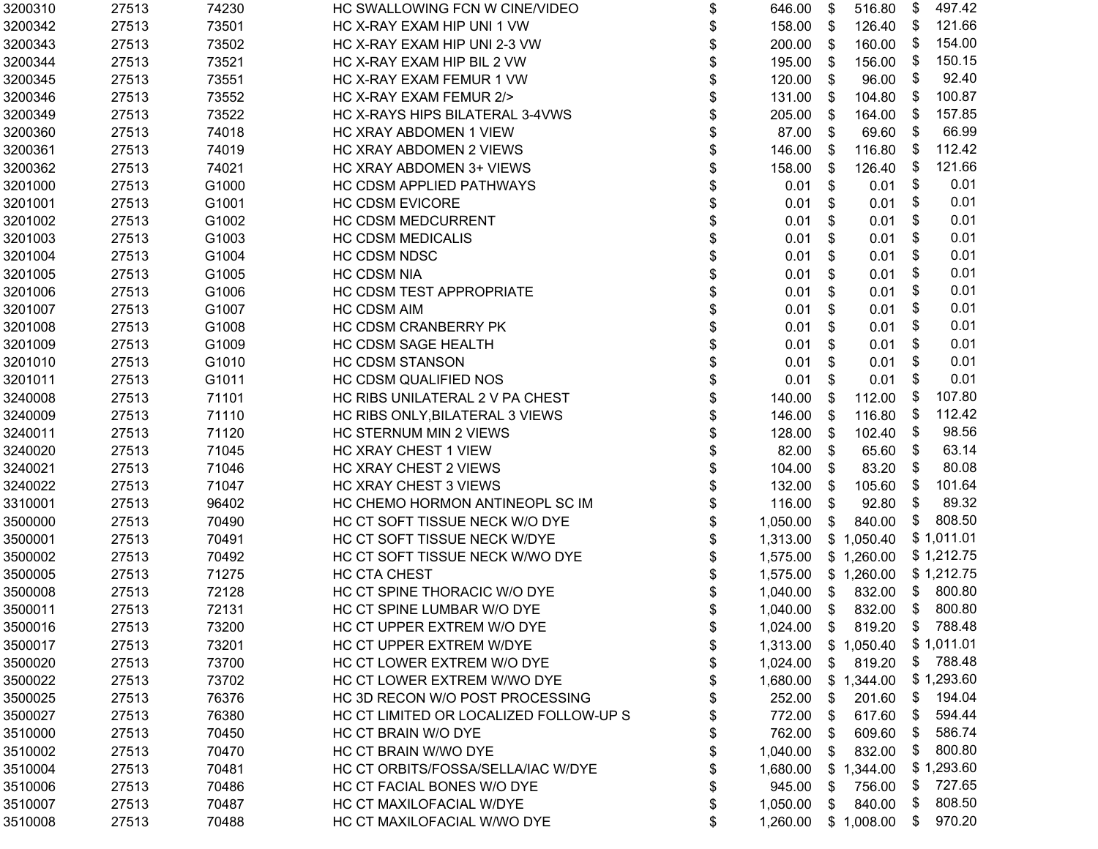| 3200310 | 27513 | 74230 | HC SWALLOWING FCN W CINE/VIDEO         | \$ | 646.00                       | \$ | 516.80     | \$   | 497.42     |
|---------|-------|-------|----------------------------------------|----|------------------------------|----|------------|------|------------|
| 3200342 | 27513 | 73501 | HC X-RAY EXAM HIP UNI 1 VW             | \$ | 158.00                       | \$ | 126.40     | - \$ | 121.66     |
| 3200343 | 27513 | 73502 | HC X-RAY EXAM HIP UNI 2-3 VW           | \$ | 200.00                       | \$ | 160.00     | - \$ | 154.00     |
| 3200344 | 27513 | 73521 | HC X-RAY EXAM HIP BIL 2 VW             | \$ | 195.00                       | \$ | 156.00     | - \$ | 150.15     |
| 3200345 | 27513 | 73551 | HC X-RAY EXAM FEMUR 1 VW               | \$ | 120.00                       | \$ | 96.00      | \$   | 92.40      |
| 3200346 | 27513 | 73552 | HC X-RAY EXAM FEMUR 2/>                | \$ | 131.00                       | \$ | 104.80     | - \$ | 100.87     |
| 3200349 | 27513 | 73522 | HC X-RAYS HIPS BILATERAL 3-4VWS        | \$ | 205.00                       | \$ | 164.00     | - \$ | 157.85     |
| 3200360 | 27513 | 74018 | HC XRAY ABDOMEN 1 VIEW                 | \$ | 87.00                        | \$ | 69.60      | \$   | 66.99      |
| 3200361 | 27513 | 74019 | HC XRAY ABDOMEN 2 VIEWS                | \$ | 146.00                       | \$ | 116.80     | - \$ | 112.42     |
| 3200362 | 27513 | 74021 | HC XRAY ABDOMEN 3+ VIEWS               | \$ | 158.00                       | \$ | 126.40     | -\$  | 121.66     |
| 3201000 | 27513 | G1000 | HC CDSM APPLIED PATHWAYS               | \$ | 0.01                         | \$ | 0.01       | \$   | 0.01       |
| 3201001 | 27513 | G1001 | <b>HC CDSM EVICORE</b>                 | \$ | 0.01                         | \$ | 0.01       | \$   | 0.01       |
| 3201002 | 27513 | G1002 | HC CDSM MEDCURRENT                     | \$ | 0.01                         | \$ | 0.01       | \$   | 0.01       |
| 3201003 | 27513 | G1003 | <b>HC CDSM MEDICALIS</b>               | \$ | 0.01                         | \$ | 0.01       | \$   | 0.01       |
| 3201004 | 27513 | G1004 | <b>HC CDSM NDSC</b>                    | \$ | 0.01                         | \$ | 0.01       | \$   | 0.01       |
| 3201005 | 27513 | G1005 | <b>HC CDSM NIA</b>                     | \$ | 0.01                         | \$ | 0.01       | \$   | 0.01       |
| 3201006 | 27513 | G1006 | HC CDSM TEST APPROPRIATE               | \$ | 0.01                         | \$ | 0.01       | S    | 0.01       |
| 3201007 | 27513 | G1007 | <b>HC CDSM AIM</b>                     | \$ | 0.01                         | \$ | 0.01       | \$   | 0.01       |
| 3201008 | 27513 | G1008 | HC CDSM CRANBERRY PK                   | \$ | 0.01                         | \$ | 0.01       | \$   | 0.01       |
| 3201009 | 27513 | G1009 | HC CDSM SAGE HEALTH                    | \$ | 0.01                         | \$ | 0.01       | \$   | 0.01       |
| 3201010 | 27513 | G1010 | <b>HC CDSM STANSON</b>                 | \$ | 0.01                         | \$ | 0.01       | \$   | 0.01       |
| 3201011 | 27513 | G1011 | HC CDSM QUALIFIED NOS                  | \$ | 0.01                         | \$ | 0.01       | \$   | 0.01       |
| 3240008 | 27513 | 71101 | HC RIBS UNILATERAL 2 V PA CHEST        | \$ | 140.00                       | \$ | 112.00     | - \$ | 107.80     |
| 3240009 | 27513 | 71110 | HC RIBS ONLY, BILATERAL 3 VIEWS        | \$ | 146.00                       | \$ | 116.80     | - \$ | 112.42     |
| 3240011 | 27513 | 71120 | HC STERNUM MIN 2 VIEWS                 | \$ | 128.00                       | \$ | 102.40     | \$   | 98.56      |
| 3240020 | 27513 | 71045 | HC XRAY CHEST 1 VIEW                   | \$ | 82.00                        | \$ | 65.60      | \$   | 63.14      |
| 3240021 | 27513 | 71046 | HC XRAY CHEST 2 VIEWS                  | \$ | 104.00                       | \$ | 83.20      | -\$  | 80.08      |
| 3240022 | 27513 | 71047 | HC XRAY CHEST 3 VIEWS                  | \$ | 132.00                       | \$ | 105.60     | - \$ | 101.64     |
| 3310001 | 27513 | 96402 | HC CHEMO HORMON ANTINEOPL SC IM        | \$ | 116.00                       | \$ | 92.80      | \$   | 89.32      |
| 3500000 | 27513 | 70490 | HC CT SOFT TISSUE NECK W/O DYE         | \$ | 1,050.00                     | \$ | 840.00     | \$   | 808.50     |
| 3500001 | 27513 | 70491 | HC CT SOFT TISSUE NECK W/DYE           | \$ | 1,313.00                     |    | \$1,050.40 |      | \$1,011.01 |
| 3500002 | 27513 | 70492 | HC CT SOFT TISSUE NECK W/WO DYE        |    | 1,575.00                     |    | \$1,260.00 |      | \$1,212.75 |
| 3500005 | 27513 | 71275 | HC CTA CHEST                           | \$ | 1,575.00                     |    | \$1,260.00 |      | \$1,212.75 |
| 3500008 | 27513 | 72128 | HC CT SPINE THORACIC W/O DYE           |    | 1,040.00                     | \$ | 832.00     |      | \$ 800.80  |
| 3500011 | 27513 | 72131 | HC CT SPINE LUMBAR W/O DYE             | \$ | 1,040.00                     | \$ | 832.00 \$  |      | 800.80     |
| 3500016 | 27513 | 73200 | HC CT UPPER EXTREM W/O DYE             | Φ  | 1,024.00 \$ 819.20 \$ 788.48 |    |            |      |            |
| 3500017 | 27513 | 73201 | HC CT UPPER EXTREM W/DYE               | \$ | 1,313.00                     |    | \$1,050.40 |      | \$1,011.01 |
| 3500020 | 27513 | 73700 | HC CT LOWER EXTREM W/O DYE             | \$ | 1,024.00                     | \$ | 819.20     | \$   | 788.48     |
| 3500022 | 27513 | 73702 | HC CT LOWER EXTREM W/WO DYE            | \$ | 1,680.00                     |    | \$1,344.00 |      | \$1,293.60 |
| 3500025 | 27513 | 76376 | HC 3D RECON W/O POST PROCESSING        | \$ | 252.00                       | \$ | 201.60     | \$   | 194.04     |
| 3500027 | 27513 | 76380 | HC CT LIMITED OR LOCALIZED FOLLOW-UP S | \$ | 772.00                       | \$ | 617.60     | - \$ | 594.44     |
| 3510000 | 27513 | 70450 | HC CT BRAIN W/O DYE                    | \$ | 762.00                       | \$ | 609.60     | \$   | 586.74     |
| 3510002 | 27513 | 70470 | HC CT BRAIN W/WO DYE                   | \$ | 1,040.00                     | \$ | 832.00     | \$   | 800.80     |
| 3510004 | 27513 | 70481 | HC CT ORBITS/FOSSA/SELLA/IAC W/DYE     | \$ | 1,680.00                     |    | \$1,344.00 |      | \$1,293.60 |
| 3510006 | 27513 | 70486 | HC CT FACIAL BONES W/O DYE             | \$ | 945.00                       | S  | 756.00     | \$   | 727.65     |
| 3510007 | 27513 | 70487 | HC CT MAXILOFACIAL W/DYE               | \$ | 1,050.00                     | \$ | 840.00     | \$   | 808.50     |
| 3510008 | 27513 | 70488 | HC CT MAXILOFACIAL W/WO DYE            | \$ | 1,260.00                     |    | \$1,008.00 | \$   | 970.20     |
|         |       |       |                                        |    |                              |    |            |      |            |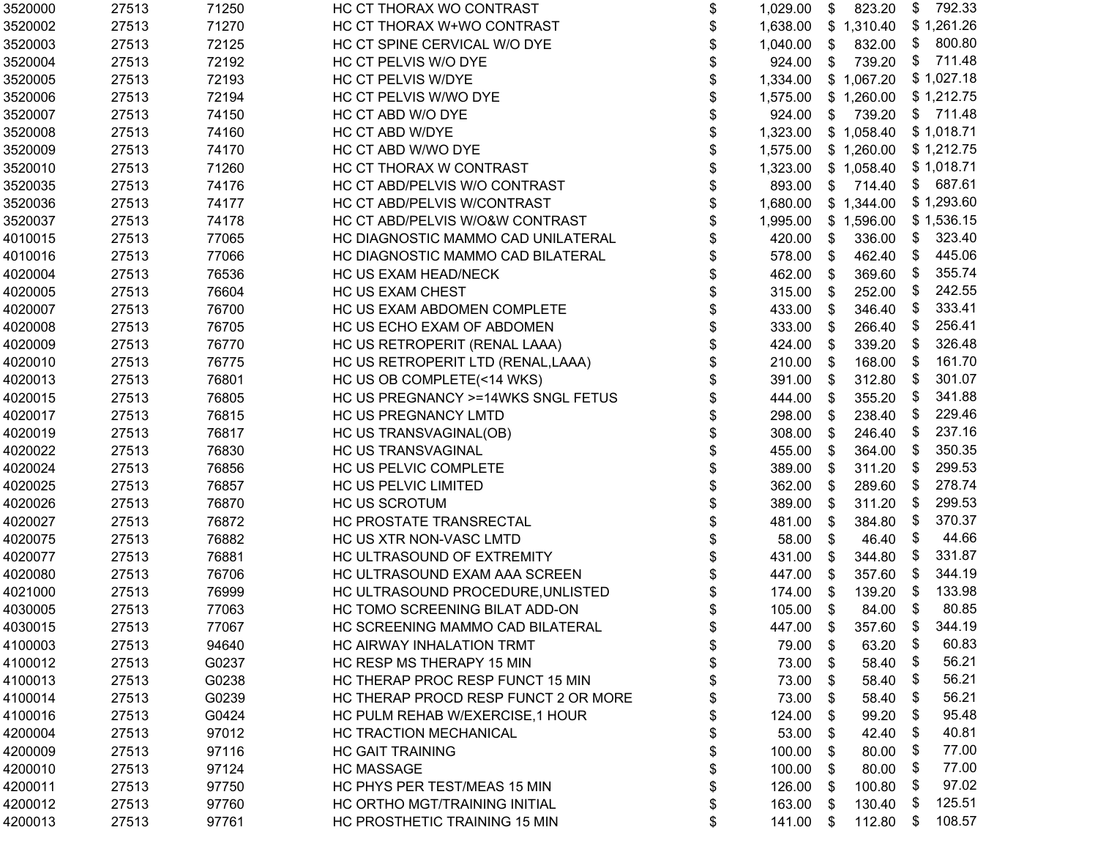| 3520000 | 27513 | 71250 | HC CT THORAX WO CONTRAST             | \$<br>1,029.00  | \$                        | 823.20           | \$   | 792.33     |
|---------|-------|-------|--------------------------------------|-----------------|---------------------------|------------------|------|------------|
| 3520002 | 27513 | 71270 | HC CT THORAX W+WO CONTRAST           | \$<br>1,638.00  |                           | \$1,310.40       |      | \$1,261.26 |
| 3520003 | 27513 | 72125 | HC CT SPINE CERVICAL W/O DYE         | \$<br>1,040.00  | $\sqrt[6]{2}$             | 832.00           | \$   | 800.80     |
| 3520004 | 27513 | 72192 | HC CT PELVIS W/O DYE                 | \$<br>924.00    | \$                        | 739.20           | \$   | 711.48     |
| 3520005 | 27513 | 72193 | HC CT PELVIS W/DYE                   | \$<br>1,334.00  |                           | \$1,067.20       |      | \$1,027.18 |
| 3520006 | 27513 | 72194 | HC CT PELVIS W/WO DYE                | 1,575.00        |                           | \$1,260.00       |      | \$1,212.75 |
| 3520007 | 27513 | 74150 | HC CT ABD W/O DYE                    | 924.00          | S.                        | 739.20           |      | \$711.48   |
| 3520008 | 27513 | 74160 | HC CT ABD W/DYE                      | 1,323.00        |                           | \$1,058.40       |      | \$1,018.71 |
| 3520009 | 27513 | 74170 | HC CT ABD W/WO DYE                   | 1,575.00        |                           | \$1,260.00       |      | \$1,212.75 |
| 3520010 | 27513 | 71260 | HC CT THORAX W CONTRAST              | 1,323.00        |                           | \$1,058.40       |      | \$1,018.71 |
| 3520035 | 27513 | 74176 | HC CT ABD/PELVIS W/O CONTRAST        | \$<br>893.00    | $\boldsymbol{\mathsf{S}}$ | 714.40           |      | \$687.61   |
| 3520036 | 27513 | 74177 | HC CT ABD/PELVIS W/CONTRAST          | \$<br>1,680.00  |                           | \$1,344.00       |      | \$1,293.60 |
| 3520037 | 27513 | 74178 | HC CT ABD/PELVIS W/O&W CONTRAST      | \$<br>1,995.00  |                           | \$1,596.00       |      | \$1,536.15 |
| 4010015 | 27513 | 77065 | HC DIAGNOSTIC MAMMO CAD UNILATERAL   | 420.00          | \$                        | 336.00           | \$   | 323.40     |
| 4010016 | 27513 | 77066 | HC DIAGNOSTIC MAMMO CAD BILATERAL    | 578.00          | \$                        | 462.40           | \$   | 445.06     |
| 4020004 | 27513 | 76536 | HC US EXAM HEAD/NECK                 | 462.00          | \$                        | 369.60           | -\$  | 355.74     |
| 4020005 | 27513 | 76604 | HC US EXAM CHEST                     | \$<br>315.00    | \$                        | 252.00           | \$   | 242.55     |
| 4020007 | 27513 | 76700 | HC US EXAM ABDOMEN COMPLETE          | \$<br>433.00    | \$                        | 346.40           | \$   | 333.41     |
| 4020008 | 27513 | 76705 | HC US ECHO EXAM OF ABDOMEN           | \$<br>333.00    | \$                        | 266.40           | \$   | 256.41     |
| 4020009 | 27513 | 76770 | HC US RETROPERIT (RENAL LAAA)        | \$<br>424.00    | \$                        | 339.20           | \$   | 326.48     |
| 4020010 | 27513 | 76775 | HC US RETROPERIT LTD (RENAL, LAAA)   | \$<br>210.00    | \$                        | 168.00           | - \$ | 161.70     |
| 4020013 | 27513 | 76801 | HC US OB COMPLETE(<14 WKS)           | \$<br>391.00    | \$                        | 312.80           | \$   | 301.07     |
| 4020015 | 27513 | 76805 | HC US PREGNANCY >=14WKS SNGL FETUS   | 444.00          | \$                        | 355.20           | \$   | 341.88     |
| 4020017 | 27513 | 76815 | HC US PREGNANCY LMTD                 | 298.00          | \$                        | 238.40           | \$   | 229.46     |
| 4020019 | 27513 | 76817 | HC US TRANSVAGINAL(OB)               | \$<br>308.00    | \$                        | 246.40           | -\$  | 237.16     |
| 4020022 | 27513 | 76830 | HC US TRANSVAGINAL                   | \$<br>455.00    | \$                        | 364.00           | -\$  | 350.35     |
| 4020024 | 27513 | 76856 | HC US PELVIC COMPLETE                | \$<br>389.00    | \$                        | 311.20           | \$   | 299.53     |
| 4020025 | 27513 | 76857 | HC US PELVIC LIMITED                 | \$<br>362.00    | \$                        | 289.60           | \$   | 278.74     |
| 4020026 | 27513 | 76870 | <b>HC US SCROTUM</b>                 | \$<br>389.00    | \$                        | 311.20           | -\$  | 299.53     |
| 4020027 | 27513 | 76872 | HC PROSTATE TRANSRECTAL              | \$<br>481.00    | \$                        | 384.80           | \$   | 370.37     |
| 4020075 | 27513 | 76882 | HC US XTR NON-VASC LMTD              | 58.00           | \$                        | 46.40            | \$   | 44.66      |
| 4020077 | 27513 | 76881 | HC ULTRASOUND OF EXTREMITY           | 431.00          | \$                        | 344.80           | \$   | 331.87     |
| 4020080 | 27513 | 76706 | HC ULTRASOUND EXAM AAA SCREEN        | 447.00          | \$                        | 357.60           | \$   | 344.19     |
| 4021000 | 27513 | 76999 | HC ULTRASOUND PROCEDURE, UNLISTED    | 174.00          | \$                        | 139.20           | -\$  | 133.98     |
| 4030005 | 27513 | 77063 | HC TOMO SCREENING BILAT ADD-ON       | \$<br>105.00 \$ |                           | 84.00            | \$   | 80.85      |
| 4030015 | 27513 | 77067 | HC SCREENING MAMMO CAD BILATERAL     | \$<br>447.00 \$ |                           | 357.60 \$ 344.19 |      |            |
| 4100003 | 27513 | 94640 | HC AIRWAY INHALATION TRMT            | \$<br>79.00     | \$                        | 63.20            | \$   | 60.83      |
| 4100012 | 27513 | G0237 | HC RESP MS THERAPY 15 MIN            | 73.00           | -S                        | 58.40            | \$   | 56.21      |
| 4100013 | 27513 | G0238 | HC THERAP PROC RESP FUNCT 15 MIN     | \$<br>73.00     | \$                        | 58.40            | \$   | 56.21      |
| 4100014 | 27513 | G0239 | HC THERAP PROCD RESP FUNCT 2 OR MORE | 73.00           | S                         | 58.40            | \$   | 56.21      |
| 4100016 | 27513 | G0424 | HC PULM REHAB W/EXERCISE, 1 HOUR     | \$<br>124.00    | S                         | 99.20            | \$   | 95.48      |
| 4200004 | 27513 | 97012 | HC TRACTION MECHANICAL               | \$<br>53.00     | \$                        | 42.40            | \$   | 40.81      |
| 4200009 | 27513 | 97116 | <b>HC GAIT TRAINING</b>              | \$<br>100.00    | \$                        | 80.00            | \$   | 77.00      |
| 4200010 | 27513 | 97124 | <b>HC MASSAGE</b>                    | \$<br>100.00    | S                         | 80.00            | \$   | 77.00      |
| 4200011 | 27513 | 97750 | HC PHYS PER TEST/MEAS 15 MIN         | \$<br>126.00    | \$                        | 100.80           | \$   | 97.02      |
| 4200012 | 27513 | 97760 | HC ORTHO MGT/TRAINING INITIAL        | \$<br>163.00    | S.                        | 130.40           | \$   | 125.51     |
| 4200013 | 27513 | 97761 | HC PROSTHETIC TRAINING 15 MIN        | \$<br>141.00    | \$                        | 112.80           | \$   | 108.57     |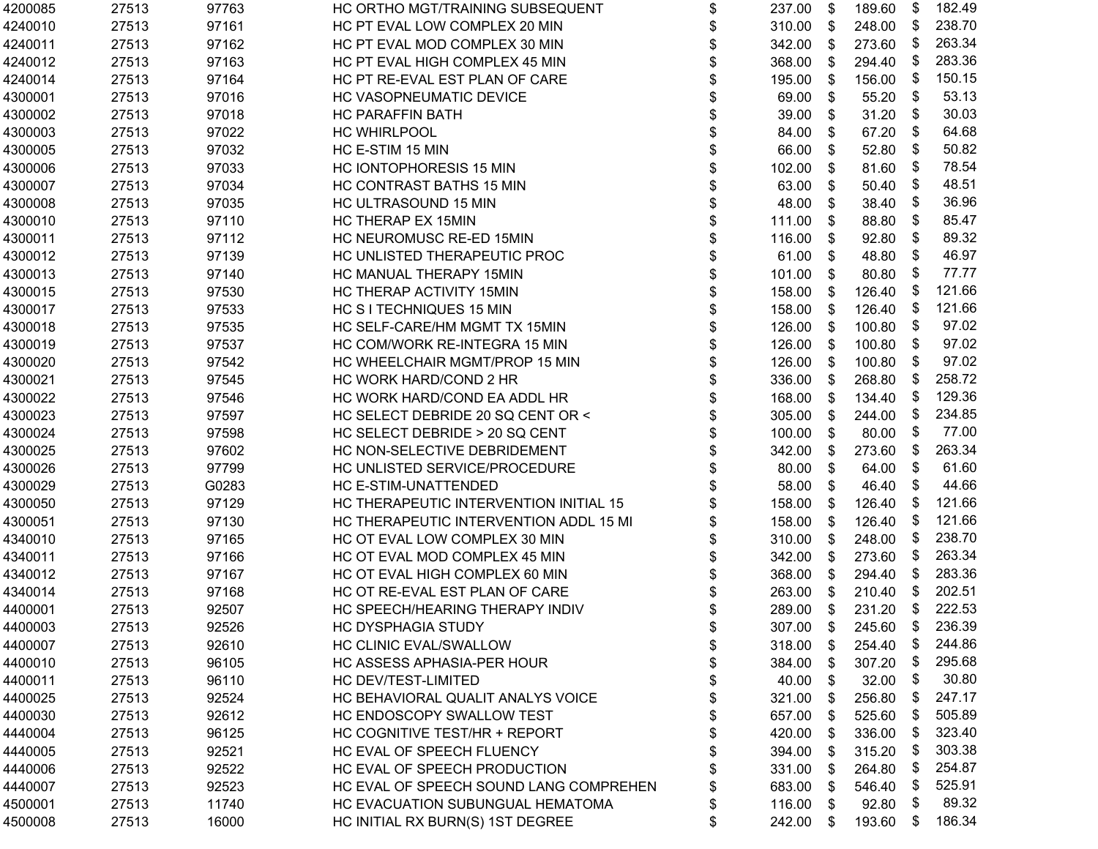| 4200085 | 27513 | 97763 | HC ORTHO MGT/TRAINING SUBSEQUENT       | \$<br>237.00    | \$                        | 189.60 | \$   | 182.49   |
|---------|-------|-------|----------------------------------------|-----------------|---------------------------|--------|------|----------|
| 4240010 | 27513 | 97161 | HC PT EVAL LOW COMPLEX 20 MIN          | \$<br>310.00    | \$                        | 248.00 | \$   | 238.70   |
| 4240011 | 27513 | 97162 | HC PT EVAL MOD COMPLEX 30 MIN          | \$<br>342.00    | \$                        | 273.60 | - \$ | 263.34   |
| 4240012 | 27513 | 97163 | HC PT EVAL HIGH COMPLEX 45 MIN         | \$<br>368.00    | \$                        | 294.40 | - \$ | 283.36   |
| 4240014 | 27513 | 97164 | HC PT RE-EVAL EST PLAN OF CARE         | \$<br>195.00    | \$                        | 156.00 | \$   | 150.15   |
| 4300001 | 27513 | 97016 | <b>HC VASOPNEUMATIC DEVICE</b>         | 69.00           | \$                        | 55.20  | \$   | 53.13    |
| 4300002 | 27513 | 97018 | <b>HC PARAFFIN BATH</b>                | 39.00           | \$                        | 31.20  | \$   | 30.03    |
| 4300003 | 27513 | 97022 | <b>HC WHIRLPOOL</b>                    | \$<br>84.00     | \$                        | 67.20  | \$   | 64.68    |
| 4300005 | 27513 | 97032 | HC E-STIM 15 MIN                       | \$<br>66.00     | \$                        | 52.80  | \$   | 50.82    |
| 4300006 | 27513 | 97033 | HC IONTOPHORESIS 15 MIN                | \$<br>102.00    | \$                        | 81.60  | \$   | 78.54    |
| 4300007 | 27513 | 97034 | HC CONTRAST BATHS 15 MIN               | \$<br>63.00     | \$                        | 50.40  | \$   | 48.51    |
| 4300008 | 27513 | 97035 | HC ULTRASOUND 15 MIN                   | \$<br>48.00     | \$                        | 38.40  | \$   | 36.96    |
| 4300010 | 27513 | 97110 | HC THERAP EX 15MIN                     | \$<br>111.00    | \$                        | 88.80  | \$   | 85.47    |
| 4300011 | 27513 | 97112 | HC NEUROMUSC RE-ED 15MIN               | 116.00          | \$                        | 92.80  | - \$ | 89.32    |
| 4300012 | 27513 | 97139 | HC UNLISTED THERAPEUTIC PROC           | 61.00           | \$                        | 48.80  | - \$ | 46.97    |
| 4300013 | 27513 | 97140 | HC MANUAL THERAPY 15MIN                | \$<br>101.00    | \$                        | 80.80  | - \$ | 77.77    |
| 4300015 | 27513 | 97530 | HC THERAP ACTIVITY 15MIN               | \$<br>158.00    | \$                        | 126.40 | \$   | 121.66   |
| 4300017 | 27513 | 97533 | HC S I TECHNIQUES 15 MIN               | \$<br>158.00    | \$                        | 126.40 | - \$ | 121.66   |
| 4300018 | 27513 | 97535 | HC SELF-CARE/HM MGMT TX 15MIN          | \$<br>126.00    | \$                        | 100.80 | \$   | 97.02    |
| 4300019 | 27513 | 97537 | HC COM/WORK RE-INTEGRA 15 MIN          | \$<br>126.00    | \$                        | 100.80 | S    | 97.02    |
| 4300020 | 27513 | 97542 | HC WHEELCHAIR MGMT/PROP 15 MIN         | \$<br>126.00    | S                         | 100.80 | \$   | 97.02    |
| 4300021 | 27513 | 97545 | HC WORK HARD/COND 2 HR                 | \$<br>336.00    | \$                        | 268.80 | -\$  | 258.72   |
| 4300022 | 27513 | 97546 | HC WORK HARD/COND EA ADDL HR           | \$<br>168.00    | \$                        | 134.40 | - \$ | 129.36   |
| 4300023 | 27513 | 97597 | HC SELECT DEBRIDE 20 SQ CENT OR <      | \$<br>305.00    | \$                        | 244.00 | \$   | 234.85   |
| 4300024 | 27513 | 97598 | HC SELECT DEBRIDE > 20 SQ CENT         | \$<br>100.00    | \$                        | 80.00  | - \$ | 77.00    |
| 4300025 | 27513 | 97602 | HC NON-SELECTIVE DEBRIDEMENT           | \$<br>342.00    | $\boldsymbol{\mathsf{S}}$ | 273.60 | - \$ | 263.34   |
| 4300026 | 27513 | 97799 | HC UNLISTED SERVICE/PROCEDURE          | \$<br>80.00     | \$                        | 64.00  | - \$ | 61.60    |
| 4300029 | 27513 | G0283 | HC E-STIM-UNATTENDED                   | \$<br>58.00     | \$                        | 46.40  | \$   | 44.66    |
| 4300050 | 27513 | 97129 | HC THERAPEUTIC INTERVENTION INITIAL 15 | \$<br>158.00    | \$                        | 126.40 | \$   | 121.66   |
| 4300051 | 27513 | 97130 | HC THERAPEUTIC INTERVENTION ADDL 15 MI | 158.00          | \$                        | 126.40 | - \$ | 121.66   |
| 4340010 | 27513 | 97165 | HC OT EVAL LOW COMPLEX 30 MIN          | \$<br>310.00    | \$                        | 248.00 | - \$ | 238.70   |
| 4340011 | 27513 | 97166 | HC OT EVAL MOD COMPLEX 45 MIN          | \$<br>342.00    | \$                        | 273.60 | - \$ | 263.34   |
| 4340012 | 27513 | 97167 | HC OT EVAL HIGH COMPLEX 60 MIN         | \$<br>368.00    | \$                        | 294.40 | - \$ | 283.36   |
| 4340014 | 27513 | 97168 | HC OT RE-EVAL EST PLAN OF CARE         | \$<br>263.00    | -\$                       | 210.40 | - \$ | 202.51   |
| 4400001 | 27513 | 92507 | HC SPEECH/HEARING THERAPY INDIV        | \$<br>289.00    | \$                        | 231.20 | \$   | 222.53   |
| 4400003 | 27513 | 92526 | HC DYSPHAGIA STUDY                     | \$<br>307.00 \$ |                           | 245.60 |      | \$236.39 |
| 4400007 | 27513 | 92610 | HC CLINIC EVAL/SWALLOW                 | \$<br>318.00    | \$                        | 254.40 | \$   | 244.86   |
| 4400010 | 27513 | 96105 | HC ASSESS APHASIA-PER HOUR             | \$<br>384.00    | \$                        | 307.20 | - \$ | 295.68   |
| 4400011 | 27513 | 96110 | HC DEV/TEST-LIMITED                    | \$<br>40.00     | \$                        | 32.00  | \$   | 30.80    |
| 4400025 | 27513 | 92524 | HC BEHAVIORAL QUALIT ANALYS VOICE      | \$<br>321.00    | \$                        | 256.80 | \$   | 247.17   |
| 4400030 | 27513 | 92612 | HC ENDOSCOPY SWALLOW TEST              | \$<br>657.00    | \$                        | 525.60 | - \$ | 505.89   |
| 4440004 | 27513 | 96125 | HC COGNITIVE TEST/HR + REPORT          | \$<br>420.00    | S                         | 336.00 | - \$ | 323.40   |
| 4440005 | 27513 | 92521 | HC EVAL OF SPEECH FLUENCY              | \$<br>394.00    | \$                        | 315.20 | - \$ | 303.38   |
| 4440006 | 27513 | 92522 | HC EVAL OF SPEECH PRODUCTION           | \$<br>331.00    | \$                        | 264.80 | - \$ | 254.87   |
| 4440007 | 27513 | 92523 | HC EVAL OF SPEECH SOUND LANG COMPREHEN | \$<br>683.00    | S                         | 546.40 | \$   | 525.91   |
| 4500001 | 27513 | 11740 | HC EVACUATION SUBUNGUAL HEMATOMA       | \$<br>116.00    | S.                        | 92.80  | \$   | 89.32    |
| 4500008 | 27513 | 16000 | HC INITIAL RX BURN(S) 1ST DEGREE       | \$<br>242.00    | S                         | 193.60 | \$   | 186.34   |
|         |       |       |                                        |                 |                           |        |      |          |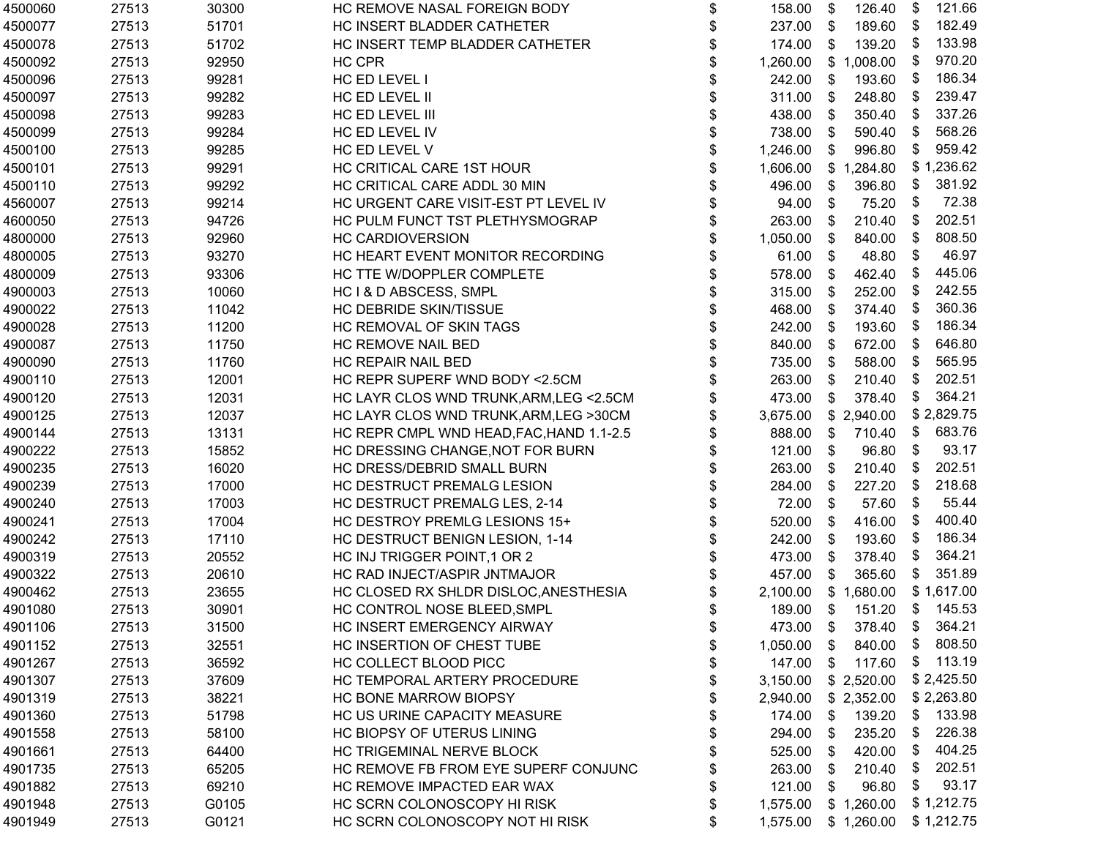| 4500060 | 27513 | 30300 | HC REMOVE NASAL FOREIGN BODY             | \$<br>158.00   | \$<br>126.40            | \$<br>121.66 |
|---------|-------|-------|------------------------------------------|----------------|-------------------------|--------------|
| 4500077 | 27513 | 51701 | HC INSERT BLADDER CATHETER               | \$<br>237.00   | 189.60<br>\$            | 182.49<br>\$ |
| 4500078 | 27513 | 51702 | HC INSERT TEMP BLADDER CATHETER          | \$<br>174.00   | \$<br>139.20            | 133.98<br>\$ |
| 4500092 | 27513 | 92950 | HC CPR                                   | \$<br>1,260.00 | \$1,008.00              | 970.20<br>\$ |
| 4500096 | 27513 | 99281 | HC ED LEVEL I                            | \$<br>242.00   | 193.60<br>- \$          | 186.34<br>\$ |
| 4500097 | 27513 | 99282 | HC ED LEVEL II                           | \$<br>311.00   | 248.80<br>\$            | 239.47<br>\$ |
| 4500098 | 27513 | 99283 | HC ED LEVEL III                          | \$<br>438.00   | 350.40<br>\$            | 337.26<br>\$ |
| 4500099 | 27513 | 99284 | HC ED LEVEL IV                           | \$<br>738.00   | \$<br>590.40            | 568.26<br>\$ |
| 4500100 | 27513 | 99285 | HC ED LEVEL V                            | \$<br>1,246.00 | $\sqrt[6]{3}$<br>996.80 | 959.42<br>\$ |
| 4500101 | 27513 | 99291 | HC CRITICAL CARE 1ST HOUR                | \$<br>1,606.00 | \$1,284.80              | \$1,236.62   |
| 4500110 | 27513 | 99292 | HC CRITICAL CARE ADDL 30 MIN             | \$<br>496.00   | \$<br>396.80            | 381.92<br>\$ |
| 4560007 | 27513 | 99214 | HC URGENT CARE VISIT-EST PT LEVEL IV     | \$<br>94.00    | \$<br>75.20             | \$<br>72.38  |
| 4600050 | 27513 | 94726 | HC PULM FUNCT TST PLETHYSMOGRAP          | \$<br>263.00   | 210.40<br>\$            | 202.51<br>\$ |
| 4800000 | 27513 | 92960 | <b>HC CARDIOVERSION</b>                  | \$<br>1,050.00 | 840.00<br>\$            | 808.50<br>\$ |
| 4800005 | 27513 | 93270 | HC HEART EVENT MONITOR RECORDING         | \$<br>61.00    | 48.80<br>\$             | 46.97<br>\$  |
| 4800009 | 27513 | 93306 | HC TTE W/DOPPLER COMPLETE                | \$<br>578.00   | \$<br>462.40            | 445.06<br>\$ |
| 4900003 | 27513 | 10060 | HC I & D ABSCESS, SMPL                   | \$<br>315.00   | 252.00<br>\$            | 242.55<br>\$ |
| 4900022 | 27513 | 11042 | HC DEBRIDE SKIN/TISSUE                   | \$<br>468.00   | 374.40<br>\$            | 360.36<br>\$ |
| 4900028 | 27513 | 11200 | HC REMOVAL OF SKIN TAGS                  | \$<br>242.00   | 193.60<br>\$            | 186.34<br>\$ |
| 4900087 | 27513 | 11750 | HC REMOVE NAIL BED                       | \$<br>840.00   | 672.00<br>\$            | 646.80<br>\$ |
| 4900090 | 27513 | 11760 | HC REPAIR NAIL BED                       | \$<br>735.00   | 588.00<br>\$            | 565.95<br>\$ |
| 4900110 | 27513 | 12001 | HC REPR SUPERF WND BODY < 2.5CM          | \$<br>263.00   | 210.40<br>\$            | 202.51<br>\$ |
| 4900120 | 27513 | 12031 | HC LAYR CLOS WND TRUNK, ARM, LEG < 2.5CM | \$<br>473.00   | 378.40<br>\$            | 364.21<br>\$ |
| 4900125 | 27513 | 12037 | HC LAYR CLOS WND TRUNK, ARM, LEG > 30CM  | \$<br>3,675.00 | \$2,940.00              | \$2,829.75   |
| 4900144 | 27513 | 13131 | HC REPR CMPL WND HEAD, FAC, HAND 1.1-2.5 | \$<br>888.00   | \$<br>710.40            | 683.76<br>\$ |
| 4900222 | 27513 | 15852 | HC DRESSING CHANGE, NOT FOR BURN         | \$<br>121.00   | \$<br>96.80             | 93.17<br>\$  |
| 4900235 | 27513 | 16020 | HC DRESS/DEBRID SMALL BURN               | \$<br>263.00   | 210.40<br>\$            | 202.51<br>\$ |
| 4900239 | 27513 | 17000 | HC DESTRUCT PREMALG LESION               | \$<br>284.00   | 227.20<br>\$            | 218.68<br>\$ |
| 4900240 | 27513 | 17003 | HC DESTRUCT PREMALG LES, 2-14            | \$<br>72.00    | 57.60<br>\$             | 55.44<br>\$  |
| 4900241 | 27513 | 17004 | HC DESTROY PREMLG LESIONS 15+            | \$<br>520.00   | 416.00<br>\$            | 400.40<br>\$ |
| 4900242 | 27513 | 17110 | HC DESTRUCT BENIGN LESION, 1-14          | \$<br>242.00   | 193.60<br>\$            | 186.34<br>\$ |
| 4900319 | 27513 | 20552 | HC INJ TRIGGER POINT, 1 OR 2             | \$<br>473.00   | \$<br>378.40            | 364.21<br>\$ |
| 4900322 | 27513 | 20610 | HC RAD INJECT/ASPIR JNTMAJOR             | \$<br>457.00   | \$<br>365.60            | 351.89<br>\$ |
| 4900462 | 27513 | 23655 | HC CLOSED RX SHLDR DISLOC, ANESTHESIA    | \$<br>2,100.00 | \$1,680.00              | \$1,617.00   |
| 4901080 | 27513 | 30901 | HC CONTROL NOSE BLEED, SMPL              | \$<br>189.00   | \$<br>151.20            | \$145.53     |
| 4901106 | 27513 | 31500 | HC INSERT EMERGENCY AIRWAY               | \$<br>473.00   | 378.40<br>\$            | \$364.21     |
| 4901152 | 27513 | 32551 | HC INSERTION OF CHEST TUBE               | \$<br>1,050.00 | 840.00<br>S             | \$<br>808.50 |
| 4901267 | 27513 | 36592 | HC COLLECT BLOOD PICC                    | \$<br>147.00   | 117.60<br>S.            | 113.19<br>\$ |
| 4901307 | 27513 | 37609 | HC TEMPORAL ARTERY PROCEDURE             | \$<br>3,150.00 | \$2,520.00              | \$2,425.50   |
| 4901319 | 27513 | 38221 | HC BONE MARROW BIOPSY                    | \$<br>2,940.00 | \$2,352.00              | \$2,263.80   |
| 4901360 | 27513 | 51798 | HC US URINE CAPACITY MEASURE             | \$<br>174.00   | 139.20<br>\$            | 133.98<br>\$ |
| 4901558 | 27513 | 58100 | HC BIOPSY OF UTERUS LINING               | \$<br>294.00   | 235.20<br>S             | 226.38<br>\$ |
| 4901661 | 27513 | 64400 | HC TRIGEMINAL NERVE BLOCK                | \$<br>525.00   | 420.00<br>\$            | 404.25<br>\$ |
| 4901735 | 27513 | 65205 | HC REMOVE FB FROM EYE SUPERF CONJUNC     | \$<br>263.00   | 210.40<br>S.            | 202.51<br>\$ |
| 4901882 | 27513 | 69210 | HC REMOVE IMPACTED EAR WAX               | \$<br>121.00   | 96.80<br>S              | 93.17<br>\$  |
| 4901948 | 27513 | G0105 | HC SCRN COLONOSCOPY HI RISK              | \$<br>1,575.00 | \$1,260.00              | \$1,212.75   |
| 4901949 | 27513 | G0121 | HC SCRN COLONOSCOPY NOT HI RISK          | \$<br>1,575.00 | \$1,260.00              | \$1,212.75   |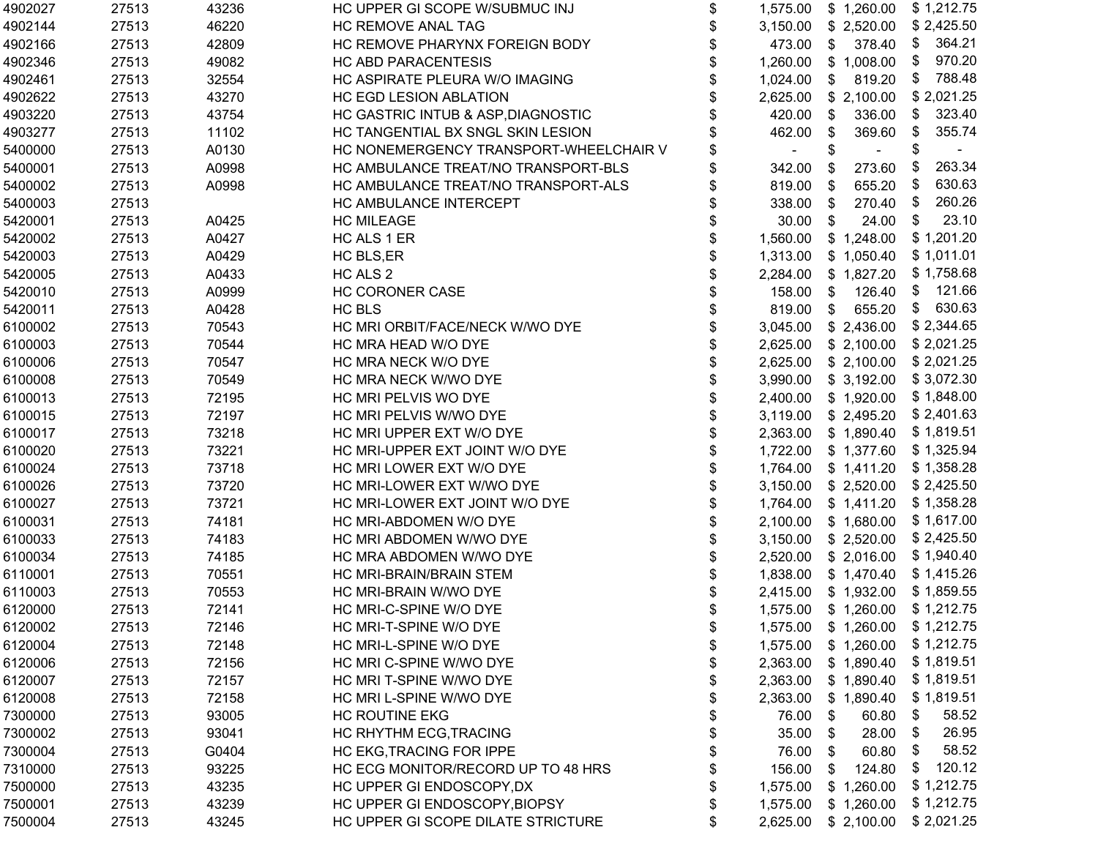| 4902027 | 27513 | 43236 | HC UPPER GI SCOPE W/SUBMUC INJ         | \$ | 1,575.00 | \$1,260.00                       | \$1,212.75   |
|---------|-------|-------|----------------------------------------|----|----------|----------------------------------|--------------|
| 4902144 | 27513 | 46220 | <b>HC REMOVE ANAL TAG</b>              | \$ | 3,150.00 | \$ 2,520.00                      | \$2,425.50   |
| 4902166 | 27513 | 42809 | HC REMOVE PHARYNX FOREIGN BODY         | \$ | 473.00   | 378.40<br>\$                     | 364.21<br>\$ |
| 4902346 | 27513 | 49082 | HC ABD PARACENTESIS                    | \$ | 1,260.00 | \$1,008.00                       | 970.20<br>\$ |
| 4902461 | 27513 | 32554 | HC ASPIRATE PLEURA W/O IMAGING         | \$ | 1,024.00 | 819.20<br>\$                     | 788.48<br>\$ |
| 4902622 | 27513 | 43270 | HC EGD LESION ABLATION                 |    | 2,625.00 | \$2,100.00                       | \$2,021.25   |
| 4903220 | 27513 | 43754 | HC GASTRIC INTUB & ASP, DIAGNOSTIC     |    | 420.00   | 336.00<br>\$                     | 323.40<br>\$ |
| 4903277 | 27513 | 11102 | HC TANGENTIAL BX SNGL SKIN LESION      | \$ | 462.00   | 369.60<br>\$                     | 355.74<br>\$ |
| 5400000 | 27513 | A0130 | HC NONEMERGENCY TRANSPORT-WHEELCHAIR V | \$ | $\sim$   | \$<br>$\sim$                     | \$           |
| 5400001 | 27513 | A0998 | HC AMBULANCE TREAT/NO TRANSPORT-BLS    | \$ | 342.00   | \$<br>273.60                     | 263.34<br>\$ |
| 5400002 | 27513 | A0998 | HC AMBULANCE TREAT/NO TRANSPORT-ALS    | \$ | 819.00   | \$<br>655.20                     | 630.63<br>\$ |
| 5400003 | 27513 |       | HC AMBULANCE INTERCEPT                 | \$ | 338.00   | \$<br>270.40                     | 260.26<br>\$ |
| 5420001 | 27513 | A0425 | <b>HC MILEAGE</b>                      | \$ | 30.00    | \$<br>24.00                      | 23.10<br>\$  |
| 5420002 | 27513 | A0427 | HC ALS 1 ER                            | \$ | 1,560.00 | \$1,248.00                       | \$1,201.20   |
| 5420003 | 27513 | A0429 | HC BLS, ER                             | \$ | 1,313.00 | \$1,050.40                       | \$1,011.01   |
| 5420005 | 27513 | A0433 | HC ALS 2                               | \$ | 2,284.00 | \$1,827.20                       | \$1,758.68   |
| 5420010 | 27513 | A0999 | HC CORONER CASE                        |    | 158.00   | 126.40<br>$\mathfrak{F}$         | \$ 121.66    |
| 5420011 | 27513 | A0428 | HC BLS                                 | \$ | 819.00   | 655.20<br>\$                     | \$630.63     |
| 6100002 | 27513 | 70543 | HC MRI ORBIT/FACE/NECK W/WO DYE        | \$ | 3,045.00 | \$2,436.00                       | \$2,344.65   |
| 6100003 | 27513 | 70544 | HC MRA HEAD W/O DYE                    | \$ | 2,625.00 | \$2,100.00                       | \$2,021.25   |
| 6100006 | 27513 | 70547 | HC MRA NECK W/O DYE                    | \$ | 2,625.00 | \$2,100.00                       | \$2,021.25   |
| 6100008 | 27513 | 70549 | HC MRA NECK W/WO DYE                   | \$ | 3,990.00 | \$3,192.00                       | \$3,072.30   |
| 6100013 | 27513 | 72195 | HC MRI PELVIS WO DYE                   | \$ | 2,400.00 | \$1,920.00                       | \$1,848.00   |
| 6100015 | 27513 | 72197 | HC MRI PELVIS W/WO DYE                 | \$ | 3,119.00 | \$2,495.20                       | \$2,401.63   |
| 6100017 | 27513 | 73218 | HC MRI UPPER EXT W/O DYE               | \$ |          | 2,363.00 \$ 1,890.40             | \$1,819.51   |
| 6100020 | 27513 | 73221 | HC MRI-UPPER EXT JOINT W/O DYE         | \$ | 1,722.00 | \$1,377.60                       | \$1,325.94   |
| 6100024 | 27513 | 73718 | HC MRI LOWER EXT W/O DYE               | \$ | 1,764.00 | \$1,411.20                       | \$1,358.28   |
| 6100026 | 27513 | 73720 | HC MRI-LOWER EXT W/WO DYE              | \$ | 3,150.00 | \$2,520.00                       | \$2,425.50   |
| 6100027 | 27513 | 73721 | HC MRI-LOWER EXT JOINT W/O DYE         | \$ | 1,764.00 | \$1,411.20                       | \$1,358.28   |
| 6100031 | 27513 | 74181 | HC MRI-ABDOMEN W/O DYE                 | \$ | 2,100.00 | \$1,680.00                       | \$1,617.00   |
| 6100033 | 27513 | 74183 | HC MRI ABDOMEN W/WO DYE                | \$ | 3,150.00 | \$2,520.00                       | \$2,425.50   |
| 6100034 | 27513 | 74185 | HC MRA ABDOMEN W/WO DYE                | \$ | 2,520.00 | \$2,016.00                       | \$1,940.40   |
| 6110001 | 27513 | 70551 | HC MRI-BRAIN/BRAIN STEM                | \$ |          | 1,838.00 \$ 1,470.40             | \$1,415.26   |
| 6110003 | 27513 | 70553 | HC MRI-BRAIN W/WO DYE                  | \$ |          | 2,415.00 \$ 1,932.00             | \$1,859.55   |
| 6120000 | 27513 | 72141 | HC MRI-C-SPINE W/O DYE                 | \$ |          | 1,575.00 \$ 1,260.00 \$ 1,212.75 |              |
| 6120002 | 27513 | 72146 | HC MRI-T-SPINE W/O DYE                 | Ψ  | 1,575.00 | \$1,260.00                       | \$1,212.75   |
| 6120004 | 27513 | 72148 | HC MRI-L-SPINE W/O DYE                 | \$ | 1,575.00 | \$1,260.00                       | \$1,212.75   |
| 6120006 | 27513 | 72156 | HC MRI C-SPINE W/WO DYE                | \$ | 2,363.00 | \$1,890.40                       | \$1,819.51   |
| 6120007 | 27513 | 72157 | HC MRI T-SPINE W/WO DYE                | \$ | 2,363.00 | \$1,890.40                       | \$1,819.51   |
| 6120008 | 27513 | 72158 | HC MRI L-SPINE W/WO DYE                | \$ | 2,363.00 | \$1,890.40                       | \$1,819.51   |
| 7300000 | 27513 | 93005 | <b>HC ROUTINE EKG</b>                  | \$ | 76.00    | 60.80<br>\$                      | \$<br>58.52  |
| 7300002 | 27513 | 93041 | HC RHYTHM ECG, TRACING                 | \$ | 35.00    | 28.00<br>\$                      | 26.95<br>\$  |
| 7300004 | 27513 | G0404 | HC EKG, TRACING FOR IPPE               | \$ | 76.00    | 60.80<br>\$                      | 58.52<br>\$  |
| 7310000 | 27513 | 93225 | HC ECG MONITOR/RECORD UP TO 48 HRS     | \$ | 156.00   | 124.80<br>S.                     | 120.12<br>\$ |
| 7500000 | 27513 | 43235 | HC UPPER GI ENDOSCOPY, DX              | \$ | 1,575.00 | \$1,260.00                       | \$1,212.75   |
| 7500001 | 27513 | 43239 | HC UPPER GI ENDOSCOPY, BIOPSY          | \$ | 1,575.00 | \$1,260.00                       | \$1,212.75   |
| 7500004 | 27513 | 43245 | HC UPPER GI SCOPE DILATE STRICTURE     | \$ | 2,625.00 | \$2,100.00                       | \$2,021.25   |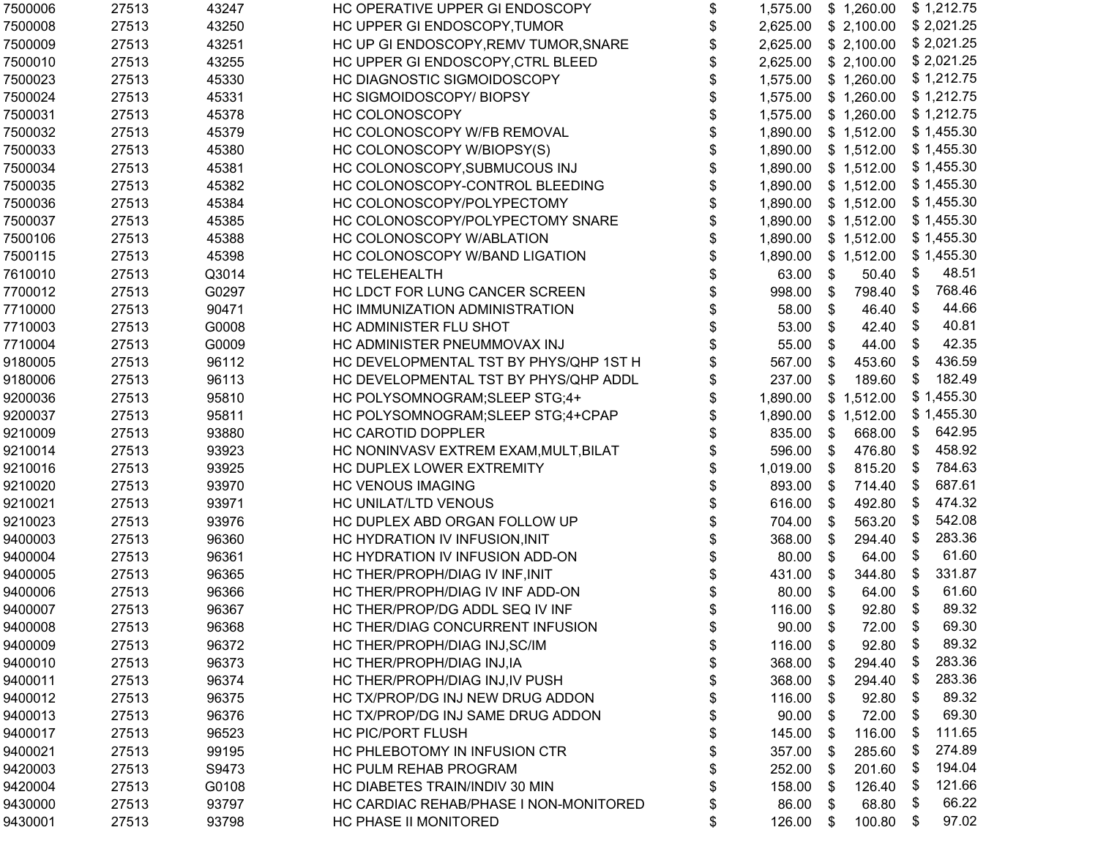| 7500006 | 27513 | 43247 | HC OPERATIVE UPPER GI ENDOSCOPY        | \$<br>1,575.00   |    | \$1,260.00              |      | \$1,212.75 |
|---------|-------|-------|----------------------------------------|------------------|----|-------------------------|------|------------|
| 7500008 | 27513 | 43250 | HC UPPER GI ENDOSCOPY, TUMOR           | \$<br>2,625.00   |    | $$2,100.00$ $$2,021.25$ |      |            |
| 7500009 | 27513 | 43251 | HC UP GI ENDOSCOPY, REMV TUMOR, SNARE  | \$<br>2,625.00   |    | $$2,100.00$ $$2,021.25$ |      |            |
| 7500010 | 27513 | 43255 | HC UPPER GI ENDOSCOPY, CTRL BLEED      | \$<br>2,625.00   |    | $$2,100.00$ $$2,021.25$ |      |            |
| 7500023 | 27513 | 45330 | HC DIAGNOSTIC SIGMOIDOSCOPY            | \$<br>1,575.00   |    | \$1,260.00              |      | \$1,212.75 |
| 7500024 | 27513 | 45331 | HC SIGMOIDOSCOPY/BIOPSY                | \$<br>1,575.00   |    | \$1,260.00              |      | \$1,212.75 |
| 7500031 | 27513 | 45378 | HC COLONOSCOPY                         | \$<br>1,575.00   |    | \$1,260.00              |      | \$1,212.75 |
| 7500032 | 27513 | 45379 | HC COLONOSCOPY W/FB REMOVAL            | 1,890.00         |    | \$1,512.00              |      | \$1,455.30 |
| 7500033 | 27513 | 45380 | HC COLONOSCOPY W/BIOPSY(S)             | \$<br>1,890.00   |    | \$1,512.00              |      | \$1,455.30 |
| 7500034 | 27513 | 45381 | HC COLONOSCOPY, SUBMUCOUS INJ          | \$<br>1,890.00   |    | \$1,512.00              |      | \$1,455.30 |
| 7500035 | 27513 | 45382 | HC COLONOSCOPY-CONTROL BLEEDING        | \$<br>1,890.00   |    | $$1,512.00$ $$1,455.30$ |      |            |
| 7500036 | 27513 | 45384 | HC COLONOSCOPY/POLYPECTOMY             | \$<br>1,890.00   |    | \$1,512.00              |      | \$1,455.30 |
| 7500037 | 27513 | 45385 | HC COLONOSCOPY/POLYPECTOMY SNARE       | \$<br>1,890.00   |    | \$1,512.00              |      | \$1,455.30 |
| 7500106 | 27513 | 45388 | HC COLONOSCOPY W/ABLATION              | \$<br>1,890.00   |    | \$1,512.00              |      | \$1,455.30 |
| 7500115 | 27513 | 45398 | HC COLONOSCOPY W/BAND LIGATION         | \$<br>1,890.00   |    | \$1,512.00              |      | \$1,455.30 |
| 7610010 | 27513 | Q3014 | HC TELEHEALTH                          | \$<br>63.00      | S. | 50.40                   | -\$  | 48.51      |
| 7700012 | 27513 | G0297 | HC LDCT FOR LUNG CANCER SCREEN         | \$<br>998.00     | \$ | 798.40                  | -\$  | 768.46     |
| 7710000 | 27513 | 90471 | HC IMMUNIZATION ADMINISTRATION         | \$<br>58.00      | \$ | 46.40                   | \$   | 44.66      |
| 7710003 | 27513 | G0008 | HC ADMINISTER FLU SHOT                 | \$<br>53.00      | \$ | 42.40                   | \$   | 40.81      |
| 7710004 | 27513 | G0009 | HC ADMINISTER PNEUMMOVAX INJ           | \$<br>55.00      | \$ | 44.00                   | \$   | 42.35      |
| 9180005 | 27513 | 96112 | HC DEVELOPMENTAL TST BY PHYS/QHP 1ST H | \$<br>567.00     | \$ | 453.60                  | \$   | 436.59     |
| 9180006 | 27513 | 96113 | HC DEVELOPMENTAL TST BY PHYS/QHP ADDL  | \$<br>237.00     | \$ | 189.60                  | \$   | 182.49     |
| 9200036 | 27513 | 95810 | HC POLYSOMNOGRAM; SLEEP STG; 4+        | 1,890.00         |    | \$1,512.00              |      | \$1,455.30 |
| 9200037 | 27513 | 95811 | HC POLYSOMNOGRAM; SLEEP STG; 4+CPAP    | 1,890.00         |    | \$1,512.00              |      | \$1,455.30 |
| 9210009 | 27513 | 93880 | <b>HC CAROTID DOPPLER</b>              | \$<br>835.00     | \$ | 668.00                  | \$   | 642.95     |
| 9210014 | 27513 | 93923 | HC NONINVASV EXTREM EXAM, MULT, BILAT  | \$<br>596.00     | \$ | 476.80                  | \$   | 458.92     |
| 9210016 | 27513 | 93925 | HC DUPLEX LOWER EXTREMITY              | \$<br>1,019.00   | \$ | 815.20                  | -\$  | 784.63     |
| 9210020 | 27513 | 93970 | <b>HC VENOUS IMAGING</b>               | \$<br>893.00     | \$ | 714.40                  | \$   | 687.61     |
| 9210021 | 27513 | 93971 | HC UNILAT/LTD VENOUS                   | \$<br>616.00     | \$ | 492.80                  | - \$ | 474.32     |
| 9210023 | 27513 | 93976 | HC DUPLEX ABD ORGAN FOLLOW UP          | \$<br>704.00     | \$ | 563.20                  | - \$ | 542.08     |
| 9400003 | 27513 | 96360 | HC HYDRATION IV INFUSION, INIT         | \$<br>368.00     | \$ | 294.40                  | - \$ | 283.36     |
| 9400004 | 27513 | 96361 | HC HYDRATION IV INFUSION ADD-ON        | \$<br>80.00      | \$ | 64.00                   | \$   | 61.60      |
| 9400005 | 27513 | 96365 | HC THER/PROPH/DIAG IV INF, INIT        | \$<br>431.00     | \$ | 344.80                  | \$   | 331.87     |
| 9400006 | 27513 | 96366 | HC THER/PROPH/DIAG IV INF ADD-ON       | \$<br>80.00      | \$ | 64.00                   | \$   | 61.60      |
| 9400007 | 27513 | 96367 | HC THER/PROP/DG ADDL SEQ IV INF        | \$<br>116.00     | \$ | 92.80                   | \$   | 89.32      |
| 9400008 | 27513 | 96368 | HC THER/DIAG CONCURRENT INFUSION       | \$<br>$90.00$ \$ |    | 72.00 \$                |      | 69.30      |
| 9400009 | 27513 | 96372 | HC THER/PROPH/DIAG INJ, SC/IM          | \$<br>116.00     | \$ | 92.80                   | \$   | 89.32      |
| 9400010 | 27513 | 96373 | HC THER/PROPH/DIAG INJ, IA             | \$<br>368.00     | S  | 294.40                  | - \$ | 283.36     |
| 9400011 | 27513 | 96374 | HC THER/PROPH/DIAG INJ, IV PUSH        | \$<br>368.00     | S  | 294.40                  | - \$ | 283.36     |
| 9400012 | 27513 | 96375 | HC TX/PROP/DG INJ NEW DRUG ADDON       | \$<br>116.00     | \$ | 92.80                   | - \$ | 89.32      |
| 9400013 | 27513 | 96376 | HC TX/PROP/DG INJ SAME DRUG ADDON      | \$<br>90.00      | \$ | 72.00                   | \$   | 69.30      |
| 9400017 | 27513 | 96523 | <b>HC PIC/PORT FLUSH</b>               | \$<br>145.00     | \$ | 116.00                  | - \$ | 111.65     |
| 9400021 | 27513 | 99195 | HC PHLEBOTOMY IN INFUSION CTR          | \$<br>357.00     | \$ | 285.60                  | - \$ | 274.89     |
| 9420003 | 27513 | S9473 | HC PULM REHAB PROGRAM                  | \$<br>252.00     | \$ | 201.60                  | - \$ | 194.04     |
| 9420004 | 27513 | G0108 | HC DIABETES TRAIN/INDIV 30 MIN         | \$<br>158.00     | S  | 126.40                  | - \$ | 121.66     |
| 9430000 | 27513 | 93797 | HC CARDIAC REHAB/PHASE I NON-MONITORED | \$<br>86.00      | S  | 68.80                   | - \$ | 66.22      |
| 9430001 | 27513 | 93798 | HC PHASE II MONITORED                  | \$<br>126.00     | \$ | 100.80                  | \$   | 97.02      |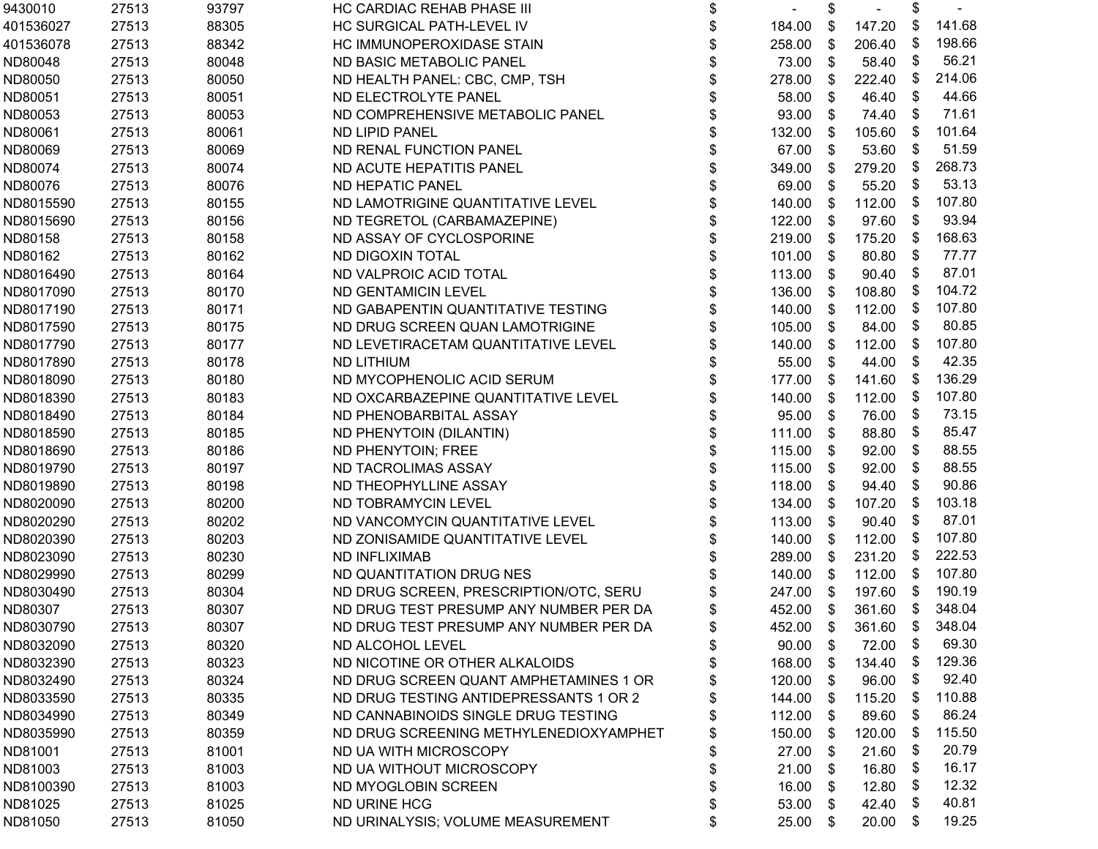| 27513 | 93797 | HC CARDIAC REHAB PHASE III             | \$           | $\overline{\phantom{a}}$   | \$    |           | \$              |                  |
|-------|-------|----------------------------------------|--------------|----------------------------|-------|-----------|-----------------|------------------|
| 27513 | 88305 | HC SURGICAL PATH-LEVEL IV              | \$           | 184.00                     | \$    | 147.20    | \$              | 141.68           |
| 27513 | 88342 | HC IMMUNOPEROXIDASE STAIN              | \$           | 258.00                     | \$    | 206.40    | \$              | 198.66           |
| 27513 | 80048 | ND BASIC METABOLIC PANEL               | \$           | 73.00                      | \$    | 58.40     | \$              | 56.21            |
| 27513 | 80050 | ND HEALTH PANEL: CBC, CMP, TSH         | \$           | 278.00                     | \$    | 222.40    | \$              | 214.06           |
| 27513 | 80051 | ND ELECTROLYTE PANEL                   | \$           | 58.00                      | \$    | 46.40     | \$              | 44.66            |
| 27513 | 80053 | ND COMPREHENSIVE METABOLIC PANEL       | \$           | 93.00                      | \$    | 74.40     | \$              | 71.61            |
| 27513 | 80061 | ND LIPID PANEL                         | \$           | 132.00                     | \$    | 105.60    | \$              | 101.64           |
| 27513 | 80069 | ND RENAL FUNCTION PANEL                | \$           | 67.00                      | \$    | 53.60     | \$              | 51.59            |
| 27513 | 80074 | ND ACUTE HEPATITIS PANEL               | \$           | 349.00                     | \$    | 279.20    | \$              | 268.73           |
| 27513 | 80076 | ND HEPATIC PANEL                       | \$           | 69.00                      | \$    | 55.20     | \$              | 53.13            |
| 27513 | 80155 | ND LAMOTRIGINE QUANTITATIVE LEVEL      | \$           | 140.00                     | \$    | 112.00    | \$              | 107.80           |
| 27513 | 80156 | ND TEGRETOL (CARBAMAZEPINE)            | \$           | 122.00                     | \$    | 97.60     | \$              | 93.94            |
| 27513 | 80158 | ND ASSAY OF CYCLOSPORINE               | \$           | 219.00                     | \$    | 175.20    | \$              | 168.63           |
| 27513 | 80162 | ND DIGOXIN TOTAL                       | \$           | 101.00                     | \$    | 80.80     | \$              | 77.77            |
| 27513 | 80164 | ND VALPROIC ACID TOTAL                 | \$           | 113.00                     | \$    | 90.40     | \$              | 87.01            |
| 27513 | 80170 | ND GENTAMICIN LEVEL                    |              | 136.00                     | \$    | 108.80    | \$              | 104.72           |
| 27513 | 80171 | ND GABAPENTIN QUANTITATIVE TESTING     |              | 140.00                     | \$    | 112.00    | \$              | 107.80           |
| 27513 | 80175 | ND DRUG SCREEN QUAN LAMOTRIGINE        | \$           | 105.00                     | \$    | 84.00     | \$              | 80.85            |
| 27513 | 80177 | ND LEVETIRACETAM QUANTITATIVE LEVEL    | \$           | 140.00                     | \$    | 112.00    | \$              | 107.80           |
| 27513 | 80178 | <b>ND LITHIUM</b>                      | \$           | 55.00                      | \$    | 44.00     | \$              | 42.35            |
| 27513 | 80180 | ND MYCOPHENOLIC ACID SERUM             | \$           | 177.00                     | \$    | 141.60    | \$              | 136.29           |
| 27513 | 80183 | ND OXCARBAZEPINE QUANTITATIVE LEVEL    | \$           | 140.00                     | \$    | 112.00    | \$              | 107.80           |
| 27513 | 80184 | ND PHENOBARBITAL ASSAY                 | \$           | 95.00                      | \$    | 76.00     | \$              | 73.15            |
| 27513 | 80185 | ND PHENYTOIN (DILANTIN)                | \$           | 111.00                     | \$    | 88.80     | \$              | 85.47            |
| 27513 | 80186 | ND PHENYTOIN; FREE                     | \$           | 115.00                     | \$    | 92.00     | \$              | 88.55            |
| 27513 | 80197 | ND TACROLIMAS ASSAY                    | \$           | 115.00                     | \$    | 92.00     | \$              | 88.55            |
| 27513 | 80198 | ND THEOPHYLLINE ASSAY                  | \$           | 118.00                     | \$    | 94.40     | \$              | 90.86            |
| 27513 | 80200 | ND TOBRAMYCIN LEVEL                    | \$           | 134.00                     | \$    | 107.20    | \$              | 103.18           |
| 27513 | 80202 | ND VANCOMYCIN QUANTITATIVE LEVEL       | \$           | 113.00                     | \$    | 90.40     | \$              | 87.01            |
| 27513 | 80203 | ND ZONISAMIDE QUANTITATIVE LEVEL       | \$           | 140.00                     | \$    | 112.00    | \$              | 107.80           |
| 27513 | 80230 | <b>ND INFLIXIMAB</b>                   | \$           | 289.00                     | \$    | 231.20    | \$              | 222.53           |
| 27513 | 80299 | ND QUANTITATION DRUG NES               | \$           | 140.00                     | \$    | 112.00    | \$              | 107.80           |
| 27513 | 80304 | ND DRUG SCREEN, PRESCRIPTION/OTC, SERU | \$           | 247.00                     | \$    | 197.60    | \$              | 190.19           |
| 27513 | 80307 | ND DRUG TEST PRESUMP ANY NUMBER PER DA | \$           | 452.00                     | \$    | 361.60    | \$              | 348.04           |
| 27513 |       | ND DRUG TEST PRESUMP ANY NUMBER PER DA | \$           |                            |       |           |                 |                  |
| 27513 | 80320 | ND ALCOHOL LEVEL                       | \$           | 90.00                      | S     | 72.00     | \$              | 69.30            |
| 27513 | 80323 | ND NICOTINE OR OTHER ALKALOIDS         | \$           | 168.00                     | \$    | 134.40    | \$              | 129.36           |
| 27513 | 80324 | ND DRUG SCREEN QUANT AMPHETAMINES 1 OR | \$           | 120.00                     | S.    | 96.00     | \$              | 92.40            |
| 27513 | 80335 | ND DRUG TESTING ANTIDEPRESSANTS 1 OR 2 | \$           | 144.00                     | \$    | 115.20    | \$              | 110.88           |
| 27513 | 80349 | ND CANNABINOIDS SINGLE DRUG TESTING    | \$           | 112.00                     | \$    |           | \$              | 86.24            |
| 27513 | 80359 | ND DRUG SCREENING METHYLENEDIOXYAMPHET |              | 150.00                     | \$    |           | \$              | 115.50           |
|       | 81001 | ND UA WITH MICROSCOPY                  | \$           |                            | \$    | 21.60     | \$              | 20.79            |
| 27513 | 81003 | ND UA WITHOUT MICROSCOPY               | \$           | 21.00                      | \$    | 16.80     | \$              | 16.17            |
| 27513 | 81003 | ND MYOGLOBIN SCREEN                    |              | 16.00                      | S.    | 12.80     | \$              | 12.32            |
| 27513 | 81025 |                                        |              | 53.00                      | \$    | 42.40     | \$              | 40.81            |
| 27513 | 81050 | ND URINALYSIS; VOLUME MEASUREMENT      | \$           | 25.00                      | \$    | 20.00     | \$              | 19.25            |
|       | 27513 | 80307                                  | ND URINE HCG | \$<br>\$<br>\$<br>\$<br>\$ | 27.00 | 452.00 \$ | 89.60<br>120.00 | 361.60 \$ 348.04 |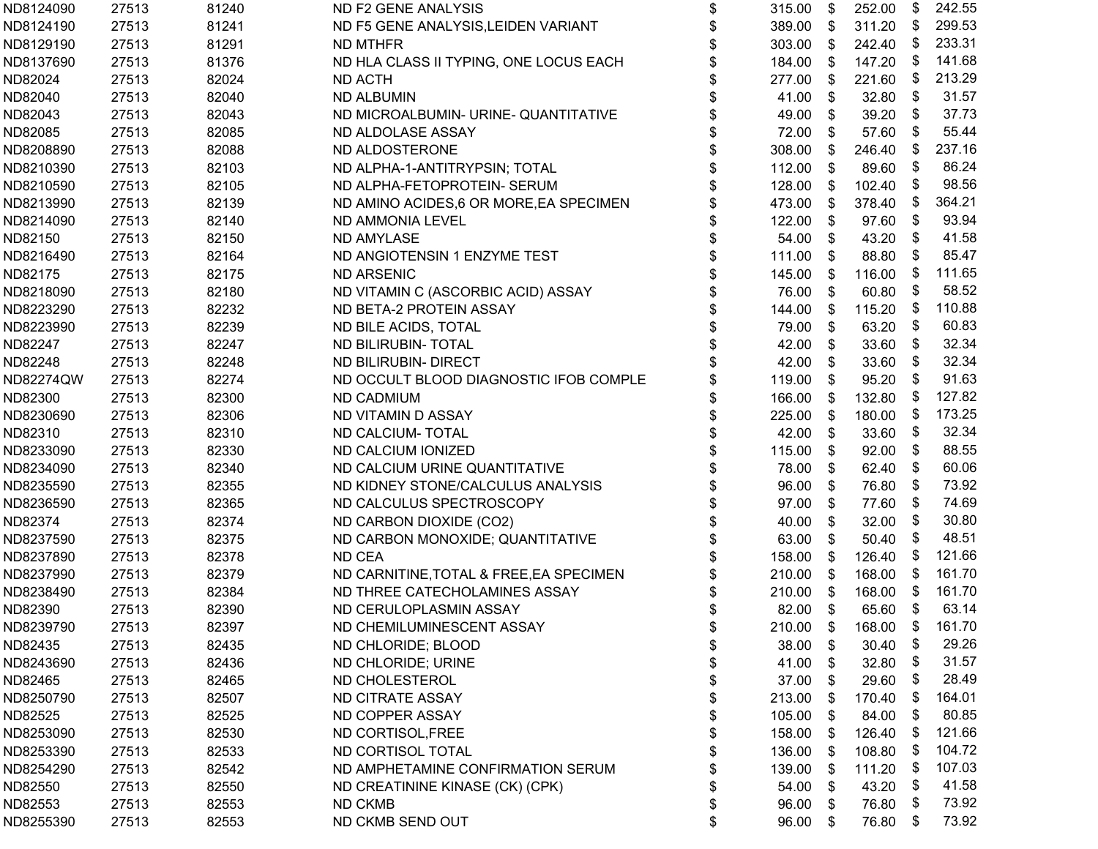| ND8124090 | 27513 | 81240 | ND F2 GENE ANALYSIS                     | \$<br>315.00 | \$                        | 252.00 | \$            | 242.55 |
|-----------|-------|-------|-----------------------------------------|--------------|---------------------------|--------|---------------|--------|
| ND8124190 | 27513 | 81241 | ND F5 GENE ANALYSIS, LEIDEN VARIANT     | \$<br>389.00 | \$                        | 311.20 | \$            | 299.53 |
| ND8129190 | 27513 | 81291 | ND MTHFR                                | \$<br>303.00 | \$                        | 242.40 | \$            | 233.31 |
| ND8137690 | 27513 | 81376 | ND HLA CLASS II TYPING, ONE LOCUS EACH  | \$<br>184.00 | \$                        | 147.20 | \$            | 141.68 |
| ND82024   | 27513 | 82024 | ND ACTH                                 | \$<br>277.00 | \$                        | 221.60 | \$            | 213.29 |
| ND82040   | 27513 | 82040 | <b>ND ALBUMIN</b>                       | \$<br>41.00  | \$                        | 32.80  | \$            | 31.57  |
| ND82043   | 27513 | 82043 | ND MICROALBUMIN- URINE- QUANTITATIVE    | \$<br>49.00  | \$                        | 39.20  | \$            | 37.73  |
| ND82085   | 27513 | 82085 | ND ALDOLASE ASSAY                       | \$<br>72.00  | \$                        | 57.60  | \$            | 55.44  |
| ND8208890 | 27513 | 82088 | ND ALDOSTERONE                          | \$<br>308.00 | \$                        | 246.40 | \$            | 237.16 |
| ND8210390 | 27513 | 82103 | ND ALPHA-1-ANTITRYPSIN; TOTAL           | \$<br>112.00 | \$                        | 89.60  | \$            | 86.24  |
| ND8210590 | 27513 | 82105 | ND ALPHA-FETOPROTEIN- SERUM             | \$<br>128.00 | \$                        | 102.40 | \$            | 98.56  |
| ND8213990 | 27513 | 82139 | ND AMINO ACIDES,6 OR MORE, EA SPECIMEN  | \$<br>473.00 | \$                        | 378.40 | \$            | 364.21 |
| ND8214090 | 27513 | 82140 | ND AMMONIA LEVEL                        | \$<br>122.00 | \$                        | 97.60  | \$            | 93.94  |
| ND82150   | 27513 | 82150 | ND AMYLASE                              | \$<br>54.00  | - \$                      | 43.20  | \$            | 41.58  |
| ND8216490 | 27513 | 82164 | ND ANGIOTENSIN 1 ENZYME TEST            | \$<br>111.00 | \$                        | 88.80  | \$            | 85.47  |
| ND82175   | 27513 | 82175 | <b>ND ARSENIC</b>                       | \$<br>145.00 | \$                        | 116.00 | \$            | 111.65 |
| ND8218090 | 27513 | 82180 | ND VITAMIN C (ASCORBIC ACID) ASSAY      | \$<br>76.00  | $\boldsymbol{\mathsf{s}}$ | 60.80  | \$            | 58.52  |
| ND8223290 | 27513 | 82232 | ND BETA-2 PROTEIN ASSAY                 | \$<br>144.00 | \$                        | 115.20 | \$            | 110.88 |
| ND8223990 | 27513 | 82239 | ND BILE ACIDS, TOTAL                    | \$<br>79.00  | \$                        | 63.20  | \$            | 60.83  |
| ND82247   | 27513 | 82247 | ND BILIRUBIN- TOTAL                     | \$<br>42.00  | \$                        | 33.60  | \$            | 32.34  |
| ND82248   | 27513 | 82248 | ND BILIRUBIN- DIRECT                    | \$<br>42.00  | \$                        | 33.60  | \$            | 32.34  |
| ND82274QW | 27513 | 82274 | ND OCCULT BLOOD DIAGNOSTIC IFOB COMPLE  | \$<br>119.00 | \$                        | 95.20  | \$            | 91.63  |
| ND82300   | 27513 | 82300 | <b>ND CADMIUM</b>                       | \$<br>166.00 | \$                        | 132.80 | \$            | 127.82 |
| ND8230690 | 27513 | 82306 | ND VITAMIN D ASSAY                      | \$<br>225.00 | $\boldsymbol{\mathsf{S}}$ | 180.00 | \$            | 173.25 |
| ND82310   | 27513 | 82310 | <b>ND CALCIUM- TOTAL</b>                | \$<br>42.00  | \$                        | 33.60  | \$            | 32.34  |
| ND8233090 | 27513 | 82330 | ND CALCIUM IONIZED                      | \$<br>115.00 | \$                        | 92.00  | \$            | 88.55  |
| ND8234090 | 27513 | 82340 | ND CALCIUM URINE QUANTITATIVE           | \$<br>78.00  | \$                        | 62.40  | \$            | 60.06  |
| ND8235590 | 27513 | 82355 | ND KIDNEY STONE/CALCULUS ANALYSIS       | \$<br>96.00  | \$                        | 76.80  | \$            | 73.92  |
| ND8236590 | 27513 | 82365 | ND CALCULUS SPECTROSCOPY                | \$<br>97.00  | \$                        | 77.60  | \$            | 74.69  |
| ND82374   | 27513 | 82374 | ND CARBON DIOXIDE (CO2)                 | \$<br>40.00  | \$                        | 32.00  | \$            | 30.80  |
| ND8237590 | 27513 | 82375 | ND CARBON MONOXIDE; QUANTITATIVE        | \$<br>63.00  | \$                        | 50.40  | \$            | 48.51  |
| ND8237890 | 27513 | 82378 | <b>ND CEA</b>                           | \$<br>158.00 | \$                        | 126.40 | \$            | 121.66 |
| ND8237990 | 27513 | 82379 | ND CARNITINE, TOTAL & FREE, EA SPECIMEN | \$<br>210.00 | \$                        | 168.00 | \$            | 161.70 |
| ND8238490 | 27513 | 82384 | ND THREE CATECHOLAMINES ASSAY           | \$<br>210.00 | \$                        | 168.00 | \$            | 161.70 |
| ND82390   | 27513 | 82390 | ND CERULOPLASMIN ASSAY                  | \$<br>82.00  | \$                        | 65.60  | \$            | 63.14  |
| ND8239790 | 27513 | 82397 | ND CHEMILUMINESCENT ASSAY               | \$<br>210.00 | \$                        | 168.00 | $\frac{1}{2}$ | 161.70 |
| ND82435   | 27513 | 82435 | ND CHLORIDE; BLOOD                      | \$<br>38.00  | \$                        | 30.40  | \$            | 29.26  |
| ND8243690 | 27513 | 82436 | ND CHLORIDE; URINE                      | \$<br>41.00  | \$                        | 32.80  | \$            | 31.57  |
| ND82465   | 27513 | 82465 | ND CHOLESTEROL                          | \$<br>37.00  | \$                        | 29.60  | \$            | 28.49  |
| ND8250790 | 27513 | 82507 | ND CITRATE ASSAY                        | \$<br>213.00 | \$                        | 170.40 | \$            | 164.01 |
| ND82525   | 27513 | 82525 | ND COPPER ASSAY                         | \$<br>105.00 | \$                        | 84.00  | \$            | 80.85  |
| ND8253090 | 27513 | 82530 | ND CORTISOL, FREE                       | \$<br>158.00 | -S                        | 126.40 | \$            | 121.66 |
| ND8253390 | 27513 | 82533 | ND CORTISOL TOTAL                       | \$<br>136.00 | S.                        | 108.80 | \$            | 104.72 |
| ND8254290 | 27513 | 82542 | ND AMPHETAMINE CONFIRMATION SERUM       | \$<br>139.00 | \$                        | 111.20 | \$            | 107.03 |
| ND82550   | 27513 | 82550 | ND CREATININE KINASE (CK) (CPK)         | \$<br>54.00  | \$                        | 43.20  | \$            | 41.58  |
| ND82553   | 27513 | 82553 | <b>ND CKMB</b>                          | \$<br>96.00  | S.                        | 76.80  | \$            | 73.92  |
| ND8255390 | 27513 | 82553 | ND CKMB SEND OUT                        | \$<br>96.00  | \$                        | 76.80  | \$            | 73.92  |
|           |       |       |                                         |              |                           |        |               |        |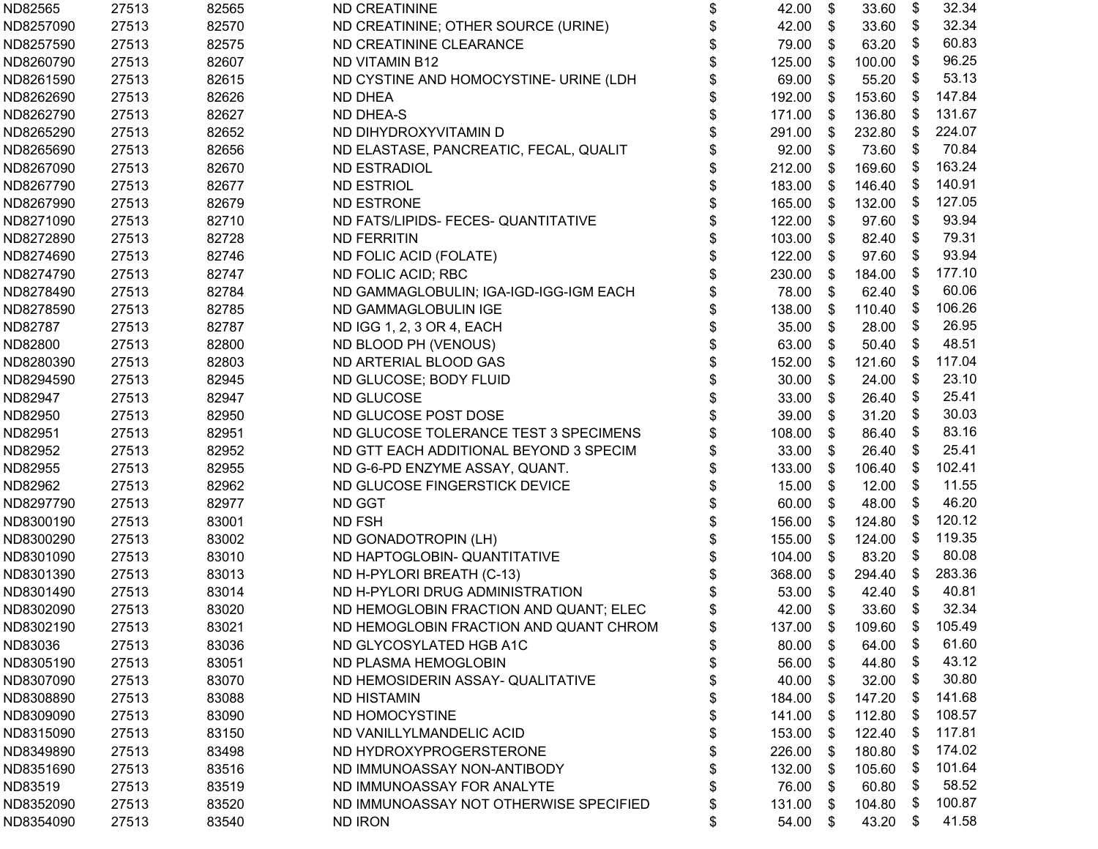| ND82565   | 27513 | 82565 | <b>ND CREATININE</b>                   | \$<br>42.00  | \$    | 33.60  | \$   | 32.34  |
|-----------|-------|-------|----------------------------------------|--------------|-------|--------|------|--------|
| ND8257090 | 27513 | 82570 | ND CREATININE; OTHER SOURCE (URINE)    | \$<br>42.00  | \$    | 33.60  | \$   | 32.34  |
| ND8257590 | 27513 | 82575 | ND CREATININE CLEARANCE                | \$<br>79.00  | \$    | 63.20  | \$   | 60.83  |
| ND8260790 | 27513 | 82607 | <b>ND VITAMIN B12</b>                  | \$<br>125.00 | \$    | 100.00 | \$   | 96.25  |
| ND8261590 | 27513 | 82615 | ND CYSTINE AND HOMOCYSTINE- URINE (LDH | \$<br>69.00  | \$    | 55.20  | \$   | 53.13  |
| ND8262690 | 27513 | 82626 | <b>ND DHEA</b>                         | 192.00       | \$    | 153.60 | - \$ | 147.84 |
| ND8262790 | 27513 | 82627 | <b>ND DHEA-S</b>                       | \$<br>171.00 | \$    | 136.80 | - \$ | 131.67 |
| ND8265290 | 27513 | 82652 | ND DIHYDROXYVITAMIN D                  | \$<br>291.00 | $\$\$ | 232.80 | -\$  | 224.07 |
| ND8265690 | 27513 | 82656 | ND ELASTASE, PANCREATIC, FECAL, QUALIT | \$<br>92.00  | $\$\$ | 73.60  | \$   | 70.84  |
| ND8267090 | 27513 | 82670 | <b>ND ESTRADIOL</b>                    | \$<br>212.00 | \$    | 169.60 | -\$  | 163.24 |
| ND8267790 | 27513 | 82677 | <b>ND ESTRIOL</b>                      | \$<br>183.00 | \$    | 146.40 | - \$ | 140.91 |
| ND8267990 | 27513 | 82679 | <b>ND ESTRONE</b>                      | \$<br>165.00 | \$    | 132.00 | - \$ | 127.05 |
| ND8271090 | 27513 | 82710 | ND FATS/LIPIDS- FECES- QUANTITATIVE    | \$<br>122.00 | \$    | 97.60  | - \$ | 93.94  |
| ND8272890 | 27513 | 82728 | <b>ND FERRITIN</b>                     | \$<br>103.00 | \$    | 82.40  | -\$  | 79.31  |
| ND8274690 | 27513 | 82746 | ND FOLIC ACID (FOLATE)                 | \$<br>122.00 | \$    | 97.60  | -\$  | 93.94  |
| ND8274790 | 27513 | 82747 | ND FOLIC ACID; RBC                     | \$<br>230.00 | \$    | 184.00 | -\$  | 177.10 |
| ND8278490 | 27513 | 82784 | ND GAMMAGLOBULIN; IGA-IGD-IGG-IGM EACH | \$<br>78.00  | \$    | 62.40  | \$   | 60.06  |
| ND8278590 | 27513 | 82785 | ND GAMMAGLOBULIN IGE                   | \$<br>138.00 | \$    | 110.40 | -\$  | 106.26 |
| ND82787   | 27513 | 82787 | ND IGG 1, 2, 3 OR 4, EACH              | \$<br>35.00  | \$    | 28.00  | \$   | 26.95  |
| ND82800   | 27513 | 82800 | ND BLOOD PH (VENOUS)                   | \$<br>63.00  | \$    | 50.40  | \$   | 48.51  |
| ND8280390 | 27513 | 82803 | ND ARTERIAL BLOOD GAS                  | \$<br>152.00 | \$    | 121.60 | - \$ | 117.04 |
| ND8294590 | 27513 | 82945 | ND GLUCOSE; BODY FLUID                 | \$<br>30.00  | \$    | 24.00  | -\$  | 23.10  |
| ND82947   | 27513 | 82947 | ND GLUCOSE                             | \$<br>33.00  | \$    | 26.40  | \$   | 25.41  |
| ND82950   | 27513 | 82950 | ND GLUCOSE POST DOSE                   | \$<br>39.00  | $\$\$ | 31.20  | \$   | 30.03  |
| ND82951   | 27513 | 82951 | ND GLUCOSE TOLERANCE TEST 3 SPECIMENS  | \$<br>108.00 | $\$\$ | 86.40  | \$   | 83.16  |
| ND82952   | 27513 | 82952 | ND GTT EACH ADDITIONAL BEYOND 3 SPECIM | \$<br>33.00  | \$    | 26.40  | \$   | 25.41  |
| ND82955   | 27513 | 82955 | ND G-6-PD ENZYME ASSAY, QUANT.         | \$<br>133.00 | \$    | 106.40 | - \$ | 102.41 |
| ND82962   | 27513 | 82962 | ND GLUCOSE FINGERSTICK DEVICE          | \$<br>15.00  | \$    | 12.00  | \$   | 11.55  |
| ND8297790 | 27513 | 82977 | <b>ND GGT</b>                          | \$<br>60.00  | \$    | 48.00  | \$   | 46.20  |
| ND8300190 | 27513 | 83001 | <b>ND FSH</b>                          | \$<br>156.00 | \$    | 124.80 | - \$ | 120.12 |
| ND8300290 | 27513 | 83002 | ND GONADOTROPIN (LH)                   | \$<br>155.00 | \$    | 124.00 | - \$ | 119.35 |
| ND8301090 | 27513 | 83010 | ND HAPTOGLOBIN- QUANTITATIVE           | \$<br>104.00 | \$    | 83.20  | \$   | 80.08  |
| ND8301390 | 27513 | 83013 | ND H-PYLORI BREATH (C-13)              | \$<br>368.00 | \$    | 294.40 | \$   | 283.36 |
| ND8301490 | 27513 | 83014 | ND H-PYLORI DRUG ADMINISTRATION        | \$<br>53.00  | \$    | 42.40  | \$   | 40.81  |
| ND8302090 | 27513 | 83020 | ND HEMOGLOBIN FRACTION AND QUANT; ELEC | \$<br>42.00  | \$    | 33.60  | \$   | 32.34  |
| ND8302190 | 27513 | 83021 | ND HEMOGLOBIN FRACTION AND QUANT CHROM | \$<br>137.00 | -\$   | 109.60 | \$   | 105.49 |
| ND83036   | 27513 | 83036 | ND GLYCOSYLATED HGB A1C                | \$<br>80.00  | \$    | 64.00  | \$   | 61.60  |
| ND8305190 | 27513 | 83051 | ND PLASMA HEMOGLOBIN                   | \$<br>56.00  | \$    | 44.80  | \$   | 43.12  |
| ND8307090 | 27513 | 83070 | ND HEMOSIDERIN ASSAY- QUALITATIVE      | \$<br>40.00  | \$    | 32.00  | \$   | 30.80  |
| ND8308890 | 27513 | 83088 | <b>ND HISTAMIN</b>                     | \$<br>184.00 | \$    | 147.20 | - \$ | 141.68 |
| ND8309090 | 27513 | 83090 | ND HOMOCYSTINE                         | \$<br>141.00 | - \$  | 112.80 | - \$ | 108.57 |
| ND8315090 | 27513 | 83150 | ND VANILLYLMANDELIC ACID               | \$<br>153.00 | S.    | 122.40 | - \$ | 117.81 |
| ND8349890 | 27513 | 83498 | ND HYDROXYPROGERSTERONE                | \$<br>226.00 | S.    | 180.80 | - \$ | 174.02 |
| ND8351690 | 27513 | 83516 | ND IMMUNOASSAY NON-ANTIBODY            | \$<br>132.00 | S.    | 105.60 | - \$ | 101.64 |
| ND83519   | 27513 | 83519 | ND IMMUNOASSAY FOR ANALYTE             | \$<br>76.00  | S.    | 60.80  | \$   | 58.52  |
| ND8352090 | 27513 | 83520 | ND IMMUNOASSAY NOT OTHERWISE SPECIFIED | \$<br>131.00 | -SS   | 104.80 | - \$ | 100.87 |
| ND8354090 | 27513 | 83540 | ND IRON                                | \$<br>54.00  | \$    | 43.20  | - \$ | 41.58  |
|           |       |       |                                        |              |       |        |      |        |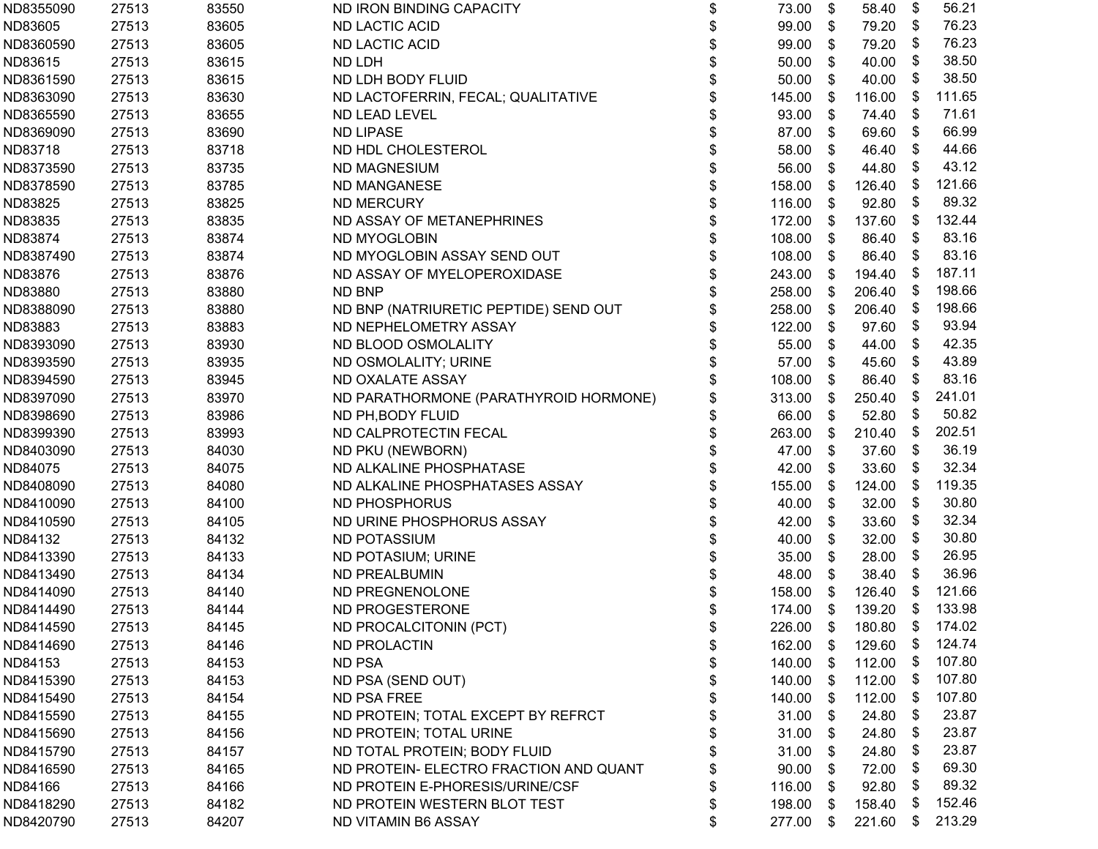| ND8355090 | 27513 | 83550 | ND IRON BINDING CAPACITY               | \$<br>73.00  | \$   | 58.40  | \$   | 56.21  |
|-----------|-------|-------|----------------------------------------|--------------|------|--------|------|--------|
| ND83605   | 27513 | 83605 | <b>ND LACTIC ACID</b>                  | \$<br>99.00  | \$   | 79.20  | \$   | 76.23  |
| ND8360590 | 27513 | 83605 | <b>ND LACTIC ACID</b>                  | \$<br>99.00  | \$   | 79.20  | \$   | 76.23  |
| ND83615   | 27513 | 83615 | ND LDH                                 | \$<br>50.00  | \$   | 40.00  | \$   | 38.50  |
| ND8361590 | 27513 | 83615 | ND LDH BODY FLUID                      | \$<br>50.00  | \$   | 40.00  | \$   | 38.50  |
| ND8363090 | 27513 | 83630 | ND LACTOFERRIN, FECAL; QUALITATIVE     | 145.00       | \$   | 116.00 | - \$ | 111.65 |
| ND8365590 | 27513 | 83655 | ND LEAD LEVEL                          | \$<br>93.00  | \$   | 74.40  | - \$ | 71.61  |
| ND8369090 | 27513 | 83690 | <b>ND LIPASE</b>                       | \$<br>87.00  | \$   | 69.60  | \$   | 66.99  |
| ND83718   | 27513 | 83718 | ND HDL CHOLESTEROL                     | \$<br>58.00  | \$   | 46.40  | \$   | 44.66  |
| ND8373590 | 27513 | 83735 | <b>ND MAGNESIUM</b>                    | \$<br>56.00  | \$   | 44.80  | - \$ | 43.12  |
| ND8378590 | 27513 | 83785 | ND MANGANESE                           | \$<br>158.00 | \$   | 126.40 | - \$ | 121.66 |
| ND83825   | 27513 | 83825 | <b>ND MERCURY</b>                      | \$<br>116.00 | \$   | 92.80  | - \$ | 89.32  |
| ND83835   | 27513 | 83835 | ND ASSAY OF METANEPHRINES              | \$<br>172.00 | - \$ | 137.60 | - \$ | 132.44 |
| ND83874   | 27513 | 83874 | ND MYOGLOBIN                           | \$<br>108.00 | \$   | 86.40  | - \$ | 83.16  |
| ND8387490 | 27513 | 83874 | ND MYOGLOBIN ASSAY SEND OUT            | \$<br>108.00 | -\$  | 86.40  | - \$ | 83.16  |
| ND83876   | 27513 | 83876 | ND ASSAY OF MYELOPEROXIDASE            | \$<br>243.00 | \$   | 194.40 | \$   | 187.11 |
| ND83880   | 27513 | 83880 | ND BNP                                 | \$<br>258.00 | \$   | 206.40 | - \$ | 198.66 |
| ND8388090 | 27513 | 83880 | ND BNP (NATRIURETIC PEPTIDE) SEND OUT  | \$<br>258.00 | \$   | 206.40 | - \$ | 198.66 |
| ND83883   | 27513 | 83883 | ND NEPHELOMETRY ASSAY                  | \$<br>122.00 | \$   | 97.60  | \$   | 93.94  |
| ND8393090 | 27513 | 83930 | ND BLOOD OSMOLALITY                    | \$<br>55.00  | \$   | 44.00  | \$   | 42.35  |
| ND8393590 | 27513 | 83935 | ND OSMOLALITY; URINE                   | \$<br>57.00  | -\$  | 45.60  | \$   | 43.89  |
| ND8394590 | 27513 | 83945 | ND OXALATE ASSAY                       | 108.00       | \$   | 86.40  | - \$ | 83.16  |
| ND8397090 | 27513 | 83970 | ND PARATHORMONE (PARATHYROID HORMONE)  | 313.00       | \$   | 250.40 | - \$ | 241.01 |
| ND8398690 | 27513 | 83986 | ND PH, BODY FLUID                      | \$<br>66.00  | \$   | 52.80  | - \$ | 50.82  |
| ND8399390 | 27513 | 83993 | ND CALPROTECTIN FECAL                  | \$<br>263.00 | \$   | 210.40 | \$   | 202.51 |
| ND8403090 | 27513 | 84030 | ND PKU (NEWBORN)                       | \$<br>47.00  | \$   | 37.60  | \$   | 36.19  |
| ND84075   | 27513 | 84075 | ND ALKALINE PHOSPHATASE                | \$<br>42.00  | \$   | 33.60  | \$   | 32.34  |
| ND8408090 | 27513 | 84080 | ND ALKALINE PHOSPHATASES ASSAY         | \$<br>155.00 | \$   | 124.00 | -\$  | 119.35 |
| ND8410090 | 27513 | 84100 | ND PHOSPHORUS                          | \$<br>40.00  | \$   | 32.00  | \$   | 30.80  |
| ND8410590 | 27513 | 84105 | ND URINE PHOSPHORUS ASSAY              | 42.00        | \$   | 33.60  | - \$ | 32.34  |
| ND84132   | 27513 | 84132 | <b>ND POTASSIUM</b>                    | \$<br>40.00  | \$   | 32.00  | \$   | 30.80  |
| ND8413390 | 27513 | 84133 | ND POTASIUM; URINE                     | \$<br>35.00  | \$   | 28.00  | \$   | 26.95  |
| ND8413490 | 27513 | 84134 | <b>ND PREALBUMIN</b>                   | \$<br>48.00  | \$   | 38.40  | \$   | 36.96  |
| ND8414090 | 27513 | 84140 | ND PREGNENOLONE                        | \$<br>158.00 | S.   | 126.40 | - \$ | 121.66 |
| ND8414490 | 27513 | 84144 | ND PROGESTERONE                        | \$<br>174.00 | -\$  | 139.20 | -\$  | 133.98 |
| ND8414590 | 27513 | 84145 | ND PROCALCITONIN (PCT)                 | \$<br>226.00 | - \$ | 180.80 | \$   | 174.02 |
| ND8414690 | 27513 | 84146 | <b>ND PROLACTIN</b>                    | \$<br>162.00 | - \$ | 129.60 | - \$ | 124.74 |
| ND84153   | 27513 | 84153 | <b>ND PSA</b>                          | \$<br>140.00 | -S   | 112.00 | - \$ | 107.80 |
| ND8415390 | 27513 | 84153 | ND PSA (SEND OUT)                      | \$<br>140.00 | - \$ | 112.00 | - \$ | 107.80 |
| ND8415490 | 27513 | 84154 | ND PSA FREE                            | \$<br>140.00 | \$   | 112.00 | - \$ | 107.80 |
| ND8415590 | 27513 | 84155 | ND PROTEIN; TOTAL EXCEPT BY REFRCT     | \$<br>31.00  | -\$  | 24.80  | \$   | 23.87  |
| ND8415690 | 27513 | 84156 | ND PROTEIN; TOTAL URINE                | \$<br>31.00  | \$   | 24.80  | - \$ | 23.87  |
| ND8415790 | 27513 | 84157 | ND TOTAL PROTEIN; BODY FLUID           | \$<br>31.00  | - \$ | 24.80  | - \$ | 23.87  |
| ND8416590 | 27513 | 84165 | ND PROTEIN- ELECTRO FRACTION AND QUANT | \$<br>90.00  | S    | 72.00  | - \$ | 69.30  |
| ND84166   | 27513 | 84166 | ND PROTEIN E-PHORESIS/URINE/CSF        | \$<br>116.00 | - \$ | 92.80  | \$   | 89.32  |
| ND8418290 | 27513 | 84182 | ND PROTEIN WESTERN BLOT TEST           | \$<br>198.00 | - \$ | 158.40 | - \$ | 152.46 |
| ND8420790 | 27513 | 84207 | ND VITAMIN B6 ASSAY                    | \$<br>277.00 | - \$ | 221.60 | - \$ | 213.29 |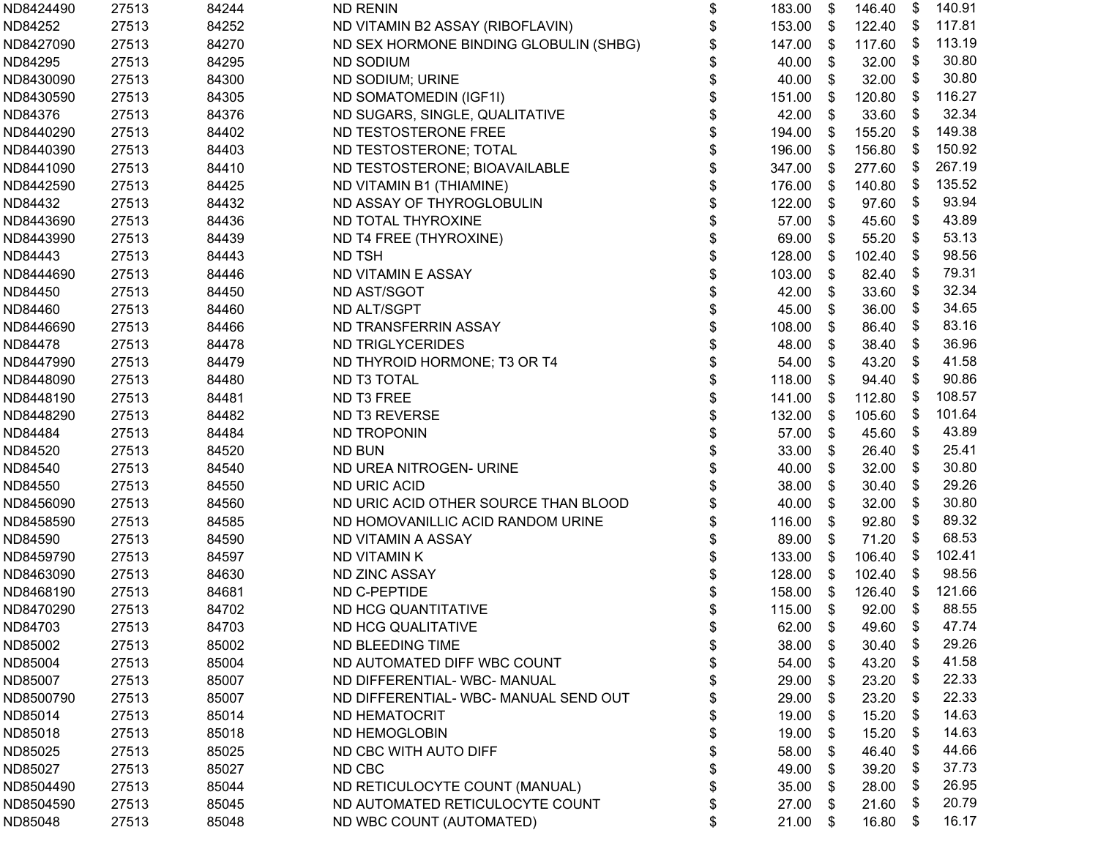| ND8424490 | 27513 | 84244 | <b>ND RENIN</b>                        | \$<br>183.00 | \$                        | 146.40 | \$   | 140.91 |
|-----------|-------|-------|----------------------------------------|--------------|---------------------------|--------|------|--------|
| ND84252   | 27513 | 84252 | ND VITAMIN B2 ASSAY (RIBOFLAVIN)       | \$<br>153.00 | \$                        | 122.40 | - \$ | 117.81 |
| ND8427090 | 27513 | 84270 | ND SEX HORMONE BINDING GLOBULIN (SHBG) | \$<br>147.00 | \$                        | 117.60 | -\$  | 113.19 |
| ND84295   | 27513 | 84295 | <b>ND SODIUM</b>                       | \$<br>40.00  | \$                        | 32.00  | \$   | 30.80  |
| ND8430090 | 27513 | 84300 | ND SODIUM; URINE                       | \$<br>40.00  | \$                        | 32.00  | \$   | 30.80  |
| ND8430590 | 27513 | 84305 | ND SOMATOMEDIN (IGF1I)                 | \$<br>151.00 | S.                        | 120.80 | \$   | 116.27 |
| ND84376   | 27513 | 84376 | ND SUGARS, SINGLE, QUALITATIVE         | \$<br>42.00  | \$                        | 33.60  | \$   | 32.34  |
| ND8440290 | 27513 | 84402 | ND TESTOSTERONE FREE                   | \$<br>194.00 | \$                        | 155.20 | \$   | 149.38 |
| ND8440390 | 27513 | 84403 | ND TESTOSTERONE; TOTAL                 | \$<br>196.00 | \$                        | 156.80 | \$   | 150.92 |
| ND8441090 | 27513 | 84410 | ND TESTOSTERONE; BIOAVAILABLE          | \$<br>347.00 | $\boldsymbol{\mathsf{S}}$ | 277.60 | -\$  | 267.19 |
| ND8442590 | 27513 | 84425 | ND VITAMIN B1 (THIAMINE)               | \$<br>176.00 | \$                        | 140.80 | - \$ | 135.52 |
| ND84432   | 27513 | 84432 | ND ASSAY OF THYROGLOBULIN              | \$<br>122.00 | \$                        | 97.60  | \$   | 93.94  |
| ND8443690 | 27513 | 84436 | ND TOTAL THYROXINE                     | \$<br>57.00  | \$                        | 45.60  | \$   | 43.89  |
| ND8443990 | 27513 | 84439 | ND T4 FREE (THYROXINE)                 | \$<br>69.00  | \$                        | 55.20  | \$   | 53.13  |
| ND84443   | 27513 | 84443 | <b>ND TSH</b>                          | \$<br>128.00 | \$                        | 102.40 | \$   | 98.56  |
| ND8444690 | 27513 | 84446 | ND VITAMIN E ASSAY                     | \$<br>103.00 | \$                        | 82.40  | \$   | 79.31  |
| ND84450   | 27513 | 84450 | <b>ND AST/SGOT</b>                     | \$<br>42.00  | \$                        | 33.60  | \$   | 32.34  |
| ND84460   | 27513 | 84460 | ND ALT/SGPT                            | \$<br>45.00  | \$                        | 36.00  | \$   | 34.65  |
| ND8446690 | 27513 | 84466 | ND TRANSFERRIN ASSAY                   | \$<br>108.00 | \$                        | 86.40  | -\$  | 83.16  |
| ND84478   | 27513 | 84478 | ND TRIGLYCERIDES                       | \$<br>48.00  | \$                        | 38.40  | \$   | 36.96  |
| ND8447990 | 27513 | 84479 | ND THYROID HORMONE; T3 OR T4           | \$<br>54.00  | \$                        | 43.20  | \$   | 41.58  |
| ND8448090 | 27513 | 84480 | ND T3 TOTAL                            | \$<br>118.00 | \$                        | 94.40  | \$   | 90.86  |
| ND8448190 | 27513 | 84481 | ND T3 FREE                             | \$<br>141.00 | S.                        | 112.80 | - \$ | 108.57 |
| ND8448290 | 27513 | 84482 | ND T3 REVERSE                          | \$<br>132.00 | \$                        | 105.60 | - \$ | 101.64 |
| ND84484   | 27513 | 84484 | <b>ND TROPONIN</b>                     | \$<br>57.00  | \$                        | 45.60  | \$   | 43.89  |
| ND84520   | 27513 | 84520 | <b>ND BUN</b>                          | \$<br>33.00  | \$                        | 26.40  | \$   | 25.41  |
| ND84540   | 27513 | 84540 | ND UREA NITROGEN- URINE                | \$<br>40.00  | \$                        | 32.00  | \$   | 30.80  |
| ND84550   | 27513 | 84550 | <b>ND URIC ACID</b>                    | \$<br>38.00  | \$                        | 30.40  | \$   | 29.26  |
| ND8456090 | 27513 | 84560 | ND URIC ACID OTHER SOURCE THAN BLOOD   | \$<br>40.00  | \$                        | 32.00  | \$   | 30.80  |
| ND8458590 | 27513 | 84585 | ND HOMOVANILLIC ACID RANDOM URINE      | 116.00       | \$                        | 92.80  | - \$ | 89.32  |
| ND84590   | 27513 | 84590 | ND VITAMIN A ASSAY                     | \$<br>89.00  | S.                        | 71.20  | - \$ | 68.53  |
| ND8459790 | 27513 | 84597 | <b>ND VITAMIN K</b>                    | \$<br>133.00 | \$                        | 106.40 | \$   | 102.41 |
| ND8463090 | 27513 | 84630 | ND ZINC ASSAY                          | \$<br>128.00 | \$                        | 102.40 | -\$  | 98.56  |
| ND8468190 | 27513 | 84681 | ND C-PEPTIDE                           | \$<br>158.00 | \$                        | 126.40 | - \$ | 121.66 |
| ND8470290 | 27513 | 84702 | ND HCG QUANTITATIVE                    | \$<br>115.00 | \$                        | 92.00  | \$   | 88.55  |
| ND84703   | 27513 | 84703 | ND HCG QUALITATIVE                     | \$<br>62.00  | $\sqrt[6]{3}$             | 49.60  | \$   | 47.74  |
| ND85002   | 27513 | 85002 | ND BLEEDING TIME                       | \$<br>38.00  | S                         | 30.40  | \$   | 29.26  |
| ND85004   | 27513 | 85004 | ND AUTOMATED DIFF WBC COUNT            | 54.00        | S.                        | 43.20  | \$   | 41.58  |
| ND85007   | 27513 | 85007 | ND DIFFERENTIAL-WBC-MANUAL             | 29.00        | \$                        | 23.20  | \$   | 22.33  |
| ND8500790 | 27513 | 85007 | ND DIFFERENTIAL-WBC- MANUAL SEND OUT   | \$<br>29.00  | S                         | 23.20  | \$   | 22.33  |
| ND85014   | 27513 | 85014 | ND HEMATOCRIT                          | \$<br>19.00  | \$                        | 15.20  | \$   | 14.63  |
| ND85018   | 27513 | 85018 | ND HEMOGLOBIN                          | \$<br>19.00  | \$                        | 15.20  | \$   | 14.63  |
| ND85025   | 27513 | 85025 | ND CBC WITH AUTO DIFF                  | \$<br>58.00  | \$                        | 46.40  | \$   | 44.66  |
| ND85027   | 27513 | 85027 | ND CBC                                 | \$<br>49.00  | \$                        | 39.20  | \$   | 37.73  |
| ND8504490 | 27513 | 85044 | ND RETICULOCYTE COUNT (MANUAL)         | \$<br>35.00  | \$                        | 28.00  | \$   | 26.95  |
| ND8504590 | 27513 | 85045 | ND AUTOMATED RETICULOCYTE COUNT        | \$<br>27.00  | \$                        | 21.60  | \$   | 20.79  |
| ND85048   | 27513 | 85048 | ND WBC COUNT (AUTOMATED)               | \$<br>21.00  | \$                        | 16.80  | \$   | 16.17  |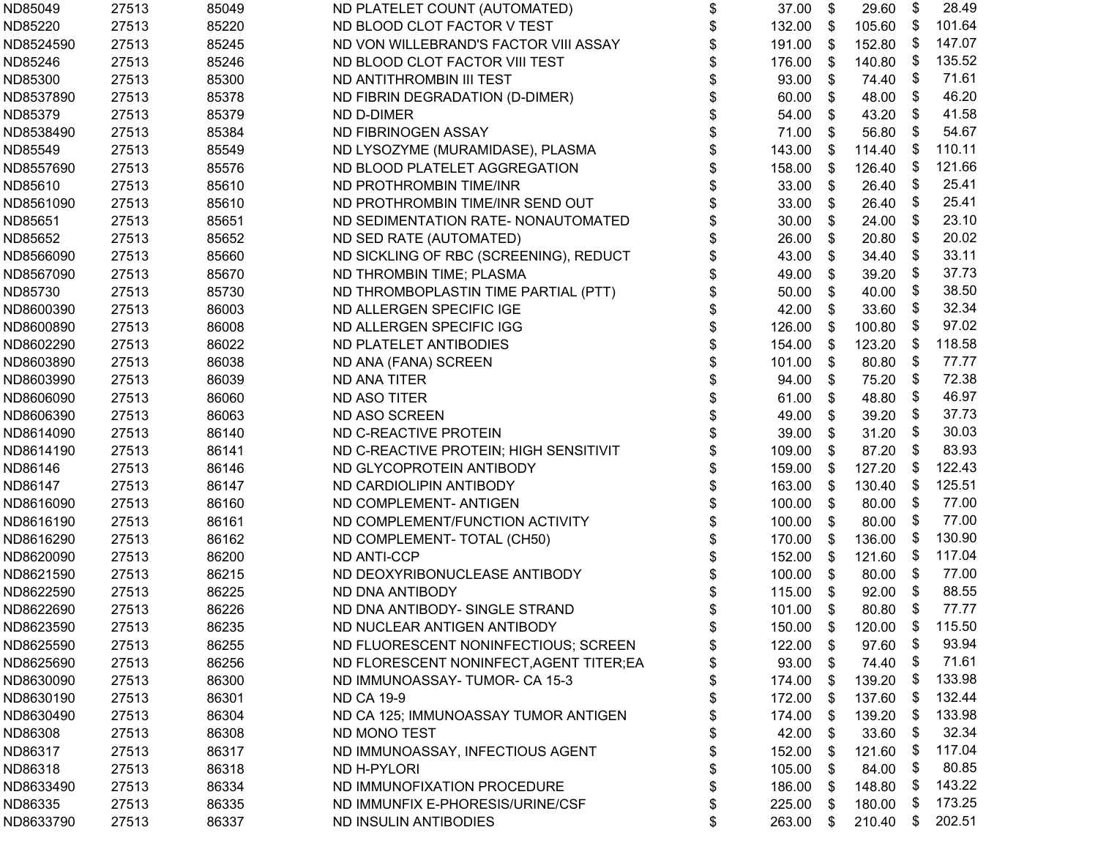| ND85049   | 27513 | 85049 | ND PLATELET COUNT (AUTOMATED)            | \$<br>37.00  | \$   | 29.60  | \$                        | 28.49  |
|-----------|-------|-------|------------------------------------------|--------------|------|--------|---------------------------|--------|
| ND85220   | 27513 | 85220 | ND BLOOD CLOT FACTOR V TEST              | \$<br>132.00 | -\$  | 105.60 | \$                        | 101.64 |
| ND8524590 | 27513 | 85245 | ND VON WILLEBRAND'S FACTOR VIII ASSAY    | \$<br>191.00 | \$   | 152.80 | - \$                      | 147.07 |
| ND85246   | 27513 | 85246 | ND BLOOD CLOT FACTOR VIII TEST           | \$<br>176.00 | \$   | 140.80 | - \$                      | 135.52 |
| ND85300   | 27513 | 85300 | ND ANTITHROMBIN III TEST                 | \$<br>93.00  | \$   | 74.40  | -\$                       | 71.61  |
| ND8537890 | 27513 | 85378 | ND FIBRIN DEGRADATION (D-DIMER)          | \$<br>60.00  | S.   | 48.00  | -\$                       | 46.20  |
| ND85379   | 27513 | 85379 | ND D-DIMER                               | \$<br>54.00  | S.   | 43.20  | \$                        | 41.58  |
| ND8538490 | 27513 | 85384 | ND FIBRINOGEN ASSAY                      | \$<br>71.00  | \$   | 56.80  | \$                        | 54.67  |
| ND85549   | 27513 | 85549 | ND LYSOZYME (MURAMIDASE), PLASMA         | \$<br>143.00 | \$   | 114.40 | \$                        | 110.11 |
| ND8557690 | 27513 | 85576 | ND BLOOD PLATELET AGGREGATION            | \$<br>158.00 | \$   | 126.40 | -\$                       | 121.66 |
| ND85610   | 27513 | 85610 | ND PROTHROMBIN TIME/INR                  | \$<br>33.00  | \$   | 26.40  | \$                        | 25.41  |
| ND8561090 | 27513 | 85610 | ND PROTHROMBIN TIME/INR SEND OUT         | \$<br>33.00  | \$   | 26.40  | \$                        | 25.41  |
| ND85651   | 27513 | 85651 | ND SEDIMENTATION RATE- NONAUTOMATED      | \$<br>30.00  | \$   | 24.00  | \$                        | 23.10  |
| ND85652   | 27513 | 85652 | ND SED RATE (AUTOMATED)                  | \$<br>26.00  | \$   | 20.80  | \$                        | 20.02  |
| ND8566090 | 27513 | 85660 | ND SICKLING OF RBC (SCREENING), REDUCT   | \$<br>43.00  | \$   | 34.40  | \$                        | 33.11  |
| ND8567090 | 27513 | 85670 | ND THROMBIN TIME; PLASMA                 | \$<br>49.00  | \$   | 39.20  | \$                        | 37.73  |
| ND85730   | 27513 | 85730 | ND THROMBOPLASTIN TIME PARTIAL (PTT)     | \$<br>50.00  | \$   | 40.00  | \$                        | 38.50  |
| ND8600390 | 27513 | 86003 | ND ALLERGEN SPECIFIC IGE                 | \$<br>42.00  | \$   | 33.60  | \$                        | 32.34  |
| ND8600890 | 27513 | 86008 | ND ALLERGEN SPECIFIC IGG                 | \$<br>126.00 | \$   | 100.80 | \$                        | 97.02  |
| ND8602290 | 27513 | 86022 | ND PLATELET ANTIBODIES                   | \$<br>154.00 | \$   | 123.20 | - \$                      | 118.58 |
| ND8603890 | 27513 | 86038 | ND ANA (FANA) SCREEN                     | \$<br>101.00 | \$   | 80.80  | -\$                       | 77.77  |
| ND8603990 | 27513 | 86039 | ND ANA TITER                             | \$<br>94.00  | S.   | 75.20  | \$                        | 72.38  |
| ND8606090 | 27513 | 86060 | ND ASO TITER                             | \$<br>61.00  | \$   | 48.80  | \$                        | 46.97  |
| ND8606390 | 27513 | 86063 | ND ASO SCREEN                            | \$<br>49.00  | \$   | 39.20  | \$                        | 37.73  |
| ND8614090 | 27513 | 86140 | ND C-REACTIVE PROTEIN                    | \$<br>39.00  | \$   | 31.20  | \$                        | 30.03  |
| ND8614190 | 27513 | 86141 | ND C-REACTIVE PROTEIN; HIGH SENSITIVIT   | \$<br>109.00 | \$   | 87.20  | \$                        | 83.93  |
| ND86146   | 27513 | 86146 | ND GLYCOPROTEIN ANTIBODY                 | \$<br>159.00 | \$   | 127.20 | - \$                      | 122.43 |
| ND86147   | 27513 | 86147 | ND CARDIOLIPIN ANTIBODY                  | \$<br>163.00 | \$   | 130.40 | - \$                      | 125.51 |
| ND8616090 | 27513 | 86160 | ND COMPLEMENT- ANTIGEN                   | \$<br>100.00 | \$   | 80.00  | \$                        | 77.00  |
| ND8616190 | 27513 | 86161 | ND COMPLEMENT/FUNCTION ACTIVITY          | \$<br>100.00 | S.   | 80.00  | -\$                       | 77.00  |
| ND8616290 | 27513 | 86162 | ND COMPLEMENT- TOTAL (CH50)              | \$<br>170.00 | \$   | 136.00 | - \$                      | 130.90 |
| ND8620090 | 27513 | 86200 | <b>ND ANTI-CCP</b>                       | \$<br>152.00 | \$   | 121.60 | - \$                      | 117.04 |
| ND8621590 | 27513 | 86215 | ND DEOXYRIBONUCLEASE ANTIBODY            | \$<br>100.00 | \$   | 80.00  | \$                        | 77.00  |
| ND8622590 | 27513 | 86225 | ND DNA ANTIBODY                          | \$<br>115.00 | \$   | 92.00  | \$                        | 88.55  |
| ND8622690 | 27513 | 86226 | ND DNA ANTIBODY- SINGLE STRAND           | \$<br>101.00 | \$   | 80.80  | \$                        | 77.77  |
| ND8623590 | 27513 | 86235 | ND NUCLEAR ANTIGEN ANTIBODY              | \$<br>150.00 | - \$ | 120.00 | $\boldsymbol{\mathsf{S}}$ | 115.50 |
| ND8625590 | 27513 | 86255 | ND FLUORESCENT NONINFECTIOUS; SCREEN     | \$<br>122.00 | \$   | 97.60  | \$                        | 93.94  |
| ND8625690 | 27513 | 86256 | ND FLORESCENT NONINFECT, AGENT TITER; EA | 93.00        | - \$ | 74.40  | \$                        | 71.61  |
| ND8630090 | 27513 | 86300 | ND IMMUNOASSAY-TUMOR-CA 15-3             | \$<br>174.00 | - \$ | 139.20 | - \$                      | 133.98 |
| ND8630190 | 27513 | 86301 | <b>ND CA 19-9</b>                        | \$<br>172.00 | - \$ | 137.60 | - \$                      | 132.44 |
| ND8630490 | 27513 | 86304 | ND CA 125; IMMUNOASSAY TUMOR ANTIGEN     | \$<br>174.00 | \$   | 139.20 | - \$                      | 133.98 |
| ND86308   | 27513 | 86308 | ND MONO TEST                             | \$<br>42.00  | - \$ | 33.60  | \$                        | 32.34  |
| ND86317   | 27513 | 86317 | ND IMMUNOASSAY, INFECTIOUS AGENT         | \$<br>152.00 | -S   | 121.60 | - \$                      | 117.04 |
| ND86318   | 27513 | 86318 | ND H-PYLORI                              | \$<br>105.00 | \$   | 84.00  | \$                        | 80.85  |
| ND8633490 | 27513 | 86334 | ND IMMUNOFIXATION PROCEDURE              | \$<br>186.00 | -S   | 148.80 | \$                        | 143.22 |
| ND86335   | 27513 | 86335 | ND IMMUNFIX E-PHORESIS/URINE/CSF         | \$<br>225.00 | S.   | 180.00 | - \$                      | 173.25 |
| ND8633790 | 27513 | 86337 | ND INSULIN ANTIBODIES                    | \$<br>263.00 | \$   | 210.40 | \$                        | 202.51 |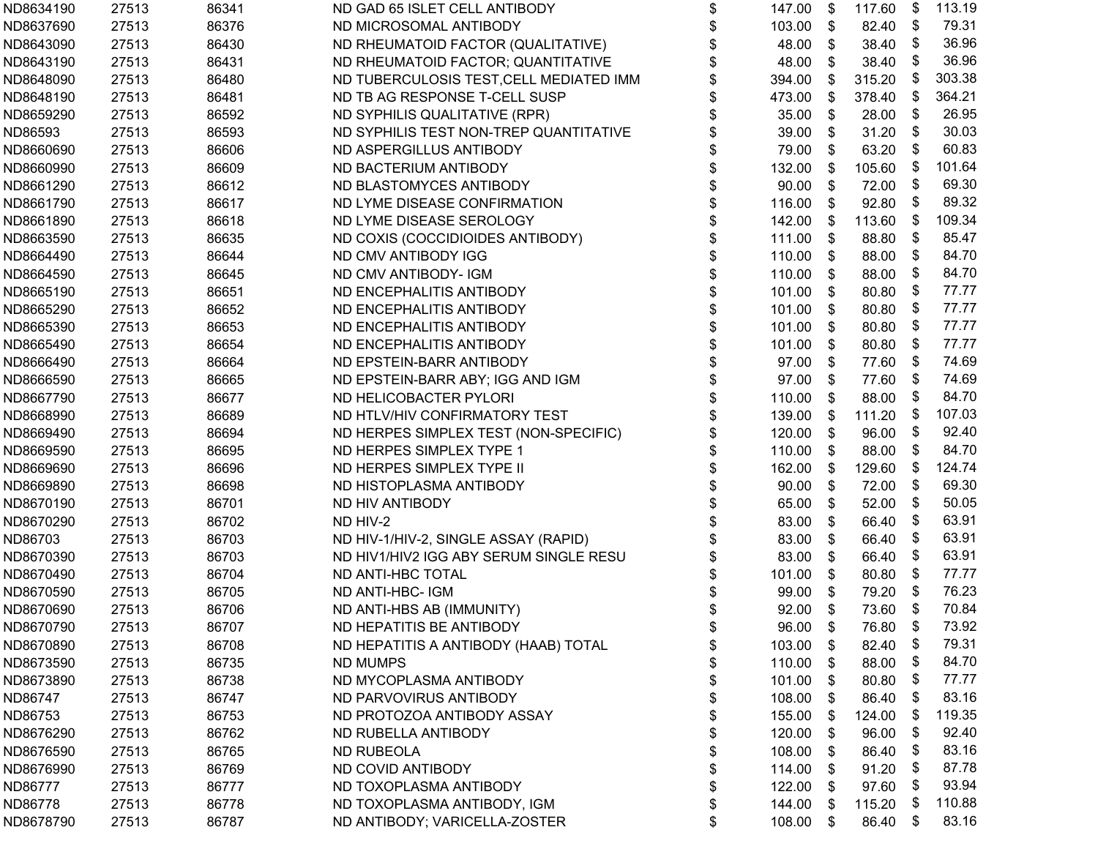| ND8634190 | 27513 | 86341 | ND GAD 65 ISLET CELL ANTIBODY           | \$<br>147.00   | \$ | 117.60 | \$                         | 113.19 |
|-----------|-------|-------|-----------------------------------------|----------------|----|--------|----------------------------|--------|
| ND8637690 | 27513 | 86376 | ND MICROSOMAL ANTIBODY                  | \$<br>103.00   | \$ | 82.40  | \$                         | 79.31  |
| ND8643090 | 27513 | 86430 | ND RHEUMATOID FACTOR (QUALITATIVE)      | \$<br>48.00    | \$ | 38.40  | \$                         | 36.96  |
| ND8643190 | 27513 | 86431 | ND RHEUMATOID FACTOR; QUANTITATIVE      | \$<br>48.00    | \$ | 38.40  | \$                         | 36.96  |
| ND8648090 | 27513 | 86480 | ND TUBERCULOSIS TEST, CELL MEDIATED IMM | \$<br>394.00   | \$ | 315.20 | \$                         | 303.38 |
| ND8648190 | 27513 | 86481 | ND TB AG RESPONSE T-CELL SUSP           | 473.00         | \$ | 378.40 | \$                         | 364.21 |
| ND8659290 | 27513 | 86592 | ND SYPHILIS QUALITATIVE (RPR)           | 35.00          | \$ | 28.00  | - \$                       | 26.95  |
| ND86593   | 27513 | 86593 | ND SYPHILIS TEST NON-TREP QUANTITATIVE  | 39.00          | \$ | 31.20  | \$                         | 30.03  |
| ND8660690 | 27513 | 86606 | ND ASPERGILLUS ANTIBODY                 | 79.00          | \$ | 63.20  | \$                         | 60.83  |
| ND8660990 | 27513 | 86609 | ND BACTERIUM ANTIBODY                   | \$<br>132.00   | \$ | 105.60 | - \$                       | 101.64 |
| ND8661290 | 27513 | 86612 | ND BLASTOMYCES ANTIBODY                 | \$<br>90.00    | \$ | 72.00  | \$                         | 69.30  |
| ND8661790 | 27513 | 86617 | ND LYME DISEASE CONFIRMATION            | \$<br>116.00   | \$ | 92.80  | \$                         | 89.32  |
| ND8661890 | 27513 | 86618 | ND LYME DISEASE SEROLOGY                | \$<br>142.00   | \$ | 113.60 | -\$                        | 109.34 |
| ND8663590 | 27513 | 86635 | ND COXIS (COCCIDIOIDES ANTIBODY)        | \$<br>111.00   | \$ | 88.80  | - \$                       | 85.47  |
| ND8664490 | 27513 | 86644 | ND CMV ANTIBODY IGG                     | 110.00         | -S | 88.00  | - \$                       | 84.70  |
| ND8664590 | 27513 | 86645 | ND CMV ANTIBODY- IGM                    | \$<br>110.00   | \$ | 88.00  | \$                         | 84.70  |
| ND8665190 | 27513 | 86651 | ND ENCEPHALITIS ANTIBODY                | \$<br>101.00   | \$ | 80.80  | \$                         | 77.77  |
| ND8665290 | 27513 | 86652 | ND ENCEPHALITIS ANTIBODY                | \$<br>101.00   | \$ | 80.80  | \$                         | 77.77  |
| ND8665390 | 27513 | 86653 | ND ENCEPHALITIS ANTIBODY                | \$<br>101.00   | \$ | 80.80  | \$                         | 77.77  |
| ND8665490 | 27513 | 86654 | ND ENCEPHALITIS ANTIBODY                | \$<br>101.00   | \$ | 80.80  | - \$                       | 77.77  |
| ND8666490 | 27513 | 86664 | ND EPSTEIN-BARR ANTIBODY                | \$<br>97.00    | \$ | 77.60  | \$                         | 74.69  |
| ND8666590 | 27513 | 86665 | ND EPSTEIN-BARR ABY; IGG AND IGM        | \$<br>97.00    | \$ | 77.60  | \$                         | 74.69  |
| ND8667790 | 27513 | 86677 | ND HELICOBACTER PYLORI                  | 110.00         | \$ | 88.00  | - \$                       | 84.70  |
| ND8668990 | 27513 | 86689 | ND HTLV/HIV CONFIRMATORY TEST           | \$<br>139.00   | \$ | 111.20 | -\$                        | 107.03 |
| ND8669490 | 27513 | 86694 | ND HERPES SIMPLEX TEST (NON-SPECIFIC)   | 120.00         | \$ | 96.00  | \$                         | 92.40  |
| ND8669590 | 27513 | 86695 | ND HERPES SIMPLEX TYPE 1                | \$<br>110.00   | \$ | 88.00  | \$                         | 84.70  |
| ND8669690 | 27513 | 86696 | ND HERPES SIMPLEX TYPE II               | \$<br>162.00   | \$ | 129.60 | - \$                       | 124.74 |
| ND8669890 | 27513 | 86698 | ND HISTOPLASMA ANTIBODY                 | \$<br>90.00    | \$ | 72.00  | \$                         | 69.30  |
| ND8670190 | 27513 | 86701 | ND HIV ANTIBODY                         | \$<br>65.00    | \$ | 52.00  | \$                         | 50.05  |
| ND8670290 | 27513 | 86702 | ND HIV-2                                | 83.00          | \$ | 66.40  | - \$                       | 63.91  |
| ND86703   | 27513 | 86703 | ND HIV-1/HIV-2, SINGLE ASSAY (RAPID)    | 83.00          | S  | 66.40  | - \$                       | 63.91  |
| ND8670390 | 27513 | 86703 | ND HIV1/HIV2 IGG ABY SERUM SINGLE RESU  | 83.00          | \$ | 66.40  | \$                         | 63.91  |
| ND8670490 | 27513 | 86704 | ND ANTI-HBC TOTAL                       | 101.00         | \$ | 80.80  | \$                         | 77.77  |
| ND8670590 | 27513 | 86705 | ND ANTI-HBC- IGM                        | \$<br>99.00    | \$ | 79.20  | - \$                       | 76.23  |
| ND8670690 | 27513 | 86706 | ND ANTI-HBS AB (IMMUNITY)               | \$<br>92.00    | \$ | 73.60  | \$                         | 70.84  |
| ND8670790 | 27513 | 86707 | ND HEPATITIS BE ANTIBODY                | \$<br>96.00 \$ |    | 76.80  | $\boldsymbol{\mathsf{\$}}$ | 73.92  |
| ND8670890 | 27513 | 86708 | ND HEPATITIS A ANTIBODY (HAAB) TOTAL    | \$<br>103.00   | \$ | 82.40  | \$                         | 79.31  |
| ND8673590 | 27513 | 86735 | <b>ND MUMPS</b>                         | \$<br>110.00   | \$ | 88.00  | \$                         | 84.70  |
| ND8673890 | 27513 | 86738 | ND MYCOPLASMA ANTIBODY                  | \$<br>101.00   | S  | 80.80  | -5                         | 77.77  |
| ND86747   | 27513 | 86747 | ND PARVOVIRUS ANTIBODY                  | \$<br>108.00   | S  | 86.40  | - \$                       | 83.16  |
| ND86753   | 27513 | 86753 | ND PROTOZOA ANTIBODY ASSAY              | \$<br>155.00   | \$ | 124.00 | - \$                       | 119.35 |
| ND8676290 | 27513 | 86762 | ND RUBELLA ANTIBODY                     | \$<br>120.00   | \$ | 96.00  | \$                         | 92.40  |
| ND8676590 | 27513 | 86765 | <b>ND RUBEOLA</b>                       | \$<br>108.00   | \$ | 86.40  | \$                         | 83.16  |
| ND8676990 | 27513 | 86769 | ND COVID ANTIBODY                       | \$<br>114.00   | \$ | 91.20  | \$                         | 87.78  |
| ND86777   | 27513 | 86777 | ND TOXOPLASMA ANTIBODY                  | \$<br>122.00   | S  | 97.60  | \$                         | 93.94  |
| ND86778   | 27513 | 86778 | ND TOXOPLASMA ANTIBODY, IGM             | \$<br>144.00   | S  | 115.20 | - \$                       | 110.88 |
| ND8678790 | 27513 | 86787 | ND ANTIBODY; VARICELLA-ZOSTER           | \$<br>108.00   | \$ | 86.40  | \$                         | 83.16  |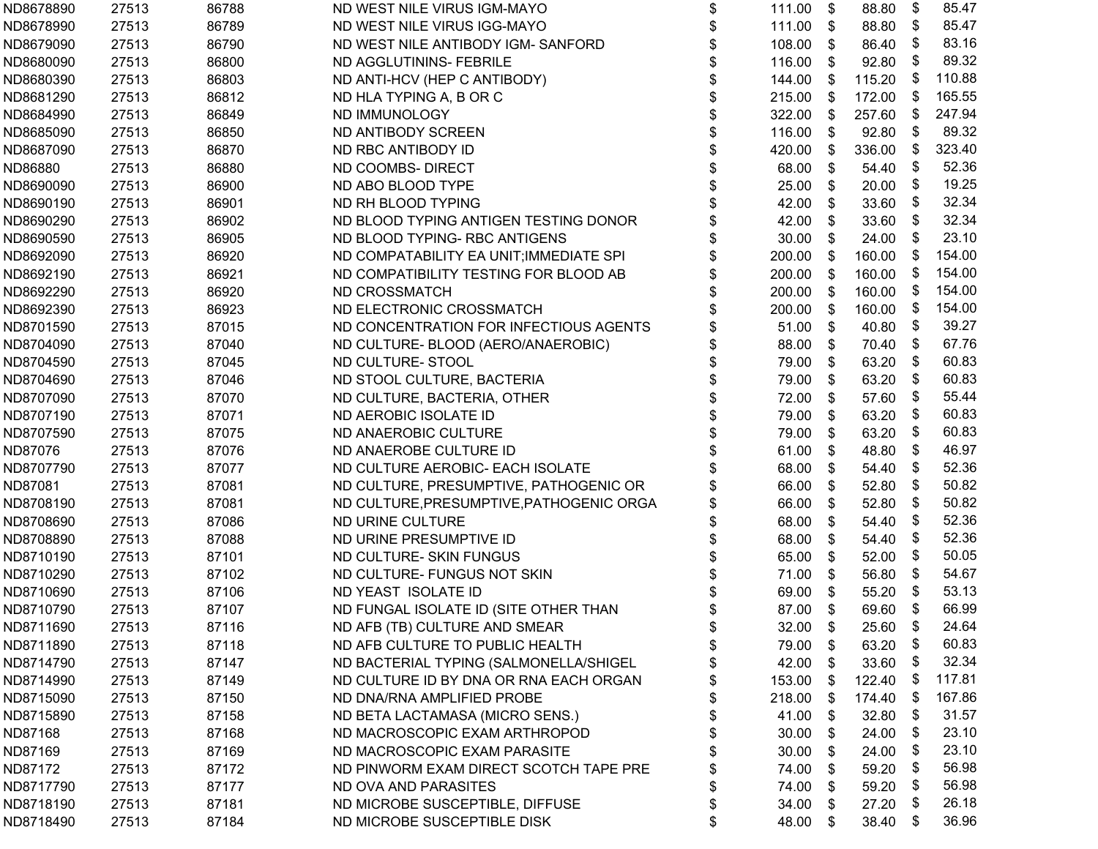| ND8678890 | 27513 | 86788 | ND WEST NILE VIRUS IGM-MAYO              | \$<br>111.00   | \$                        | 88.80  | \$<br>85.47  |
|-----------|-------|-------|------------------------------------------|----------------|---------------------------|--------|--------------|
| ND8678990 | 27513 | 86789 | ND WEST NILE VIRUS IGG-MAYO              | \$<br>111.00   | \$                        | 88.80  | \$<br>85.47  |
| ND8679090 | 27513 | 86790 | ND WEST NILE ANTIBODY IGM- SANFORD       | \$<br>108.00   | \$                        | 86.40  | \$<br>83.16  |
| ND8680090 | 27513 | 86800 | ND AGGLUTININS- FEBRILE                  | \$<br>116.00   | \$                        | 92.80  | \$<br>89.32  |
| ND8680390 | 27513 | 86803 | ND ANTI-HCV (HEP C ANTIBODY)             | \$<br>144.00   | \$                        | 115.20 | \$<br>110.88 |
| ND8681290 | 27513 | 86812 | ND HLA TYPING A, B OR C                  | \$<br>215.00   | \$                        | 172.00 | \$<br>165.55 |
| ND8684990 | 27513 | 86849 | ND IMMUNOLOGY                            | 322.00         | \$                        | 257.60 | \$<br>247.94 |
| ND8685090 | 27513 | 86850 | ND ANTIBODY SCREEN                       | \$<br>116.00   | \$                        | 92.80  | \$<br>89.32  |
| ND8687090 | 27513 | 86870 | ND RBC ANTIBODY ID                       | \$<br>420.00   | \$                        | 336.00 | \$<br>323.40 |
| ND86880   | 27513 | 86880 | ND COOMBS- DIRECT                        | \$<br>68.00    | \$                        | 54.40  | \$<br>52.36  |
| ND8690090 | 27513 | 86900 | ND ABO BLOOD TYPE                        | \$<br>25.00    | \$                        | 20.00  | \$<br>19.25  |
| ND8690190 | 27513 | 86901 | ND RH BLOOD TYPING                       | \$<br>42.00    | \$                        | 33.60  | \$<br>32.34  |
| ND8690290 | 27513 | 86902 | ND BLOOD TYPING ANTIGEN TESTING DONOR    | \$<br>42.00    | \$                        | 33.60  | \$<br>32.34  |
| ND8690590 | 27513 | 86905 | ND BLOOD TYPING- RBC ANTIGENS            | 30.00          | \$                        | 24.00  | \$<br>23.10  |
| ND8692090 | 27513 | 86920 | ND COMPATABILITY EA UNIT; IMMEDIATE SPI  | 200.00         | \$                        | 160.00 | \$<br>154.00 |
| ND8692190 | 27513 | 86921 | ND COMPATIBILITY TESTING FOR BLOOD AB    | \$<br>200.00   | \$                        | 160.00 | \$<br>154.00 |
| ND8692290 | 27513 | 86920 | ND CROSSMATCH                            | \$<br>200.00   | \$                        | 160.00 | \$<br>154.00 |
| ND8692390 | 27513 | 86923 | ND ELECTRONIC CROSSMATCH                 | 200.00         | $\boldsymbol{\mathsf{s}}$ | 160.00 | \$<br>154.00 |
| ND8701590 | 27513 | 87015 | ND CONCENTRATION FOR INFECTIOUS AGENTS   | \$<br>51.00    | \$                        | 40.80  | \$<br>39.27  |
| ND8704090 | 27513 | 87040 | ND CULTURE- BLOOD (AERO/ANAEROBIC)       | \$<br>88.00    | \$                        | 70.40  | \$<br>67.76  |
| ND8704590 | 27513 | 87045 | ND CULTURE-STOOL                         | \$<br>79.00    | \$                        | 63.20  | \$<br>60.83  |
| ND8704690 | 27513 | 87046 | ND STOOL CULTURE, BACTERIA               | 79.00          | \$                        | 63.20  | \$<br>60.83  |
| ND8707090 | 27513 | 87070 | ND CULTURE, BACTERIA, OTHER              | 72.00          | \$                        | 57.60  | \$<br>55.44  |
| ND8707190 | 27513 | 87071 | ND AEROBIC ISOLATE ID                    | 79.00          | \$                        | 63.20  | \$<br>60.83  |
| ND8707590 | 27513 | 87075 | ND ANAEROBIC CULTURE                     | \$<br>79.00    | \$                        | 63.20  | \$<br>60.83  |
| ND87076   | 27513 | 87076 | ND ANAEROBE CULTURE ID                   | 61.00          | \$                        | 48.80  | \$<br>46.97  |
| ND8707790 | 27513 | 87077 | ND CULTURE AEROBIC- EACH ISOLATE         | \$<br>68.00    | \$                        | 54.40  | \$<br>52.36  |
| ND87081   | 27513 | 87081 | ND CULTURE, PRESUMPTIVE, PATHOGENIC OR   | \$<br>66.00    | \$                        | 52.80  | \$<br>50.82  |
| ND8708190 | 27513 | 87081 | ND CULTURE, PRESUMPTIVE, PATHOGENIC ORGA | 66.00          | \$                        | 52.80  | \$<br>50.82  |
| ND8708690 | 27513 | 87086 | ND URINE CULTURE                         | 68.00          | \$                        | 54.40  | \$<br>52.36  |
| ND8708890 | 27513 | 87088 | ND URINE PRESUMPTIVE ID                  | 68.00          | \$                        | 54.40  | \$<br>52.36  |
| ND8710190 | 27513 | 87101 | ND CULTURE- SKIN FUNGUS                  | 65.00          | \$                        | 52.00  | \$<br>50.05  |
| ND8710290 | 27513 | 87102 | ND CULTURE- FUNGUS NOT SKIN              | \$<br>71.00    | \$                        | 56.80  | \$<br>54.67  |
| ND8710690 | 27513 | 87106 | ND YEAST ISOLATE ID                      | 69.00          | $\boldsymbol{\mathsf{s}}$ | 55.20  | \$<br>53.13  |
| ND8710790 | 27513 | 87107 | ND FUNGAL ISOLATE ID (SITE OTHER THAN    | \$<br>87.00    | \$                        | 69.60  | \$<br>66.99  |
| ND8711690 | 27513 | 87116 | ND AFB (TB) CULTURE AND SMEAR            | \$<br>32.00 \$ |                           | 25.60  | \$<br>24.64  |
| ND8711890 | 27513 | 87118 | ND AFB CULTURE TO PUBLIC HEALTH          | \$<br>79.00    | \$                        | 63.20  | \$<br>60.83  |
| ND8714790 | 27513 | 87147 | ND BACTERIAL TYPING (SALMONELLA/SHIGEL   | \$<br>42.00    | \$                        | 33.60  | \$<br>32.34  |
| ND8714990 | 27513 | 87149 | ND CULTURE ID BY DNA OR RNA EACH ORGAN   | 153.00         | \$                        | 122.40 | \$<br>117.81 |
| ND8715090 | 27513 | 87150 | ND DNA/RNA AMPLIFIED PROBE               | 218.00         | - \$                      | 174.40 | \$<br>167.86 |
| ND8715890 | 27513 | 87158 | ND BETA LACTAMASA (MICRO SENS.)          | \$<br>41.00    | \$                        | 32.80  | \$<br>31.57  |
| ND87168   | 27513 | 87168 | ND MACROSCOPIC EXAM ARTHROPOD            | \$<br>30.00    | \$                        | 24.00  | \$<br>23.10  |
| ND87169   | 27513 | 87169 | ND MACROSCOPIC EXAM PARASITE             | \$<br>30.00    | \$                        | 24.00  | \$<br>23.10  |
| ND87172   | 27513 | 87172 | ND PINWORM EXAM DIRECT SCOTCH TAPE PRE   | \$<br>74.00    | \$                        | 59.20  | \$<br>56.98  |
| ND8717790 | 27513 | 87177 | ND OVA AND PARASITES                     | 74.00          | -SS                       | 59.20  | \$<br>56.98  |
| ND8718190 | 27513 | 87181 | ND MICROBE SUSCEPTIBLE, DIFFUSE          | \$<br>34.00    | - \$                      | 27.20  | \$<br>26.18  |
| ND8718490 | 27513 | 87184 | ND MICROBE SUSCEPTIBLE DISK              | \$<br>48.00    | \$                        | 38.40  | \$<br>36.96  |
|           |       |       |                                          |                |                           |        |              |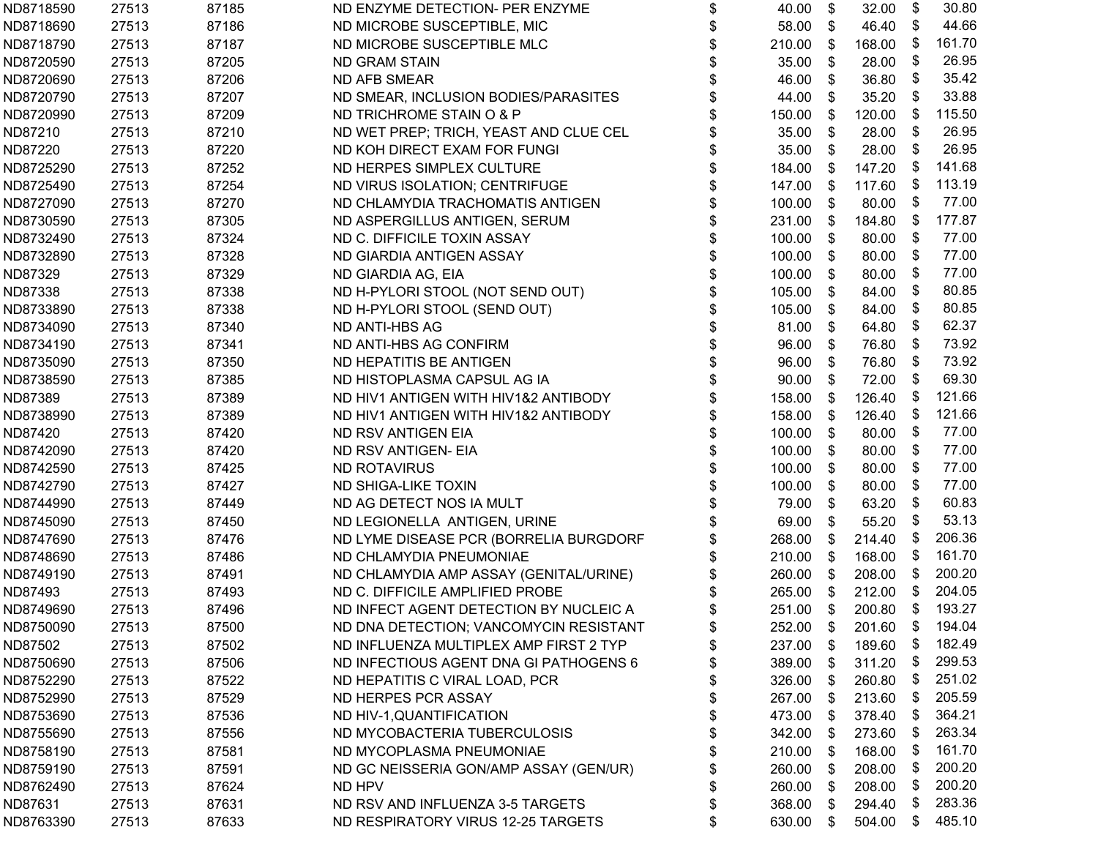| ND8718590 | 27513 | 87185 | ND ENZYME DETECTION- PER ENZYME        | \$<br>40.00     | \$                        | 32.00     | \$   | 30.80            |
|-----------|-------|-------|----------------------------------------|-----------------|---------------------------|-----------|------|------------------|
| ND8718690 | 27513 | 87186 | ND MICROBE SUSCEPTIBLE, MIC            | \$<br>58.00     | $\mathfrak s$             | 46.40     | -\$  | 44.66            |
| ND8718790 | 27513 | 87187 | ND MICROBE SUSCEPTIBLE MLC             | \$<br>210.00    | \$                        | 168.00    | - \$ | 161.70           |
| ND8720590 | 27513 | 87205 | <b>ND GRAM STAIN</b>                   | \$<br>35.00     | \$                        | 28.00     | \$   | 26.95            |
| ND8720690 | 27513 | 87206 | <b>ND AFB SMEAR</b>                    | \$<br>46.00     | \$                        | 36.80     | \$   | 35.42            |
| ND8720790 | 27513 | 87207 | ND SMEAR, INCLUSION BODIES/PARASITES   | \$<br>44.00     | \$                        | 35.20     | - \$ | 33.88            |
| ND8720990 | 27513 | 87209 | ND TRICHROME STAIN O & P               | 150.00          | \$                        | 120.00    | - \$ | 115.50           |
| ND87210   | 27513 | 87210 | ND WET PREP; TRICH, YEAST AND CLUE CEL | \$<br>35.00     | \$                        | 28.00     | \$   | 26.95            |
| ND87220   | 27513 | 87220 | ND KOH DIRECT EXAM FOR FUNGI           | \$<br>35.00     | \$                        | 28.00     | \$   | 26.95            |
| ND8725290 | 27513 | 87252 | ND HERPES SIMPLEX CULTURE              | \$<br>184.00    | \$                        | 147.20    | - \$ | 141.68           |
| ND8725490 | 27513 | 87254 | ND VIRUS ISOLATION; CENTRIFUGE         | \$<br>147.00    | \$                        | 117.60    | \$   | 113.19           |
| ND8727090 | 27513 | 87270 | ND CHLAMYDIA TRACHOMATIS ANTIGEN       | \$<br>100.00    | \$                        | 80.00     | - \$ | 77.00            |
| ND8730590 | 27513 | 87305 | ND ASPERGILLUS ANTIGEN, SERUM          | \$<br>231.00    | \$                        | 184.80    | \$   | 177.87           |
| ND8732490 | 27513 | 87324 | ND C. DIFFICILE TOXIN ASSAY            | \$<br>100.00    | \$                        | 80.00     | - \$ | 77.00            |
| ND8732890 | 27513 | 87328 | ND GIARDIA ANTIGEN ASSAY               | \$<br>100.00    | - \$                      | 80.00     | - \$ | 77.00            |
| ND87329   | 27513 | 87329 | ND GIARDIA AG, EIA                     | \$<br>100.00    | \$                        | 80.00     | - \$ | 77.00            |
| ND87338   | 27513 | 87338 | ND H-PYLORI STOOL (NOT SEND OUT)       | \$<br>105.00    | \$                        | 84.00     | \$   | 80.85            |
| ND8733890 | 27513 | 87338 | ND H-PYLORI STOOL (SEND OUT)           | \$<br>105.00    | \$                        | 84.00     | \$   | 80.85            |
| ND8734090 | 27513 | 87340 | ND ANTI-HBS AG                         | \$<br>81.00     | \$                        | 64.80     | \$   | 62.37            |
| ND8734190 | 27513 | 87341 | ND ANTI-HBS AG CONFIRM                 | \$<br>96.00     | \$                        | 76.80     | - \$ | 73.92            |
| ND8735090 | 27513 | 87350 | ND HEPATITIS BE ANTIGEN                | \$<br>96.00     | \$                        | 76.80     | \$   | 73.92            |
| ND8738590 | 27513 | 87385 | ND HISTOPLASMA CAPSUL AG IA            | \$<br>90.00     | \$                        | 72.00     | - \$ | 69.30            |
| ND87389   | 27513 | 87389 | ND HIV1 ANTIGEN WITH HIV1&2 ANTIBODY   | \$<br>158.00    | \$                        | 126.40    | - \$ | 121.66           |
| ND8738990 | 27513 | 87389 | ND HIV1 ANTIGEN WITH HIV1&2 ANTIBODY   | \$<br>158.00    | \$                        | 126.40    | - \$ | 121.66           |
| ND87420   | 27513 | 87420 | ND RSV ANTIGEN EIA                     | \$<br>100.00    | $\boldsymbol{\mathsf{s}}$ | 80.00     | -\$  | 77.00            |
| ND8742090 | 27513 | 87420 | ND RSV ANTIGEN- EIA                    | \$<br>100.00    | $\boldsymbol{\mathsf{s}}$ | 80.00     | \$   | 77.00            |
| ND8742590 | 27513 | 87425 | <b>ND ROTAVIRUS</b>                    | \$<br>100.00    | \$                        | 80.00     | - \$ | 77.00            |
| ND8742790 | 27513 | 87427 | ND SHIGA-LIKE TOXIN                    | \$<br>100.00    | \$                        | 80.00     | - \$ | 77.00            |
| ND8744990 | 27513 | 87449 | ND AG DETECT NOS IA MULT               | \$<br>79.00     | \$                        | 63.20     | \$   | 60.83            |
| ND8745090 | 27513 | 87450 | ND LEGIONELLA ANTIGEN, URINE           | \$<br>69.00     | \$                        | 55.20     | \$   | 53.13            |
| ND8747690 | 27513 | 87476 | ND LYME DISEASE PCR (BORRELIA BURGDORF | 268.00          | \$                        | 214.40    | -\$  | 206.36           |
| ND8748690 | 27513 | 87486 | ND CHLAMYDIA PNEUMONIAE                | \$<br>210.00    | \$                        | 168.00    | \$   | 161.70           |
| ND8749190 | 27513 | 87491 | ND CHLAMYDIA AMP ASSAY (GENITAL/URINE) | \$<br>260.00    | \$                        | 208.00    | -\$  | 200.20           |
| ND87493   | 27513 | 87493 | ND C. DIFFICILE AMPLIFIED PROBE        | \$<br>265.00    | \$                        | 212.00 \$ |      | 204.05           |
| ND8749690 | 27513 | 87496 | ND INFECT AGENT DETECTION BY NUCLEIC A | \$<br>251.00    | \$                        | 200.80    | - \$ | 193.27           |
| ND8750090 | 27513 | 87500 | ND DNA DETECTION; VANCOMYCIN RESISTANT | \$<br>252.00 \$ |                           |           |      | 201.60 \$ 194.04 |
| ND87502   | 27513 | 87502 | ND INFLUENZA MULTIPLEX AMP FIRST 2 TYP | \$<br>237.00    | \$                        | 189.60    | - \$ | 182.49           |
| ND8750690 | 27513 | 87506 | ND INFECTIOUS AGENT DNA GI PATHOGENS 6 | \$<br>389.00    | S                         | 311.20    | - \$ | 299.53           |
| ND8752290 | 27513 | 87522 | ND HEPATITIS C VIRAL LOAD, PCR         | 326.00          | S.                        | 260.80    | - \$ | 251.02           |
| ND8752990 | 27513 | 87529 | ND HERPES PCR ASSAY                    | \$<br>267.00    | -\$                       | 213.60    | - \$ | 205.59           |
| ND8753690 | 27513 | 87536 | ND HIV-1, QUANTIFICATION               | \$<br>473.00    | \$                        | 378.40    | - \$ | 364.21           |
| ND8755690 | 27513 | 87556 | ND MYCOBACTERIA TUBERCULOSIS           | \$<br>342.00    | \$                        | 273.60    | - \$ | 263.34           |
| ND8758190 | 27513 | 87581 | ND MYCOPLASMA PNEUMONIAE               | \$<br>210.00    | S                         | 168.00    | - \$ | 161.70           |
| ND8759190 | 27513 | 87591 | ND GC NEISSERIA GON/AMP ASSAY (GEN/UR) | \$<br>260.00    | S.                        | 208.00    | - \$ | 200.20           |
| ND8762490 | 27513 | 87624 | ND HPV                                 | \$<br>260.00    | S.                        | 208.00    | - \$ | 200.20           |
| ND87631   | 27513 | 87631 | ND RSV AND INFLUENZA 3-5 TARGETS       | \$<br>368.00    | -S                        | 294.40    | - \$ | 283.36           |
| ND8763390 | 27513 | 87633 | ND RESPIRATORY VIRUS 12-25 TARGETS     | \$<br>630.00    | \$                        | 504.00    | \$   | 485.10           |
|           |       |       |                                        |                 |                           |           |      |                  |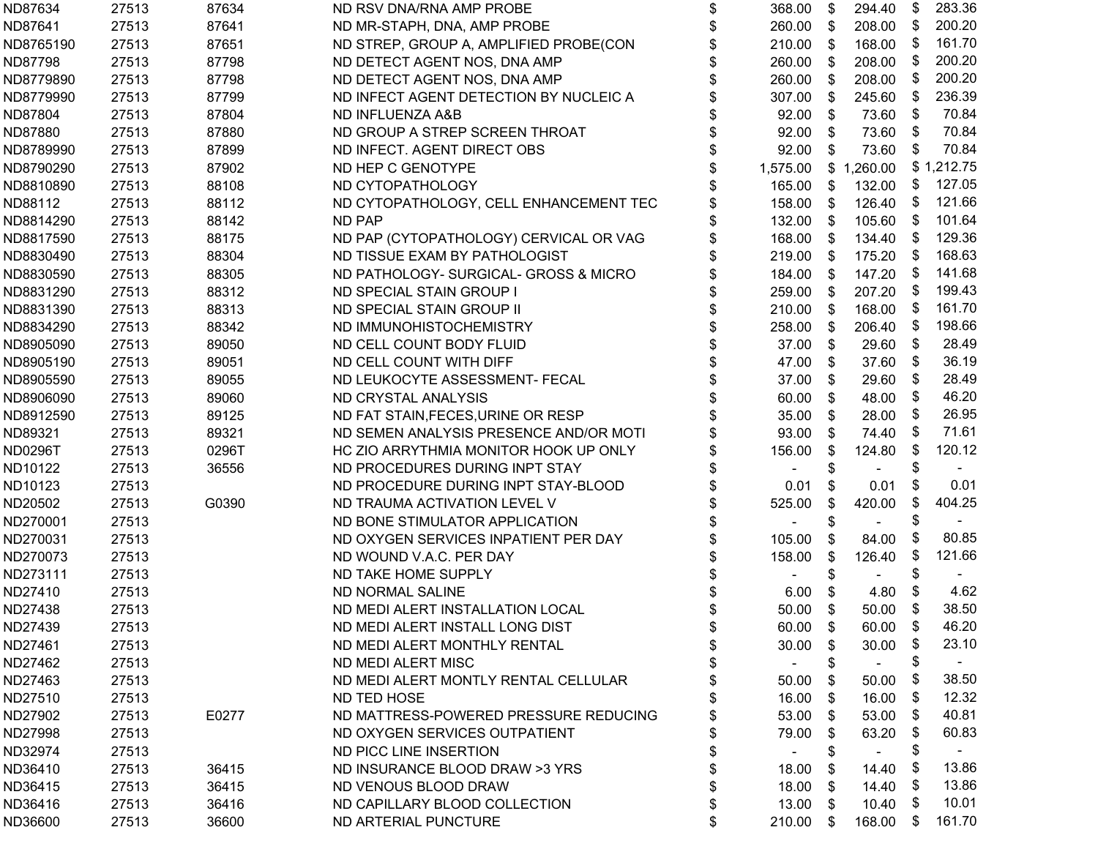| ND87634        | 27513 | 87634 | ND RSV DNA/RNA AMP PROBE               | \$ | 368.00   | \$                        | 294.40     | \$   | 283.36     |
|----------------|-------|-------|----------------------------------------|----|----------|---------------------------|------------|------|------------|
| ND87641        | 27513 | 87641 | ND MR-STAPH, DNA, AMP PROBE            | \$ | 260.00   | \$                        | 208.00     | -\$  | 200.20     |
| ND8765190      | 27513 | 87651 | ND STREP, GROUP A, AMPLIFIED PROBE(CON | \$ | 210.00   | \$                        | 168.00     | -\$  | 161.70     |
| ND87798        | 27513 | 87798 | ND DETECT AGENT NOS, DNA AMP           | \$ | 260.00   | \$                        | 208.00     | - \$ | 200.20     |
| ND8779890      | 27513 | 87798 | ND DETECT AGENT NOS, DNA AMP           |    | 260.00   | \$                        | 208.00     | -\$  | 200.20     |
| ND8779990      | 27513 | 87799 | ND INFECT AGENT DETECTION BY NUCLEIC A |    | 307.00   | \$                        | 245.60     | - \$ | 236.39     |
| ND87804        | 27513 | 87804 | ND INFLUENZA A&B                       |    | 92.00    | \$                        | 73.60      | - \$ | 70.84      |
| ND87880        | 27513 | 87880 | ND GROUP A STREP SCREEN THROAT         |    | 92.00    | \$                        | 73.60      | \$   | 70.84      |
| ND8789990      | 27513 | 87899 | ND INFECT. AGENT DIRECT OBS            |    | 92.00    | \$                        | 73.60      | -\$  | 70.84      |
| ND8790290      | 27513 | 87902 | ND HEP C GENOTYPE                      |    | 1,575.00 |                           | \$1,260.00 |      | \$1,212.75 |
| ND8810890      | 27513 | 88108 | ND CYTOPATHOLOGY                       |    | 165.00   | \$                        | 132.00     | \$   | 127.05     |
| ND88112        | 27513 | 88112 | ND CYTOPATHOLOGY, CELL ENHANCEMENT TEC |    | 158.00   | \$                        | 126.40     | - \$ | 121.66     |
| ND8814290      | 27513 | 88142 | <b>ND PAP</b>                          |    | 132.00   | \$                        | 105.60     | -\$  | 101.64     |
| ND8817590      | 27513 | 88175 | ND PAP (CYTOPATHOLOGY) CERVICAL OR VAG |    | 168.00   | -\$                       | 134.40     | - \$ | 129.36     |
| ND8830490      | 27513 | 88304 | ND TISSUE EXAM BY PATHOLOGIST          |    | 219.00   | - \$                      | 175.20     | - \$ | 168.63     |
| ND8830590      | 27513 | 88305 | ND PATHOLOGY- SURGICAL- GROSS & MICRO  |    | 184.00   | \$                        | 147.20     | - \$ | 141.68     |
| ND8831290      | 27513 | 88312 | ND SPECIAL STAIN GROUP I               |    | 259.00   | $\boldsymbol{\mathsf{s}}$ | 207.20     | -\$  | 199.43     |
| ND8831390      | 27513 | 88313 | ND SPECIAL STAIN GROUP II              | \$ | 210.00   | \$                        | 168.00     | -\$  | 161.70     |
| ND8834290      | 27513 | 88342 | ND IMMUNOHISTOCHEMISTRY                | \$ | 258.00   | \$                        | 206.40     | - \$ | 198.66     |
| ND8905090      | 27513 | 89050 | ND CELL COUNT BODY FLUID               | \$ | 37.00    | \$                        | 29.60      | -\$  | 28.49      |
| ND8905190      | 27513 | 89051 | ND CELL COUNT WITH DIFF                | \$ | 47.00    | - \$                      | 37.60      | -\$  | 36.19      |
| ND8905590      | 27513 | 89055 | ND LEUKOCYTE ASSESSMENT- FECAL         |    | 37.00    | \$                        | 29.60      | -\$  | 28.49      |
| ND8906090      | 27513 | 89060 | ND CRYSTAL ANALYSIS                    |    | 60.00    | \$                        | 48.00      | - \$ | 46.20      |
| ND8912590      | 27513 | 89125 | ND FAT STAIN, FECES, URINE OR RESP     |    | 35.00    | \$                        | 28.00      | -\$  | 26.95      |
| ND89321        | 27513 | 89321 | ND SEMEN ANALYSIS PRESENCE AND/OR MOTI |    | 93.00    | \$                        | 74.40      | - \$ | 71.61      |
| <b>ND0296T</b> | 27513 | 0296T | HC ZIO ARRYTHMIA MONITOR HOOK UP ONLY  |    | 156.00   | \$                        | 124.80     | -\$  | 120.12     |
| ND10122        | 27513 | 36556 | ND PROCEDURES DURING INPT STAY         | \$ |          | \$                        |            | \$   |            |
| ND10123        | 27513 |       | ND PROCEDURE DURING INPT STAY-BLOOD    | \$ | 0.01     | \$                        | 0.01       | \$   | 0.01       |
| ND20502        | 27513 | G0390 | ND TRAUMA ACTIVATION LEVEL V           | \$ | 525.00   | \$                        | 420.00     | S    | 404.25     |
| ND270001       | 27513 |       | ND BONE STIMULATOR APPLICATION         |    |          | \$                        |            | \$   |            |
| ND270031       | 27513 |       | ND OXYGEN SERVICES INPATIENT PER DAY   |    | 105.00   | \$                        | 84.00      | -5   | 80.85      |
| ND270073       | 27513 |       | ND WOUND V.A.C. PER DAY                |    | 158.00   | \$                        | 126.40     | - \$ | 121.66     |
| ND273111       | 27513 |       | ND TAKE HOME SUPPLY                    |    |          | \$                        |            | \$   |            |
| ND27410        | 27513 |       | ND NORMAL SALINE                       |    | 6.00     | \$                        | 4.80       | \$   | 4.62       |
| ND27438        | 27513 |       | ND MEDI ALERT INSTALLATION LOCAL       | \$ | 50.00    | -\$                       | 50.00      | \$   | 38.50      |
| ND27439        | 27513 |       | ND MEDI ALERT INSTALL LONG DIST        | Φ  | 60.00    | \$                        | 60.00      | \$   | 46.20      |
| ND27461        | 27513 |       | ND MEDI ALERT MONTHLY RENTAL           | \$ | 30.00    | S                         | 30.00      | \$   | 23.10      |
| ND27462        | 27513 |       | ND MEDI ALERT MISC                     |    |          | \$                        |            | \$   |            |
| ND27463        | 27513 |       | ND MEDI ALERT MONTLY RENTAL CELLULAR   |    | 50.00    | \$                        | 50.00      | \$   | 38.50      |
| ND27510        | 27513 |       | ND TED HOSE                            |    | 16.00    | S.                        | 16.00      | -5   | 12.32      |
| ND27902        | 27513 | E0277 | ND MATTRESS-POWERED PRESSURE REDUCING  |    | 53.00    | \$                        | 53.00      | - \$ | 40.81      |
| ND27998        | 27513 |       | ND OXYGEN SERVICES OUTPATIENT          | \$ | 79.00    | \$                        | 63.20      | \$   | 60.83      |
| ND32974        | 27513 |       | ND PICC LINE INSERTION                 | \$ |          | \$                        |            | \$   |            |
| ND36410        | 27513 | 36415 | ND INSURANCE BLOOD DRAW >3 YRS         | \$ | 18.00    | S                         | 14.40      | \$   | 13.86      |
| ND36415        | 27513 | 36415 | ND VENOUS BLOOD DRAW                   | \$ | 18.00    | \$                        | 14.40      | -5   | 13.86      |
| ND36416        | 27513 | 36416 | ND CAPILLARY BLOOD COLLECTION          | \$ | 13.00    | - \$                      | 10.40      | - \$ | 10.01      |
| ND36600        | 27513 | 36600 | ND ARTERIAL PUNCTURE                   | \$ | 210.00   | - \$                      | 168.00     | - \$ | 161.70     |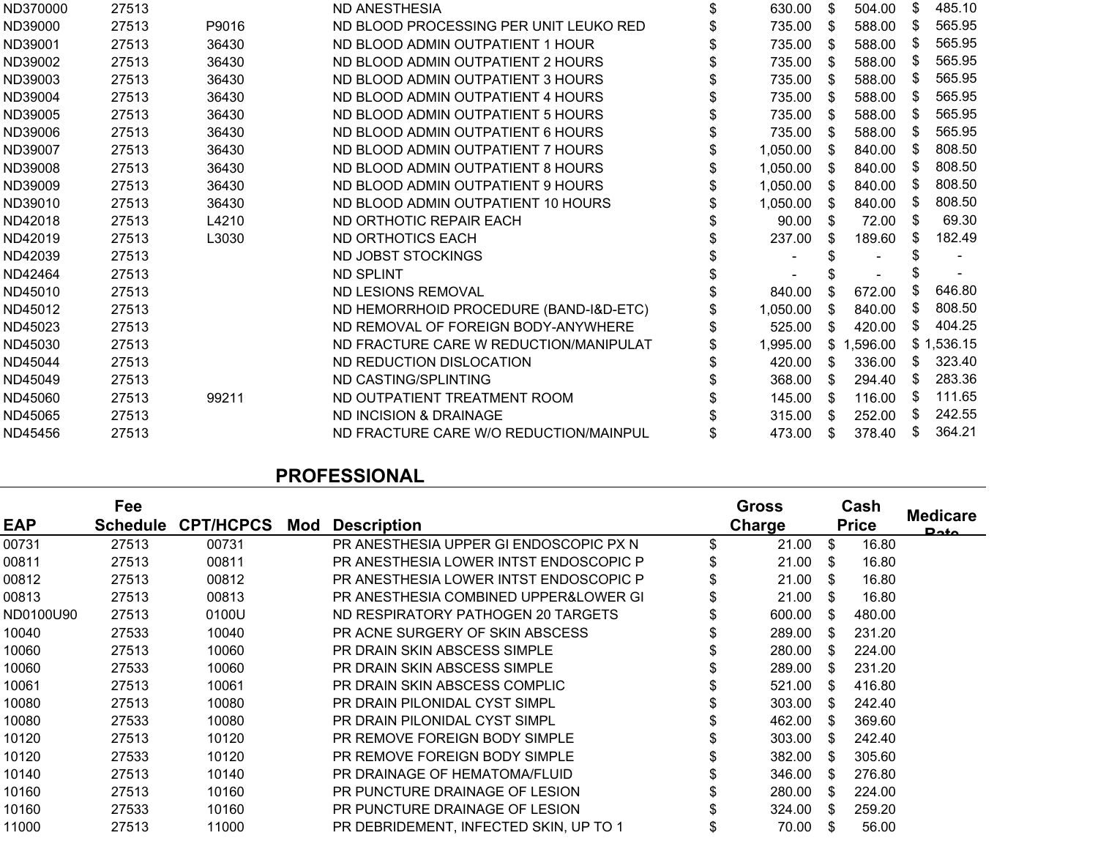| 27513 |       | ND ANESTHESIA                          | 630.00   | \$  | 504.00   | \$   | 485.10     |
|-------|-------|----------------------------------------|----------|-----|----------|------|------------|
| 27513 | P9016 | ND BLOOD PROCESSING PER UNIT LEUKO RED | 735.00   | \$  | 588.00   | \$   | 565.95     |
| 27513 | 36430 | ND BLOOD ADMIN OUTPATIENT 1 HOUR       | 735.00   | S   | 588.00   | -22  | 565.95     |
| 27513 | 36430 | ND BLOOD ADMIN OUTPATIENT 2 HOURS      | 735.00   | S   | 588.00   | SБ   | 565.95     |
| 27513 | 36430 | ND BLOOD ADMIN OUTPATIENT 3 HOURS      | 735.00   | S   | 588.00   |      | 565.95     |
| 27513 | 36430 | ND BLOOD ADMIN OUTPATIENT 4 HOURS      | 735.00   | S   | 588.00   | SБ   | 565.95     |
| 27513 | 36430 | ND BLOOD ADMIN OUTPATIENT 5 HOURS      | 735.00   | S   | 588.00   |      | 565.95     |
| 27513 | 36430 | ND BLOOD ADMIN OUTPATIENT 6 HOURS      | 735.00   | S   | 588.00   |      | 565.95     |
| 27513 | 36430 | ND BLOOD ADMIN OUTPATIENT 7 HOURS      | 1,050.00 | S   | 840.00   |      | 808.50     |
| 27513 | 36430 | ND BLOOD ADMIN OUTPATIENT 8 HOURS      | 1,050.00 | S   | 840.00   |      | 808.50     |
| 27513 | 36430 | ND BLOOD ADMIN OUTPATIENT 9 HOURS      | 1,050.00 | \$. | 840.00   |      | 808.50     |
| 27513 | 36430 | ND BLOOD ADMIN OUTPATIENT 10 HOURS     | 1,050.00 | S   | 840.00   | SБ   | 808.50     |
| 27513 | L4210 | ND ORTHOTIC REPAIR EACH                | 90.00    | S   | 72.00    |      | 69.30      |
| 27513 | L3030 | ND ORTHOTICS EACH                      | 237.00   | S   | 189.60   | S.   | 182.49     |
| 27513 |       | ND JOBST STOCKINGS                     |          |     |          |      |            |
| 27513 |       | <b>ND SPLINT</b>                       |          |     |          |      |            |
| 27513 |       | ND LESIONS REMOVAL                     | 840.00   | \$. | 672.00   |      | 646.80     |
| 27513 |       | ND HEMORRHOID PROCEDURE (BAND-I&D-ETC) | 1,050.00 | S   | 840.00   | S.   | 808.50     |
| 27513 |       | ND REMOVAL OF FOREIGN BODY-ANYWHERE    | 525.00   | S   | 420.00   | S    | 404.25     |
| 27513 |       | ND FRACTURE CARE W REDUCTION/MANIPULAT | 1,995.00 | \$  | 1,596.00 |      | \$1,536.15 |
| 27513 |       | ND REDUCTION DISLOCATION               | 420.00   | \$. | 336.00   | S.   | 323.40     |
| 27513 |       | ND CASTING/SPLINTING                   | 368.00   | \$. | 294.40   | S.   | 283.36     |
| 27513 | 99211 | ND OUTPATIENT TREATMENT ROOM           | 145.00   | S   | 116.00   | - 55 | 111.65     |
| 27513 |       | ND INCISION & DRAINAGE                 | 315.00   | \$. | 252.00   | S.   | 242.55     |
| 27513 |       | ND FRACTURE CARE W/O REDUCTION/MAINPUL | 473.00   | \$. | 378.40   | S.   | 364.21     |
|       |       |                                        |          |     |          |      |            |

## **PROFESSIONAL**

|            | Fee             |                  |     |                                        | <b>Gross</b>  |               | Cash         |                         |
|------------|-----------------|------------------|-----|----------------------------------------|---------------|---------------|--------------|-------------------------|
| <b>EAP</b> | <b>Schedule</b> | <b>CPT/HCPCS</b> | Mod | <b>Description</b>                     | <b>Charge</b> |               | <b>Price</b> | <b>Medicare</b><br>Data |
| 00731      | 27513           | 00731            |     | PR ANESTHESIA UPPER GI ENDOSCOPIC PX N | \$<br>21.00   | \$            | 16.80        |                         |
| 00811      | 27513           | 00811            |     | PR ANESTHESIA LOWER INTST ENDOSCOPIC P | \$<br>21.00   | $\mathfrak s$ | 16.80        |                         |
| 00812      | 27513           | 00812            |     | PR ANESTHESIA LOWER INTST ENDOSCOPIC P | \$<br>21.00   | $\mathcal{S}$ | 16.80        |                         |
| 00813      | 27513           | 00813            |     | PR ANESTHESIA COMBINED UPPER&LOWER GI  | 21.00         | - \$          | 16.80        |                         |
| ND0100U90  | 27513           | 0100U            |     | ND RESPIRATORY PATHOGEN 20 TARGETS     | 600.00        | - \$          | 480.00       |                         |
| 10040      | 27533           | 10040            |     | PR ACNE SURGERY OF SKIN ABSCESS        | 289.00        | -SS           | 231.20       |                         |
| 10060      | 27513           | 10060            |     | PR DRAIN SKIN ABSCESS SIMPLE           | 280.00        | S.            | 224.00       |                         |
| 10060      | 27533           | 10060            |     | PR DRAIN SKIN ABSCESS SIMPLE           | 289.00        | S.            | 231.20       |                         |
| 10061      | 27513           | 10061            |     | PR DRAIN SKIN ABSCESS COMPLIC          | 521.00        | \$.           | 416.80       |                         |
| 10080      | 27513           | 10080            |     | PR DRAIN PILONIDAL CYST SIMPL          | 303.00        | \$.           | 242.40       |                         |
| 10080      | 27533           | 10080            |     | PR DRAIN PILONIDAL CYST SIMPL          | 462.00        | - \$          | 369.60       |                         |
| 10120      | 27513           | 10120            |     | PR REMOVE FOREIGN BODY SIMPLE          | 303.00        | \$.           | 242.40       |                         |
| 10120      | 27533           | 10120            |     | PR REMOVE FOREIGN BODY SIMPLE          | 382.00        | \$.           | 305.60       |                         |
| 10140      | 27513           | 10140            |     | PR DRAINAGE OF HEMATOMA/FLUID          | 346.00        | \$.           | 276.80       |                         |
| 10160      | 27513           | 10160            |     | PR PUNCTURE DRAINAGE OF LESION         | 280.00        | \$.           | 224.00       |                         |
| 10160      | 27533           | 10160            |     | PR PUNCTURE DRAINAGE OF LESION         | 324.00        | \$.           | 259.20       |                         |
| 11000      | 27513           | 11000            |     | PR DEBRIDEMENT, INFECTED SKIN, UP TO 1 | 70.00         | S             | 56.00        |                         |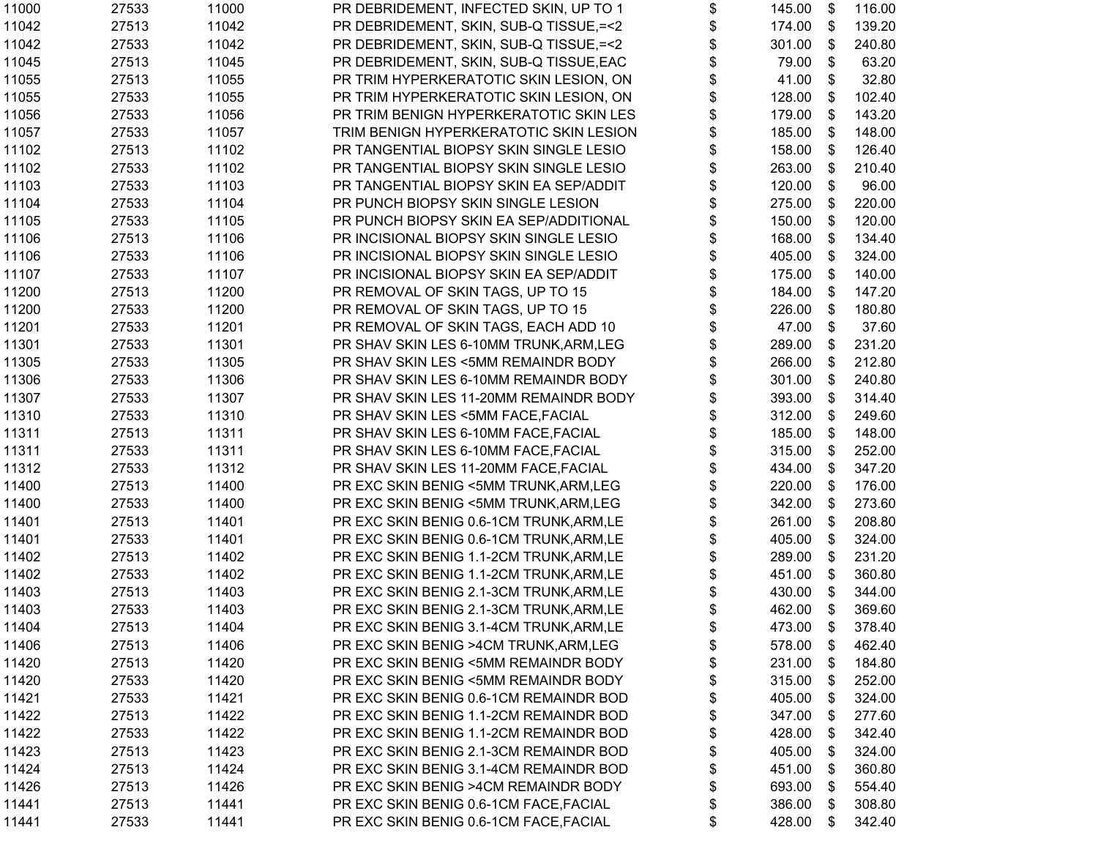| 11000 | 27533 | 11000 | PR DEBRIDEMENT, INFECTED SKIN, UP TO 1    | \$<br>145.00 | \$ | 116.00 |
|-------|-------|-------|-------------------------------------------|--------------|----|--------|
| 11042 | 27513 | 11042 | PR DEBRIDEMENT, SKIN, SUB-Q TISSUE, = < 2 | \$<br>174.00 | \$ | 139.20 |
| 11042 | 27533 | 11042 | PR DEBRIDEMENT, SKIN, SUB-Q TISSUE, = < 2 | \$<br>301.00 | \$ | 240.80 |
| 11045 | 27513 | 11045 | PR DEBRIDEMENT, SKIN, SUB-Q TISSUE, EAC   | \$<br>79.00  | \$ | 63.20  |
| 11055 | 27513 | 11055 | PR TRIM HYPERKERATOTIC SKIN LESION, ON    | \$<br>41.00  | \$ | 32.80  |
| 11055 | 27533 | 11055 | PR TRIM HYPERKERATOTIC SKIN LESION, ON    | \$<br>128.00 | \$ | 102.40 |
| 11056 | 27533 | 11056 | PR TRIM BENIGN HYPERKERATOTIC SKIN LES    | \$<br>179.00 | \$ | 143.20 |
| 11057 | 27533 | 11057 | TRIM BENIGN HYPERKERATOTIC SKIN LESION    | \$<br>185.00 | \$ | 148.00 |
| 11102 | 27513 | 11102 | PR TANGENTIAL BIOPSY SKIN SINGLE LESIO    | \$<br>158.00 | \$ | 126.40 |
| 11102 | 27533 | 11102 | PR TANGENTIAL BIOPSY SKIN SINGLE LESIO    | \$<br>263.00 | \$ | 210.40 |
| 11103 | 27533 | 11103 | PR TANGENTIAL BIOPSY SKIN EA SEP/ADDIT    | \$<br>120.00 | \$ | 96.00  |
| 11104 | 27533 | 11104 | PR PUNCH BIOPSY SKIN SINGLE LESION        | \$<br>275.00 | \$ | 220.00 |
| 11105 | 27533 | 11105 | PR PUNCH BIOPSY SKIN EA SEP/ADDITIONAL    | \$<br>150.00 | \$ | 120.00 |
| 11106 | 27513 | 11106 | PR INCISIONAL BIOPSY SKIN SINGLE LESIO    | \$<br>168.00 | \$ | 134.40 |
| 11106 | 27533 | 11106 | PR INCISIONAL BIOPSY SKIN SINGLE LESIO    | \$<br>405.00 | \$ | 324.00 |
| 11107 | 27533 | 11107 | PR INCISIONAL BIOPSY SKIN EA SEP/ADDIT    | \$<br>175.00 | \$ | 140.00 |
| 11200 | 27513 | 11200 | PR REMOVAL OF SKIN TAGS, UP TO 15         | \$<br>184.00 | \$ | 147.20 |
| 11200 | 27533 | 11200 | PR REMOVAL OF SKIN TAGS, UP TO 15         | \$<br>226.00 | \$ | 180.80 |
| 11201 | 27533 | 11201 | PR REMOVAL OF SKIN TAGS, EACH ADD 10      | \$<br>47.00  | \$ | 37.60  |
| 11301 | 27533 | 11301 | PR SHAV SKIN LES 6-10MM TRUNK, ARM, LEG   | \$<br>289.00 | \$ | 231.20 |
| 11305 | 27533 | 11305 | PR SHAV SKIN LES <5MM REMAINDR BODY       | \$<br>266.00 | \$ | 212.80 |
| 11306 | 27533 | 11306 | PR SHAV SKIN LES 6-10MM REMAINDR BODY     | \$<br>301.00 | \$ | 240.80 |
| 11307 | 27533 | 11307 | PR SHAV SKIN LES 11-20MM REMAINDR BODY    | \$<br>393.00 | \$ | 314.40 |
| 11310 | 27533 | 11310 | PR SHAV SKIN LES <5MM FACE, FACIAL        | \$<br>312.00 | \$ | 249.60 |
| 11311 | 27513 | 11311 | PR SHAV SKIN LES 6-10MM FACE, FACIAL      | \$<br>185.00 | \$ | 148.00 |
| 11311 | 27533 | 11311 | PR SHAV SKIN LES 6-10MM FACE, FACIAL      | \$<br>315.00 | \$ | 252.00 |
| 11312 | 27533 | 11312 | PR SHAV SKIN LES 11-20MM FACE, FACIAL     | \$<br>434.00 | \$ | 347.20 |
| 11400 | 27513 | 11400 | PR EXC SKIN BENIG <5MM TRUNK, ARM, LEG    | \$<br>220.00 | \$ | 176.00 |
| 11400 | 27533 | 11400 | PR EXC SKIN BENIG <5MM TRUNK, ARM, LEG    | \$<br>342.00 | \$ | 273.60 |
| 11401 | 27513 | 11401 | PR EXC SKIN BENIG 0.6-1CM TRUNK, ARM, LE  | \$<br>261.00 | \$ | 208.80 |
| 11401 | 27533 | 11401 | PR EXC SKIN BENIG 0.6-1CM TRUNK, ARM, LE  | \$<br>405.00 | \$ | 324.00 |
| 11402 | 27513 | 11402 | PR EXC SKIN BENIG 1.1-2CM TRUNK, ARM, LE  | \$<br>289.00 | \$ | 231.20 |
| 11402 | 27533 | 11402 | PR EXC SKIN BENIG 1.1-2CM TRUNK, ARM, LE  | \$<br>451.00 | \$ | 360.80 |
| 11403 | 27513 | 11403 | PR EXC SKIN BENIG 2.1-3CM TRUNK, ARM, LE  | \$<br>430.00 | \$ | 344.00 |
| 11403 | 27533 | 11403 | PR EXC SKIN BENIG 2.1-3CM TRUNK, ARM, LE  | \$<br>462.00 | \$ | 369.60 |
| 11404 | 27513 | 11404 | PR EXC SKIN BENIG 3.1-4CM TRUNK, ARM, LE  | \$<br>473.00 | \$ | 378.40 |
| 11406 | 27513 | 11406 | PR EXC SKIN BENIG >4CM TRUNK, ARM, LEG    | \$<br>578.00 | \$ | 462.40 |
| 11420 | 27513 | 11420 | PR EXC SKIN BENIG <5MM REMAINDR BODY      | \$<br>231.00 | \$ | 184.80 |
| 11420 | 27533 | 11420 | PR EXC SKIN BENIG <5MM REMAINDR BODY      | \$<br>315.00 | \$ | 252.00 |
| 11421 | 27533 | 11421 | PR EXC SKIN BENIG 0.6-1CM REMAINDR BOD    | \$<br>405.00 | \$ | 324.00 |
| 11422 | 27513 | 11422 | PR EXC SKIN BENIG 1.1-2CM REMAINDR BOD    | \$<br>347.00 | \$ | 277.60 |
| 11422 | 27533 | 11422 | PR EXC SKIN BENIG 1.1-2CM REMAINDR BOD    | \$<br>428.00 | \$ | 342.40 |
| 11423 | 27513 | 11423 | PR EXC SKIN BENIG 2.1-3CM REMAINDR BOD    | \$<br>405.00 | \$ | 324.00 |
| 11424 | 27513 | 11424 | PR EXC SKIN BENIG 3.1-4CM REMAINDR BOD    | \$<br>451.00 | \$ | 360.80 |
| 11426 | 27513 | 11426 | PR EXC SKIN BENIG >4CM REMAINDR BODY      | \$<br>693.00 | S  | 554.40 |
| 11441 | 27513 | 11441 | PR EXC SKIN BENIG 0.6-1CM FACE, FACIAL    | \$<br>386.00 | S  | 308.80 |
| 11441 | 27533 | 11441 | PR EXC SKIN BENIG 0.6-1CM FACE, FACIAL    | \$<br>428.00 | \$ | 342.40 |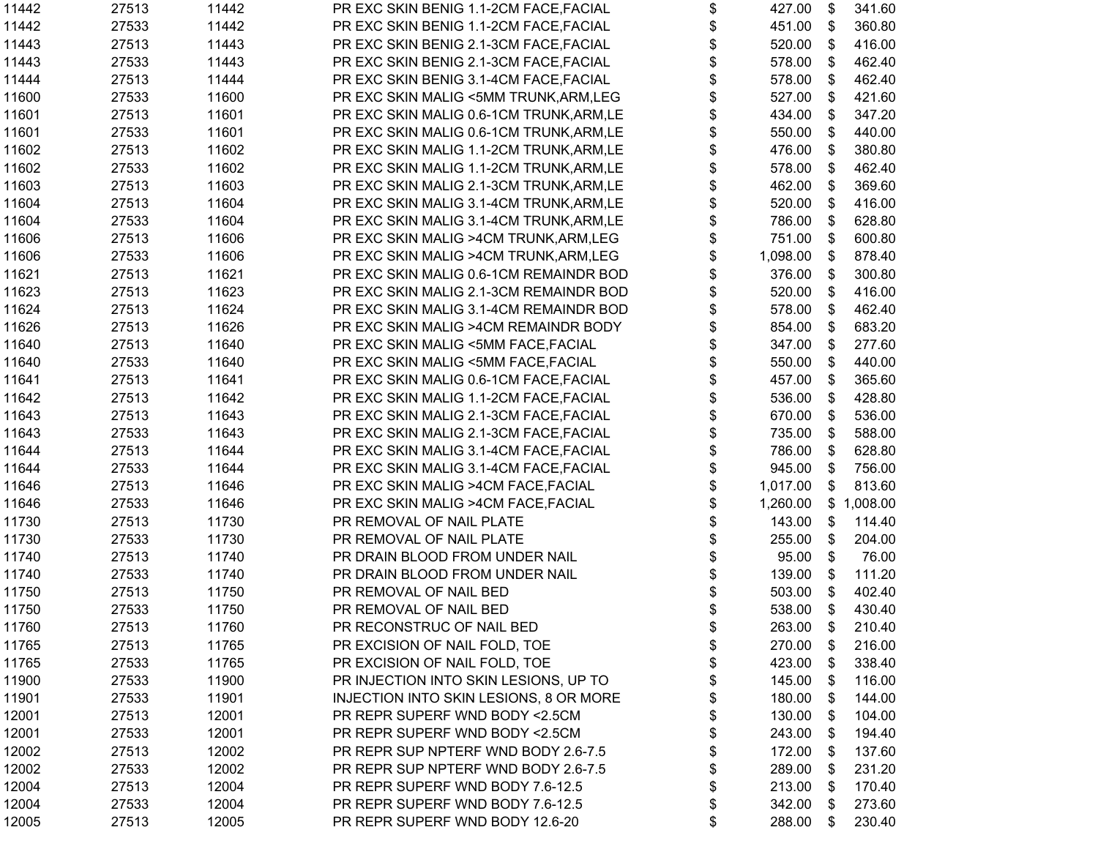| 11442 | 27513 | 11442 | PR EXC SKIN BENIG 1.1-2CM FACE, FACIAL   | \$<br>427.00   | \$                        | 341.60     |
|-------|-------|-------|------------------------------------------|----------------|---------------------------|------------|
| 11442 | 27533 | 11442 | PR EXC SKIN BENIG 1.1-2CM FACE, FACIAL   | \$<br>451.00   | \$                        | 360.80     |
| 11443 | 27513 | 11443 | PR EXC SKIN BENIG 2.1-3CM FACE, FACIAL   | \$<br>520.00   | \$                        | 416.00     |
| 11443 | 27533 | 11443 | PR EXC SKIN BENIG 2.1-3CM FACE, FACIAL   | \$<br>578.00   | \$                        | 462.40     |
| 11444 | 27513 | 11444 | PR EXC SKIN BENIG 3.1-4CM FACE, FACIAL   | \$<br>578.00   | \$                        | 462.40     |
| 11600 | 27533 | 11600 | PR EXC SKIN MALIG <5MM TRUNK, ARM, LEG   | \$<br>527.00   | \$                        | 421.60     |
| 11601 | 27513 | 11601 | PR EXC SKIN MALIG 0.6-1CM TRUNK, ARM, LE | \$<br>434.00   | \$                        | 347.20     |
| 11601 | 27533 | 11601 | PR EXC SKIN MALIG 0.6-1CM TRUNK, ARM, LE | \$<br>550.00   | \$                        | 440.00     |
| 11602 | 27513 | 11602 | PR EXC SKIN MALIG 1.1-2CM TRUNK, ARM, LE | \$<br>476.00   | \$                        | 380.80     |
| 11602 | 27533 | 11602 | PR EXC SKIN MALIG 1.1-2CM TRUNK, ARM, LE | \$<br>578.00   | \$                        | 462.40     |
| 11603 | 27513 | 11603 | PR EXC SKIN MALIG 2.1-3CM TRUNK, ARM, LE | \$<br>462.00   | \$                        | 369.60     |
| 11604 | 27513 | 11604 | PR EXC SKIN MALIG 3.1-4CM TRUNK, ARM, LE | \$<br>520.00   | \$                        | 416.00     |
| 11604 | 27533 | 11604 | PR EXC SKIN MALIG 3.1-4CM TRUNK, ARM, LE | \$<br>786.00   | \$                        | 628.80     |
| 11606 | 27513 | 11606 | PR EXC SKIN MALIG >4CM TRUNK, ARM, LEG   | \$<br>751.00   | \$                        | 600.80     |
| 11606 | 27533 | 11606 | PR EXC SKIN MALIG >4CM TRUNK, ARM, LEG   | \$<br>1,098.00 | \$                        | 878.40     |
| 11621 | 27513 | 11621 | PR EXC SKIN MALIG 0.6-1CM REMAINDR BOD   | \$<br>376.00   | \$                        | 300.80     |
| 11623 | 27513 | 11623 | PR EXC SKIN MALIG 2.1-3CM REMAINDR BOD   | \$<br>520.00   | \$                        | 416.00     |
| 11624 | 27513 | 11624 | PR EXC SKIN MALIG 3.1-4CM REMAINDR BOD   | \$<br>578.00   | \$                        | 462.40     |
| 11626 | 27513 | 11626 | PR EXC SKIN MALIG >4CM REMAINDR BODY     | \$<br>854.00   | \$                        | 683.20     |
| 11640 | 27513 | 11640 | PR EXC SKIN MALIG <5MM FACE, FACIAL      | \$<br>347.00   | \$                        | 277.60     |
| 11640 | 27533 | 11640 | PR EXC SKIN MALIG <5MM FACE, FACIAL      | \$<br>550.00   | \$                        | 440.00     |
| 11641 | 27513 | 11641 | PR EXC SKIN MALIG 0.6-1CM FACE, FACIAL   | \$<br>457.00   | \$                        | 365.60     |
| 11642 | 27513 | 11642 | PR EXC SKIN MALIG 1.1-2CM FACE, FACIAL   | \$<br>536.00   | \$                        | 428.80     |
| 11643 | 27513 | 11643 | PR EXC SKIN MALIG 2.1-3CM FACE, FACIAL   | \$<br>670.00   | \$                        | 536.00     |
| 11643 | 27533 | 11643 | PR EXC SKIN MALIG 2.1-3CM FACE, FACIAL   | \$<br>735.00   | \$                        | 588.00     |
| 11644 | 27513 | 11644 | PR EXC SKIN MALIG 3.1-4CM FACE, FACIAL   | \$<br>786.00   | \$                        | 628.80     |
| 11644 | 27533 | 11644 | PR EXC SKIN MALIG 3.1-4CM FACE, FACIAL   | \$<br>945.00   | \$                        | 756.00     |
| 11646 | 27513 | 11646 | PR EXC SKIN MALIG >4CM FACE, FACIAL      | \$<br>1,017.00 | \$                        | 813.60     |
| 11646 | 27533 | 11646 | PR EXC SKIN MALIG >4CM FACE, FACIAL      | \$<br>1,260.00 |                           | \$1,008.00 |
| 11730 | 27513 | 11730 | PR REMOVAL OF NAIL PLATE                 | \$<br>143.00   | \$                        | 114.40     |
| 11730 | 27533 | 11730 | PR REMOVAL OF NAIL PLATE                 | \$<br>255.00   | \$                        | 204.00     |
| 11740 | 27513 | 11740 | PR DRAIN BLOOD FROM UNDER NAIL           | \$<br>95.00    | $\boldsymbol{\mathsf{S}}$ | 76.00      |
| 11740 | 27533 | 11740 | PR DRAIN BLOOD FROM UNDER NAIL           | \$<br>139.00   | \$                        | 111.20     |
| 11750 | 27513 | 11750 | PR REMOVAL OF NAIL BED                   | \$<br>503.00   | \$                        | 402.40     |
| 11750 | 27533 | 11750 | PR REMOVAL OF NAIL BED                   | \$<br>538.00   | \$                        | 430.40     |
| 11760 | 27513 | 11760 | PR RECONSTRUC OF NAIL BED                | \$<br>263.00   | \$                        | 210.40     |
| 11765 | 27513 | 11765 | PR EXCISION OF NAIL FOLD, TOE            | \$<br>270.00   | \$                        | 216.00     |
| 11765 | 27533 | 11765 | PR EXCISION OF NAIL FOLD, TOE            | \$<br>423.00   | \$                        | 338.40     |
| 11900 | 27533 | 11900 | PR INJECTION INTO SKIN LESIONS, UP TO    | 145.00         | \$                        | 116.00     |
| 11901 | 27533 | 11901 | INJECTION INTO SKIN LESIONS, 8 OR MORE   | \$<br>180.00   | \$                        | 144.00     |
| 12001 | 27513 | 12001 | PR REPR SUPERF WND BODY <2.5CM           | \$<br>130.00   | \$                        | 104.00     |
| 12001 | 27533 | 12001 | PR REPR SUPERF WND BODY <2.5CM           | \$<br>243.00   | S                         | 194.40     |
| 12002 | 27513 | 12002 | PR REPR SUP NPTERF WND BODY 2.6-7.5      | \$<br>172.00   | S                         | 137.60     |
| 12002 | 27533 | 12002 | PR REPR SUP NPTERF WND BODY 2.6-7.5      | 289.00         | \$                        | 231.20     |
| 12004 | 27513 | 12004 | PR REPR SUPERF WND BODY 7.6-12.5         | 213.00         | S.                        | 170.40     |
| 12004 | 27533 | 12004 | PR REPR SUPERF WND BODY 7.6-12.5         | \$<br>342.00   | \$                        | 273.60     |
| 12005 | 27513 | 12005 | PR REPR SUPERF WND BODY 12.6-20          | \$<br>288.00   | \$                        | 230.40     |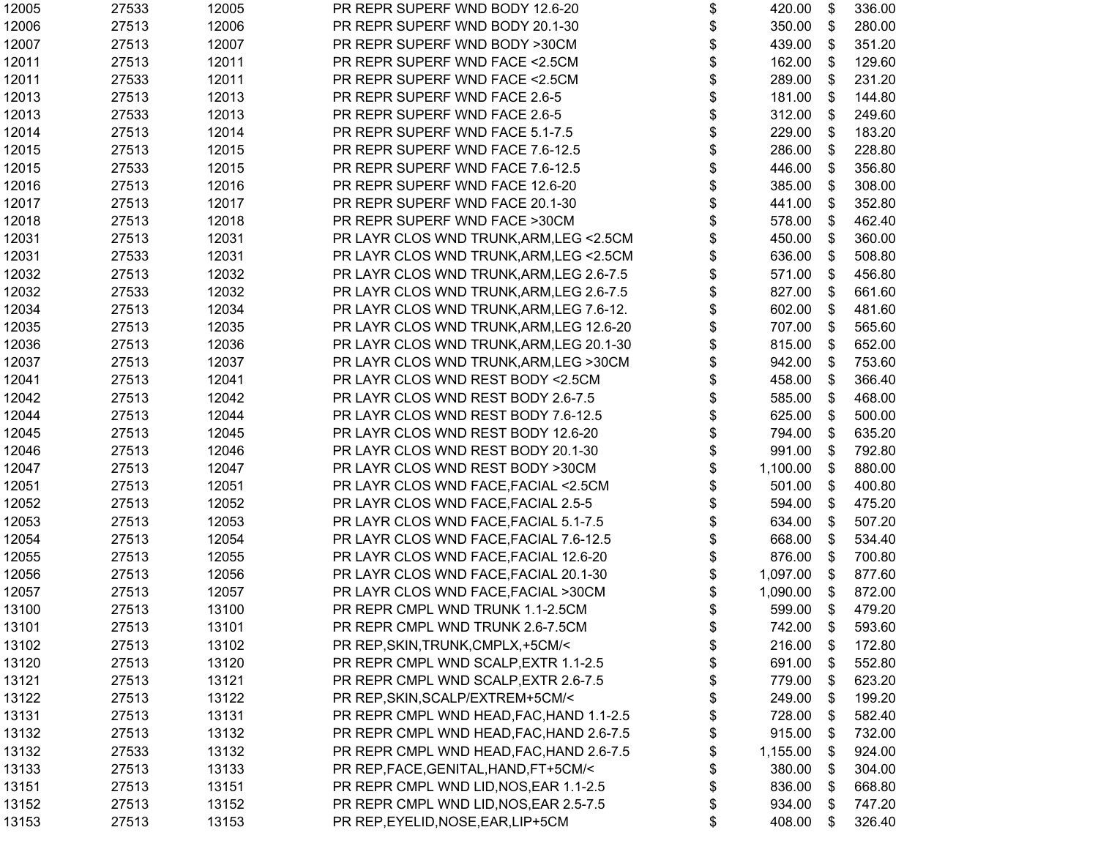| 12005 | 27533 | 12005 | PR REPR SUPERF WND BODY 12.6-20          | \$<br>420.00    | \$                        | 336.00           |
|-------|-------|-------|------------------------------------------|-----------------|---------------------------|------------------|
| 12006 | 27513 | 12006 | PR REPR SUPERF WND BODY 20.1-30          | \$<br>350.00    | \$                        | 280.00           |
| 12007 | 27513 | 12007 | PR REPR SUPERF WND BODY >30CM            | \$<br>439.00    | \$                        | 351.20           |
| 12011 | 27513 | 12011 | PR REPR SUPERF WND FACE <2.5CM           | \$<br>162.00    | \$                        | 129.60           |
| 12011 | 27533 | 12011 | PR REPR SUPERF WND FACE <2.5CM           | \$<br>289.00    | \$                        | 231.20           |
| 12013 | 27513 | 12013 | PR REPR SUPERF WND FACE 2.6-5            | \$<br>181.00    | \$                        | 144.80           |
| 12013 | 27533 | 12013 | PR REPR SUPERF WND FACE 2.6-5            | \$<br>312.00    | \$                        | 249.60           |
| 12014 | 27513 | 12014 | PR REPR SUPERF WND FACE 5.1-7.5          | \$<br>229.00    | \$                        | 183.20           |
| 12015 | 27513 | 12015 | PR REPR SUPERF WND FACE 7.6-12.5         | \$<br>286.00    | \$                        | 228.80           |
| 12015 | 27533 | 12015 | PR REPR SUPERF WND FACE 7.6-12.5         | \$<br>446.00    | \$                        | 356.80           |
| 12016 | 27513 | 12016 | PR REPR SUPERF WND FACE 12.6-20          | \$<br>385.00    | \$                        | 308.00           |
| 12017 | 27513 | 12017 | PR REPR SUPERF WND FACE 20.1-30          | \$<br>441.00    | \$                        | 352.80           |
| 12018 | 27513 | 12018 | PR REPR SUPERF WND FACE >30CM            | \$<br>578.00    | \$                        | 462.40           |
| 12031 | 27513 | 12031 | PR LAYR CLOS WND TRUNK, ARM, LEG < 2.5CM | \$<br>450.00    | \$                        | 360.00           |
| 12031 | 27533 | 12031 | PR LAYR CLOS WND TRUNK, ARM, LEG < 2.5CM | \$<br>636.00    | \$                        | 508.80           |
| 12032 | 27513 | 12032 | PR LAYR CLOS WND TRUNK, ARM, LEG 2.6-7.5 | \$<br>571.00    | \$                        | 456.80           |
| 12032 | 27533 | 12032 | PR LAYR CLOS WND TRUNK, ARM, LEG 2.6-7.5 | \$<br>827.00    | \$                        | 661.60           |
| 12034 | 27513 | 12034 | PR LAYR CLOS WND TRUNK, ARM, LEG 7.6-12. | \$<br>602.00    | \$                        | 481.60           |
| 12035 | 27513 | 12035 | PR LAYR CLOS WND TRUNK, ARM, LEG 12.6-20 | \$<br>707.00    | \$                        | 565.60           |
| 12036 | 27513 | 12036 | PR LAYR CLOS WND TRUNK, ARM, LEG 20.1-30 | \$<br>815.00    | \$                        | 652.00           |
| 12037 | 27513 | 12037 | PR LAYR CLOS WND TRUNK, ARM, LEG > 30CM  | \$<br>942.00    | \$                        | 753.60           |
| 12041 | 27513 | 12041 | PR LAYR CLOS WND REST BODY < 2.5CM       | \$<br>458.00    | \$                        | 366.40           |
| 12042 | 27513 | 12042 | PR LAYR CLOS WND REST BODY 2.6-7.5       | \$<br>585.00    | \$                        | 468.00           |
| 12044 | 27513 | 12044 | PR LAYR CLOS WND REST BODY 7.6-12.5      | \$<br>625.00    | \$                        | 500.00           |
| 12045 | 27513 | 12045 | PR LAYR CLOS WND REST BODY 12.6-20       | \$<br>794.00    | \$                        | 635.20           |
| 12046 | 27513 | 12046 | PR LAYR CLOS WND REST BODY 20.1-30       | \$<br>991.00    | \$                        | 792.80           |
| 12047 | 27513 | 12047 | PR LAYR CLOS WND REST BODY >30CM         | \$<br>1,100.00  | \$                        | 880.00           |
| 12051 | 27513 | 12051 | PR LAYR CLOS WND FACE, FACIAL <2.5CM     | \$<br>501.00    | \$                        | 400.80           |
| 12052 | 27513 | 12052 | PR LAYR CLOS WND FACE, FACIAL 2.5-5      | \$<br>594.00    | \$                        | 475.20           |
| 12053 | 27513 | 12053 | PR LAYR CLOS WND FACE, FACIAL 5.1-7.5    | \$<br>634.00    | \$                        | 507.20           |
| 12054 | 27513 | 12054 | PR LAYR CLOS WND FACE, FACIAL 7.6-12.5   | \$<br>668.00    | \$                        | 534.40           |
| 12055 | 27513 | 12055 | PR LAYR CLOS WND FACE, FACIAL 12.6-20    | \$<br>876.00    | \$                        | 700.80           |
| 12056 | 27513 | 12056 | PR LAYR CLOS WND FACE, FACIAL 20.1-30    | \$<br>1,097.00  | \$                        | 877.60           |
| 12057 | 27513 | 12057 | PR LAYR CLOS WND FACE, FACIAL >30CM      | \$<br>1,090.00  | $\boldsymbol{\mathsf{S}}$ | 872.00           |
| 13100 | 27513 | 13100 | PR REPR CMPL WND TRUNK 1.1-2.5CM         | \$<br>599.00 \$ |                           | 479.20           |
| 13101 | 27513 | 13101 | PR REPR CMPL WND TRUNK 2.6-7.5CM         | \$              |                           | 742.00 \$ 593.60 |
| 13102 | 27513 | 13102 | PR REP, SKIN, TRUNK, CMPLX, +5CM/<       | \$<br>216.00    | \$                        | 172.80           |
| 13120 | 27513 | 13120 | PR REPR CMPL WND SCALP, EXTR 1.1-2.5     | \$<br>691.00    | \$                        | 552.80           |
| 13121 | 27513 | 13121 | PR REPR CMPL WND SCALP, EXTR 2.6-7.5     | \$<br>779.00    | \$                        | 623.20           |
| 13122 | 27513 | 13122 | PR REP, SKIN, SCALP/EXTREM+5CM/<         | \$<br>249.00    | \$                        | 199.20           |
| 13131 | 27513 | 13131 | PR REPR CMPL WND HEAD, FAC, HAND 1.1-2.5 | \$<br>728.00    | \$                        | 582.40           |
| 13132 | 27513 | 13132 | PR REPR CMPL WND HEAD, FAC, HAND 2.6-7.5 | \$<br>915.00    | \$                        | 732.00           |
| 13132 | 27533 | 13132 | PR REPR CMPL WND HEAD, FAC, HAND 2.6-7.5 | \$<br>1,155.00  | \$                        | 924.00           |
| 13133 | 27513 | 13133 | PR REP, FACE, GENITAL, HAND, FT+5CM/<    | \$<br>380.00    | \$                        | 304.00           |
| 13151 | 27513 | 13151 | PR REPR CMPL WND LID, NOS, EAR 1.1-2.5   | \$<br>836.00    | \$                        | 668.80           |
| 13152 | 27513 | 13152 | PR REPR CMPL WND LID, NOS, EAR 2.5-7.5   | \$<br>934.00    | \$                        | 747.20           |
| 13153 | 27513 | 13153 | PR REP, EYELID, NOSE, EAR, LIP+5CM       | \$<br>408.00    | \$                        | 326.40           |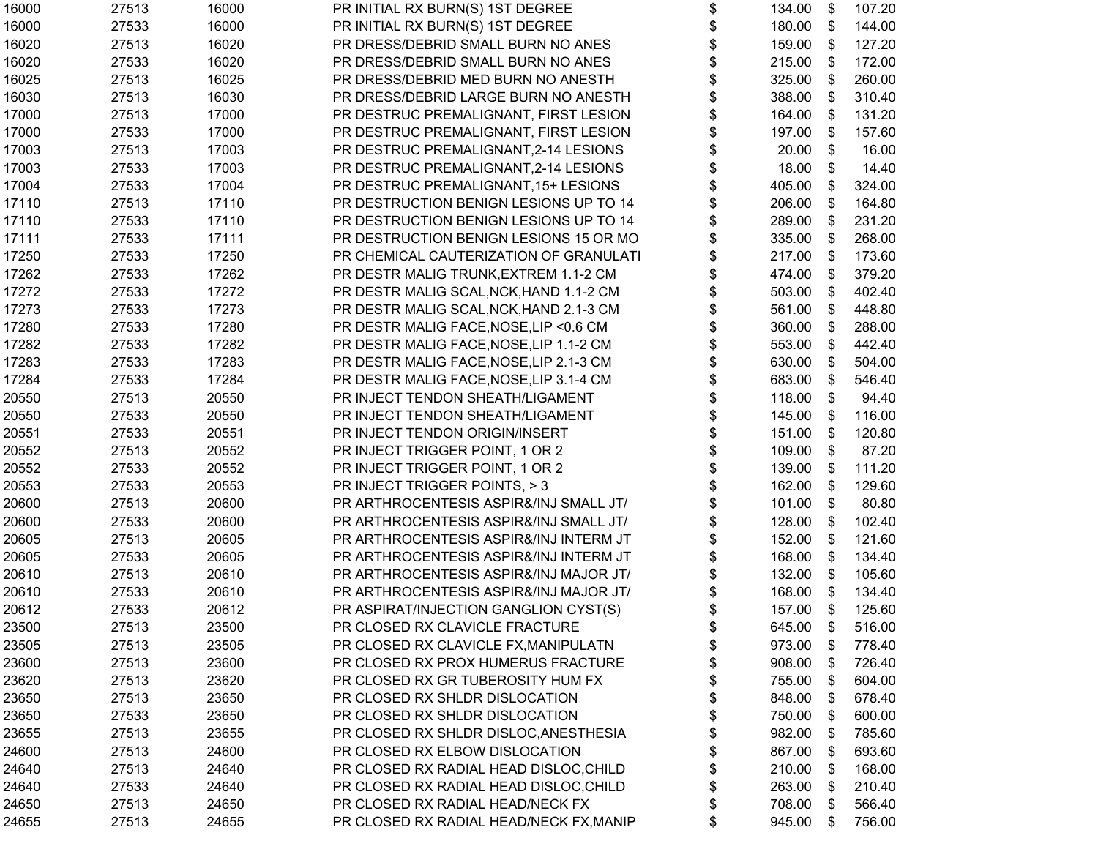| 16000 | 27513 | 16000 | PR INITIAL RX BURN(S) 1ST DEGREE        | \$<br>134.00    | \$ | 107.20 |
|-------|-------|-------|-----------------------------------------|-----------------|----|--------|
| 16000 | 27533 | 16000 | PR INITIAL RX BURN(S) 1ST DEGREE        | \$<br>180.00    | \$ | 144.00 |
| 16020 | 27513 | 16020 | PR DRESS/DEBRID SMALL BURN NO ANES      | \$<br>159.00    | \$ | 127.20 |
| 16020 | 27533 | 16020 | PR DRESS/DEBRID SMALL BURN NO ANES      | \$<br>215.00    | \$ | 172.00 |
| 16025 | 27513 | 16025 | PR DRESS/DEBRID MED BURN NO ANESTH      | \$<br>325.00    | \$ | 260.00 |
| 16030 | 27513 | 16030 | PR DRESS/DEBRID LARGE BURN NO ANESTH    | \$<br>388.00    | \$ | 310.40 |
| 17000 | 27513 | 17000 | PR DESTRUC PREMALIGNANT, FIRST LESION   | \$<br>164.00    | \$ | 131.20 |
| 17000 | 27533 | 17000 | PR DESTRUC PREMALIGNANT, FIRST LESION   | \$<br>197.00    | \$ | 157.60 |
| 17003 | 27513 | 17003 | PR DESTRUC PREMALIGNANT, 2-14 LESIONS   | 20.00           | \$ | 16.00  |
| 17003 | 27533 | 17003 | PR DESTRUC PREMALIGNANT, 2-14 LESIONS   | \$<br>18.00     | \$ | 14.40  |
| 17004 | 27533 | 17004 | PR DESTRUC PREMALIGNANT, 15+ LESIONS    | \$<br>405.00    | \$ | 324.00 |
| 17110 | 27513 | 17110 | PR DESTRUCTION BENIGN LESIONS UP TO 14  | \$<br>206.00    | \$ | 164.80 |
| 17110 | 27533 | 17110 | PR DESTRUCTION BENIGN LESIONS UP TO 14  | \$<br>289.00    | \$ | 231.20 |
| 17111 | 27533 | 17111 | PR DESTRUCTION BENIGN LESIONS 15 OR MO  | \$<br>335.00    | \$ | 268.00 |
| 17250 | 27533 | 17250 | PR CHEMICAL CAUTERIZATION OF GRANULATI  | \$<br>217.00    | \$ | 173.60 |
| 17262 | 27533 | 17262 | PR DESTR MALIG TRUNK, EXTREM 1.1-2 CM   | \$<br>474.00    | \$ | 379.20 |
| 17272 | 27533 | 17272 | PR DESTR MALIG SCAL, NCK, HAND 1.1-2 CM | \$<br>503.00    | \$ | 402.40 |
| 17273 | 27533 | 17273 | PR DESTR MALIG SCAL, NCK, HAND 2.1-3 CM | \$<br>561.00    | \$ | 448.80 |
| 17280 | 27533 | 17280 | PR DESTR MALIG FACE, NOSE, LIP < 0.6 CM | \$<br>360.00    | \$ | 288.00 |
| 17282 | 27533 | 17282 | PR DESTR MALIG FACE, NOSE, LIP 1.1-2 CM | \$<br>553.00    | \$ | 442.40 |
| 17283 | 27533 | 17283 | PR DESTR MALIG FACE, NOSE, LIP 2.1-3 CM | \$<br>630.00    | \$ | 504.00 |
| 17284 | 27533 | 17284 | PR DESTR MALIG FACE, NOSE, LIP 3.1-4 CM | \$<br>683.00    | \$ | 546.40 |
| 20550 | 27513 | 20550 | PR INJECT TENDON SHEATH/LIGAMENT        | \$<br>118.00    | \$ | 94.40  |
| 20550 | 27533 | 20550 | PR INJECT TENDON SHEATH/LIGAMENT        | \$<br>145.00    | \$ | 116.00 |
| 20551 | 27533 | 20551 | PR INJECT TENDON ORIGIN/INSERT          | \$<br>151.00    | \$ | 120.80 |
| 20552 | 27513 | 20552 | PR INJECT TRIGGER POINT, 1 OR 2         | \$<br>109.00    | \$ | 87.20  |
| 20552 | 27533 | 20552 | PR INJECT TRIGGER POINT, 1 OR 2         | \$<br>139.00    | \$ | 111.20 |
| 20553 | 27533 | 20553 | PR INJECT TRIGGER POINTS, > 3           | \$<br>162.00    | \$ | 129.60 |
| 20600 | 27513 | 20600 | PR ARTHROCENTESIS ASPIR&/INJ SMALL JT/  | \$<br>101.00    | \$ | 80.80  |
| 20600 | 27533 | 20600 | PR ARTHROCENTESIS ASPIR&/INJ SMALL JT/  | \$<br>128.00    | \$ | 102.40 |
| 20605 | 27513 | 20605 | PR ARTHROCENTESIS ASPIR&/INJ INTERM JT  | \$<br>152.00    | \$ | 121.60 |
| 20605 | 27533 | 20605 | PR ARTHROCENTESIS ASPIR&/INJ INTERM JT  | \$<br>168.00    | \$ | 134.40 |
| 20610 | 27513 | 20610 | PR ARTHROCENTESIS ASPIR&/INJ MAJOR JT/  | \$<br>132.00    | \$ | 105.60 |
| 20610 | 27533 | 20610 | PR ARTHROCENTESIS ASPIR&/INJ MAJOR JT/  | \$<br>168.00    | \$ | 134.40 |
| 20612 | 27533 | 20612 | PR ASPIRAT/INJECTION GANGLION CYST(S)   | \$<br>157.00    | \$ | 125.60 |
| 23500 | 27513 | 23500 | PR CLOSED RX CLAVICLE FRACTURE          | \$<br>645.00 \$ |    | 516.00 |
| 23505 | 27513 | 23505 | PR CLOSED RX CLAVICLE FX, MANIPULATN    | \$<br>973.00    | \$ | 778.40 |
| 23600 | 27513 | 23600 | PR CLOSED RX PROX HUMERUS FRACTURE      | \$<br>908.00    | \$ | 726.40 |
| 23620 | 27513 | 23620 | PR CLOSED RX GR TUBEROSITY HUM FX       | \$<br>755.00    | \$ | 604.00 |
| 23650 | 27513 | 23650 | PR CLOSED RX SHLDR DISLOCATION          | \$<br>848.00    | \$ | 678.40 |
| 23650 | 27533 | 23650 | PR CLOSED RX SHLDR DISLOCATION          | \$<br>750.00    | \$ | 600.00 |
| 23655 | 27513 | 23655 | PR CLOSED RX SHLDR DISLOC, ANESTHESIA   | \$<br>982.00    | \$ | 785.60 |
| 24600 | 27513 | 24600 | PR CLOSED RX ELBOW DISLOCATION          | \$<br>867.00    | \$ | 693.60 |
| 24640 | 27513 | 24640 | PR CLOSED RX RADIAL HEAD DISLOC, CHILD  | \$<br>210.00    | \$ | 168.00 |
| 24640 | 27533 | 24640 | PR CLOSED RX RADIAL HEAD DISLOC, CHILD  | \$<br>263.00    | \$ | 210.40 |
| 24650 | 27513 | 24650 | PR CLOSED RX RADIAL HEAD/NECK FX        | \$<br>708.00    | S  | 566.40 |
| 24655 | 27513 | 24655 | PR CLOSED RX RADIAL HEAD/NECK FX, MANIP | \$<br>945.00    | \$ | 756.00 |
|       |       |       |                                         |                 |    |        |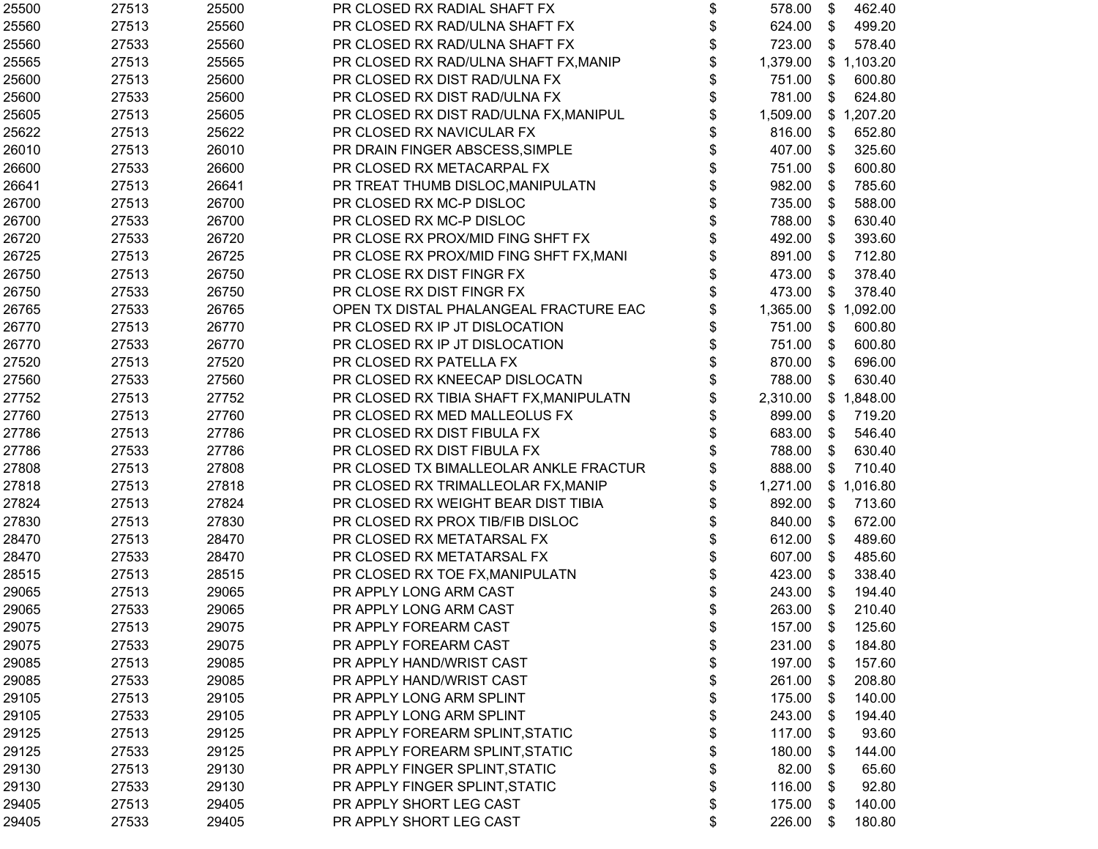| 25500 | 27513 | 25500 | PR CLOSED RX RADIAL SHAFT FX            | \$<br>578.00    | \$<br>462.40 |
|-------|-------|-------|-----------------------------------------|-----------------|--------------|
| 25560 | 27513 | 25560 | PR CLOSED RX RAD/ULNA SHAFT FX          | \$<br>624.00    | \$<br>499.20 |
| 25560 | 27533 | 25560 | PR CLOSED RX RAD/ULNA SHAFT FX          | \$<br>723.00    | \$<br>578.40 |
| 25565 | 27513 | 25565 | PR CLOSED RX RAD/ULNA SHAFT FX, MANIP   | \$<br>1,379.00  | \$1,103.20   |
| 25600 | 27513 | 25600 | PR CLOSED RX DIST RAD/ULNA FX           | \$<br>751.00    | \$<br>600.80 |
| 25600 | 27533 | 25600 | PR CLOSED RX DIST RAD/ULNA FX           | \$<br>781.00    | \$<br>624.80 |
| 25605 | 27513 | 25605 | PR CLOSED RX DIST RAD/ULNA FX, MANIPUL  | 1,509.00        | \$1,207.20   |
| 25622 | 27513 | 25622 | PR CLOSED RX NAVICULAR FX               | \$<br>816.00    | \$<br>652.80 |
| 26010 | 27513 | 26010 | PR DRAIN FINGER ABSCESS, SIMPLE         | \$<br>407.00    | \$<br>325.60 |
| 26600 | 27533 | 26600 | PR CLOSED RX METACARPAL FX              | \$<br>751.00    | \$<br>600.80 |
| 26641 | 27513 | 26641 | PR TREAT THUMB DISLOC, MANIPULATN       | \$<br>982.00    | \$<br>785.60 |
| 26700 | 27513 | 26700 | PR CLOSED RX MC-P DISLOC                | \$<br>735.00    | \$<br>588.00 |
| 26700 | 27533 | 26700 | PR CLOSED RX MC-P DISLOC                | \$<br>788.00    | \$<br>630.40 |
| 26720 | 27533 | 26720 | PR CLOSE RX PROX/MID FING SHFT FX       | 492.00          | \$<br>393.60 |
| 26725 | 27513 | 26725 | PR CLOSE RX PROX/MID FING SHFT FX, MANI | 891.00          | \$<br>712.80 |
| 26750 | 27513 | 26750 | PR CLOSE RX DIST FINGR FX               | 473.00          | \$<br>378.40 |
| 26750 | 27533 | 26750 | PR CLOSE RX DIST FINGR FX               | \$<br>473.00    | \$<br>378.40 |
| 26765 | 27533 | 26765 | OPEN TX DISTAL PHALANGEAL FRACTURE EAC  | \$<br>1,365.00  | \$1,092.00   |
| 26770 | 27513 | 26770 | PR CLOSED RX IP JT DISLOCATION          | \$<br>751.00    | \$<br>600.80 |
| 26770 | 27533 | 26770 | PR CLOSED RX IP JT DISLOCATION          | \$<br>751.00    | \$<br>600.80 |
| 27520 | 27513 | 27520 | PR CLOSED RX PATELLA FX                 | \$<br>870.00    | \$<br>696.00 |
| 27560 | 27533 | 27560 | PR CLOSED RX KNEECAP DISLOCATN          | 788.00          | \$<br>630.40 |
| 27752 | 27513 | 27752 | PR CLOSED RX TIBIA SHAFT FX, MANIPULATN | 2,310.00        | \$1,848.00   |
| 27760 | 27513 | 27760 | PR CLOSED RX MED MALLEOLUS FX           | \$<br>899.00    | \$<br>719.20 |
| 27786 | 27513 | 27786 | PR CLOSED RX DIST FIBULA FX             | 683.00          | \$<br>546.40 |
| 27786 | 27533 | 27786 | PR CLOSED RX DIST FIBULA FX             | \$<br>788.00    | \$<br>630.40 |
| 27808 | 27513 | 27808 | PR CLOSED TX BIMALLEOLAR ANKLE FRACTUR  | \$<br>888.00    | \$<br>710.40 |
| 27818 | 27513 | 27818 | PR CLOSED RX TRIMALLEOLAR FX, MANIP     | \$<br>1,271.00  | \$1,016.80   |
| 27824 | 27513 | 27824 | PR CLOSED RX WEIGHT BEAR DIST TIBIA     | \$<br>892.00    | \$<br>713.60 |
| 27830 | 27513 | 27830 | PR CLOSED RX PROX TIB/FIB DISLOC        | 840.00          | \$<br>672.00 |
| 28470 | 27513 | 28470 | PR CLOSED RX METATARSAL FX              | 612.00          | \$<br>489.60 |
| 28470 | 27533 | 28470 | PR CLOSED RX METATARSAL FX              | \$<br>607.00    | \$<br>485.60 |
| 28515 | 27513 | 28515 | PR CLOSED RX TOE FX, MANIPULATN         | \$<br>423.00    | \$<br>338.40 |
| 29065 | 27513 | 29065 | PR APPLY LONG ARM CAST                  | \$<br>243.00    | \$<br>194.40 |
| 29065 | 27533 | 29065 | PR APPLY LONG ARM CAST                  | \$<br>263.00    | \$<br>210.40 |
| 29075 | 27513 | 29075 | PR APPLY FOREARM CAST                   | \$<br>157.00 \$ | 125.60       |
| 29075 | 27533 | 29075 | PR APPLY FOREARM CAST                   | \$<br>231.00    | \$<br>184.80 |
| 29085 | 27513 | 29085 | PR APPLY HAND/WRIST CAST                | \$<br>197.00    | \$<br>157.60 |
| 29085 | 27533 | 29085 | PR APPLY HAND/WRIST CAST                | \$<br>261.00    | \$<br>208.80 |
| 29105 | 27513 | 29105 | PR APPLY LONG ARM SPLINT                | \$<br>175.00    | \$<br>140.00 |
| 29105 | 27533 | 29105 | PR APPLY LONG ARM SPLINT                | \$<br>243.00    | \$<br>194.40 |
| 29125 | 27513 | 29125 | PR APPLY FOREARM SPLINT, STATIC         | \$<br>117.00    | \$<br>93.60  |
| 29125 | 27533 | 29125 | PR APPLY FOREARM SPLINT, STATIC         | \$<br>180.00    | \$<br>144.00 |
| 29130 | 27513 | 29130 | PR APPLY FINGER SPLINT, STATIC          | \$<br>82.00     | \$<br>65.60  |
| 29130 | 27533 | 29130 | PR APPLY FINGER SPLINT, STATIC          | \$<br>116.00    | \$<br>92.80  |
| 29405 | 27513 | 29405 | PR APPLY SHORT LEG CAST                 | \$<br>175.00    | \$<br>140.00 |
| 29405 | 27533 | 29405 | PR APPLY SHORT LEG CAST                 | \$<br>226.00    | \$<br>180.80 |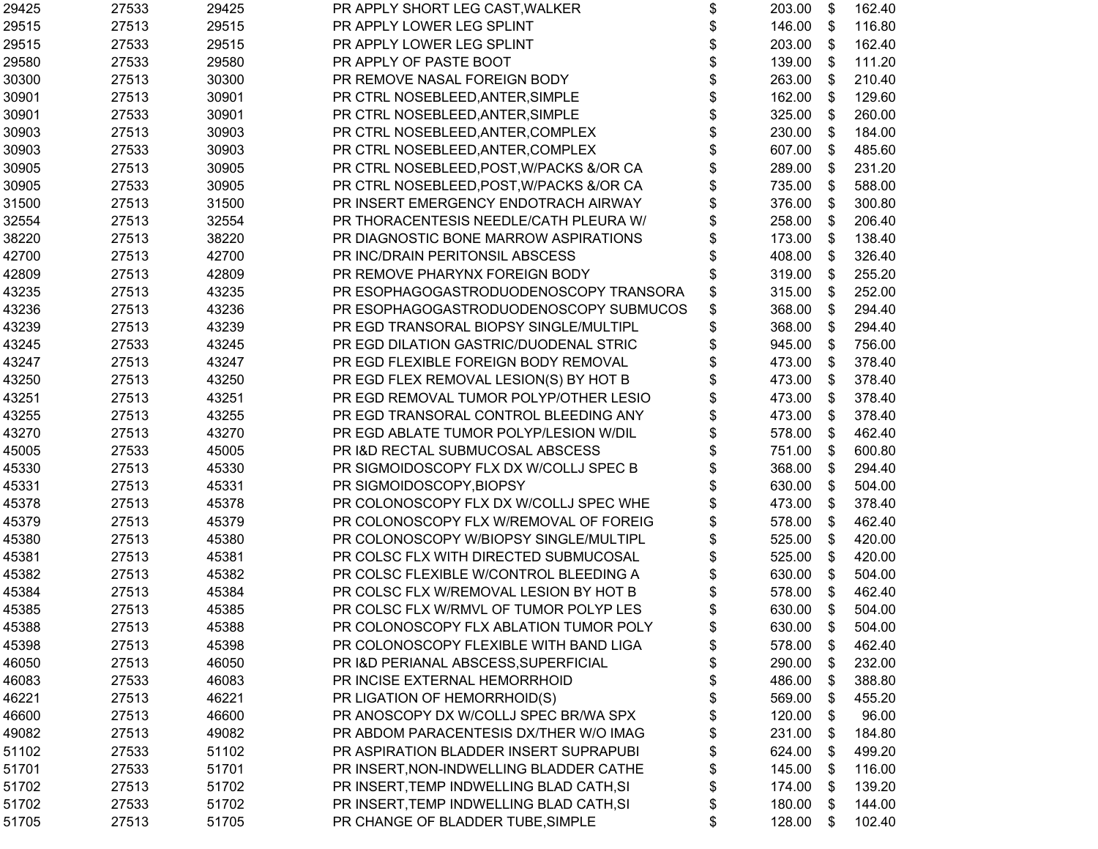| 29425 | 27533 | 29425 | PR APPLY SHORT LEG CAST, WALKER          | \$<br>203.00    | \$ | 162.40 |
|-------|-------|-------|------------------------------------------|-----------------|----|--------|
| 29515 | 27513 | 29515 | PR APPLY LOWER LEG SPLINT                | \$<br>146.00    | \$ | 116.80 |
| 29515 | 27533 | 29515 | PR APPLY LOWER LEG SPLINT                | \$<br>203.00    | \$ | 162.40 |
| 29580 | 27533 | 29580 | PR APPLY OF PASTE BOOT                   | \$<br>139.00    | \$ | 111.20 |
| 30300 | 27513 | 30300 | PR REMOVE NASAL FOREIGN BODY             | \$<br>263.00    | \$ | 210.40 |
| 30901 | 27513 | 30901 | PR CTRL NOSEBLEED, ANTER, SIMPLE         | \$<br>162.00    | \$ | 129.60 |
| 30901 | 27533 | 30901 | PR CTRL NOSEBLEED, ANTER, SIMPLE         | 325.00          | \$ | 260.00 |
| 30903 | 27513 | 30903 | PR CTRL NOSEBLEED, ANTER, COMPLEX        | \$<br>230.00    | \$ | 184.00 |
| 30903 | 27533 | 30903 | PR CTRL NOSEBLEED, ANTER, COMPLEX        | 607.00          | \$ | 485.60 |
| 30905 | 27513 | 30905 | PR CTRL NOSEBLEED, POST, W/PACKS &/OR CA | \$<br>289.00    | \$ | 231.20 |
| 30905 | 27533 | 30905 | PR CTRL NOSEBLEED, POST, W/PACKS &/OR CA | \$<br>735.00    | \$ | 588.00 |
| 31500 | 27513 | 31500 | PR INSERT EMERGENCY ENDOTRACH AIRWAY     | \$<br>376.00    | \$ | 300.80 |
| 32554 | 27513 | 32554 | PR THORACENTESIS NEEDLE/CATH PLEURA W/   | \$<br>258.00    | \$ | 206.40 |
| 38220 | 27513 | 38220 | PR DIAGNOSTIC BONE MARROW ASPIRATIONS    | \$<br>173.00    | \$ | 138.40 |
| 42700 | 27513 | 42700 | PR INC/DRAIN PERITONSIL ABSCESS          | 408.00          | \$ | 326.40 |
| 42809 | 27513 | 42809 | PR REMOVE PHARYNX FOREIGN BODY           | \$<br>319.00    | \$ | 255.20 |
| 43235 | 27513 | 43235 | PR ESOPHAGOGASTRODUODENOSCOPY TRANSORA   | \$<br>315.00    | \$ | 252.00 |
| 43236 | 27513 | 43236 | PR ESOPHAGOGASTRODUODENOSCOPY SUBMUCOS   | \$<br>368.00    | \$ | 294.40 |
| 43239 | 27513 | 43239 | PR EGD TRANSORAL BIOPSY SINGLE/MULTIPL   | \$<br>368.00    | \$ | 294.40 |
| 43245 | 27533 | 43245 | PR EGD DILATION GASTRIC/DUODENAL STRIC   | \$<br>945.00    | \$ | 756.00 |
| 43247 | 27513 | 43247 | PR EGD FLEXIBLE FOREIGN BODY REMOVAL     | \$<br>473.00    | \$ | 378.40 |
| 43250 | 27513 | 43250 | PR EGD FLEX REMOVAL LESION(S) BY HOT B   | \$<br>473.00    | \$ | 378.40 |
| 43251 | 27513 | 43251 | PR EGD REMOVAL TUMOR POLYP/OTHER LESIO   | 473.00          | \$ | 378.40 |
| 43255 | 27513 | 43255 | PR EGD TRANSORAL CONTROL BLEEDING ANY    | \$<br>473.00    | \$ | 378.40 |
| 43270 | 27513 | 43270 | PR EGD ABLATE TUMOR POLYP/LESION W/DIL   | \$<br>578.00    | \$ | 462.40 |
| 45005 | 27533 | 45005 | PR I&D RECTAL SUBMUCOSAL ABSCESS         | \$<br>751.00    | \$ | 600.80 |
| 45330 | 27513 | 45330 | PR SIGMOIDOSCOPY FLX DX W/COLLJ SPEC B   | \$<br>368.00    | \$ | 294.40 |
| 45331 | 27513 | 45331 | PR SIGMOIDOSCOPY, BIOPSY                 | \$<br>630.00    | \$ | 504.00 |
| 45378 | 27513 | 45378 | PR COLONOSCOPY FLX DX W/COLLJ SPEC WHE   | \$<br>473.00    | \$ | 378.40 |
| 45379 | 27513 | 45379 | PR COLONOSCOPY FLX W/REMOVAL OF FOREIG   | \$<br>578.00    | \$ | 462.40 |
| 45380 | 27513 | 45380 | PR COLONOSCOPY W/BIOPSY SINGLE/MULTIPL   | \$<br>525.00    | \$ | 420.00 |
| 45381 | 27513 | 45381 | PR COLSC FLX WITH DIRECTED SUBMUCOSAL    | \$<br>525.00    | \$ | 420.00 |
| 45382 | 27513 | 45382 | PR COLSC FLEXIBLE W/CONTROL BLEEDING A   | \$<br>630.00    | \$ | 504.00 |
| 45384 | 27513 | 45384 | PR COLSC FLX W/REMOVAL LESION BY HOT B   | \$<br>578.00    | \$ | 462.40 |
| 45385 | 27513 | 45385 | PR COLSC FLX W/RMVL OF TUMOR POLYP LES   | \$<br>630.00    | \$ | 504.00 |
| 45388 | 27513 | 45388 | PR COLONOSCOPY FLX ABLATION TUMOR POLY   | \$<br>630.00 \$ |    | 504.00 |
| 45398 | 27513 | 45398 | PR COLONOSCOPY FLEXIBLE WITH BAND LIGA   | \$<br>578.00    | \$ | 462.40 |
| 46050 | 27513 | 46050 | PR I&D PERIANAL ABSCESS, SUPERFICIAL     | \$<br>290.00    | \$ | 232.00 |
| 46083 | 27533 | 46083 | PR INCISE EXTERNAL HEMORRHOID            | \$<br>486.00    | \$ | 388.80 |
| 46221 | 27513 | 46221 | PR LIGATION OF HEMORRHOID(S)             | 569.00          | \$ | 455.20 |
| 46600 | 27513 | 46600 | PR ANOSCOPY DX W/COLLJ SPEC BR/WA SPX    | \$<br>120.00    | \$ | 96.00  |
| 49082 | 27513 | 49082 | PR ABDOM PARACENTESIS DX/THER W/O IMAG   | \$<br>231.00    | \$ | 184.80 |
| 51102 | 27533 | 51102 | PR ASPIRATION BLADDER INSERT SUPRAPUBI   | \$<br>624.00    | \$ | 499.20 |
| 51701 | 27533 | 51701 | PR INSERT, NON-INDWELLING BLADDER CATHE  | \$<br>145.00    | S  | 116.00 |
| 51702 | 27513 | 51702 | PR INSERT, TEMP INDWELLING BLAD CATH, SI | \$<br>174.00    | S  | 139.20 |
| 51702 | 27533 | 51702 | PR INSERT, TEMP INDWELLING BLAD CATH, SI | \$<br>180.00    | \$ | 144.00 |
| 51705 | 27513 | 51705 | PR CHANGE OF BLADDER TUBE, SIMPLE        | \$<br>128.00    | \$ | 102.40 |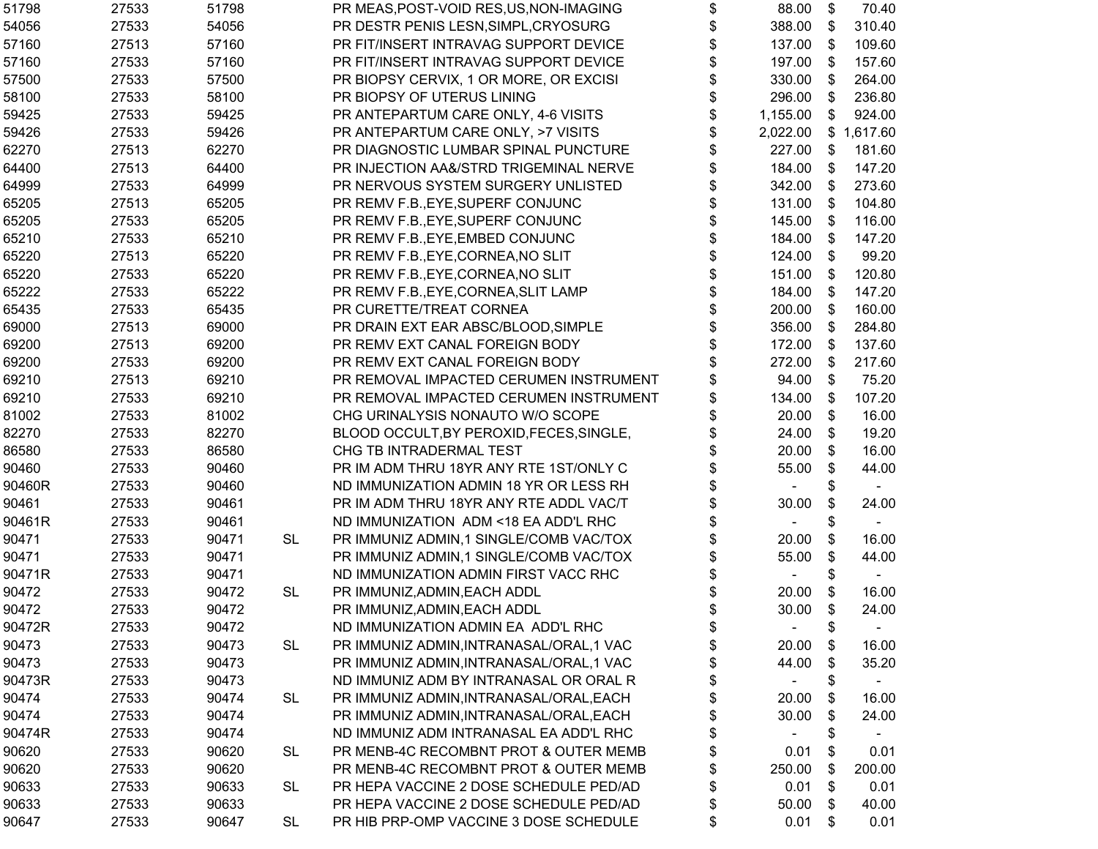| 51798  | 27533 | 51798 |           | PR MEAS, POST-VOID RES, US, NON-IMAGING  | \$<br>88.00                    | \$ | 70.40      |
|--------|-------|-------|-----------|------------------------------------------|--------------------------------|----|------------|
| 54056  | 27533 | 54056 |           | PR DESTR PENIS LESN, SIMPL, CRYOSURG     | \$<br>388.00                   | \$ | 310.40     |
| 57160  | 27513 | 57160 |           | PR FIT/INSERT INTRAVAG SUPPORT DEVICE    | \$<br>137.00                   | \$ | 109.60     |
| 57160  | 27533 | 57160 |           | PR FIT/INSERT INTRAVAG SUPPORT DEVICE    | \$<br>197.00                   | \$ | 157.60     |
| 57500  | 27533 | 57500 |           | PR BIOPSY CERVIX, 1 OR MORE, OR EXCISI   | \$<br>330.00                   | \$ | 264.00     |
| 58100  | 27533 | 58100 |           | PR BIOPSY OF UTERUS LINING               | \$<br>296.00                   | \$ | 236.80     |
| 59425  | 27533 | 59425 |           | PR ANTEPARTUM CARE ONLY, 4-6 VISITS      | \$<br>1,155.00                 | \$ | 924.00     |
| 59426  | 27533 | 59426 |           | PR ANTEPARTUM CARE ONLY, >7 VISITS       | \$<br>2,022.00                 |    | \$1,617.60 |
| 62270  | 27513 | 62270 |           | PR DIAGNOSTIC LUMBAR SPINAL PUNCTURE     | \$<br>227.00                   | \$ | 181.60     |
| 64400  | 27513 | 64400 |           | PR INJECTION AA&/STRD TRIGEMINAL NERVE   | \$<br>184.00                   | \$ | 147.20     |
| 64999  | 27533 | 64999 |           | PR NERVOUS SYSTEM SURGERY UNLISTED       | \$<br>342.00                   | \$ | 273.60     |
| 65205  | 27513 | 65205 |           | PR REMV F.B., EYE, SUPERF CONJUNC        | \$<br>131.00                   | \$ | 104.80     |
| 65205  | 27533 | 65205 |           | PR REMV F.B., EYE, SUPERF CONJUNC        | \$<br>145.00                   | \$ | 116.00     |
| 65210  | 27533 | 65210 |           | PR REMV F.B., EYE, EMBED CONJUNC         | \$<br>184.00                   | \$ | 147.20     |
| 65220  | 27513 | 65220 |           | PR REMV F.B., EYE, CORNEA, NO SLIT       | \$<br>124.00                   | \$ | 99.20      |
| 65220  | 27533 | 65220 |           | PR REMV F.B., EYE, CORNEA, NO SLIT       | \$<br>151.00                   | \$ | 120.80     |
| 65222  | 27533 | 65222 |           | PR REMV F.B., EYE, CORNEA, SLIT LAMP     | \$<br>184.00                   | \$ | 147.20     |
| 65435  | 27533 | 65435 |           | PR CURETTE/TREAT CORNEA                  | \$<br>200.00                   | \$ | 160.00     |
| 69000  | 27513 | 69000 |           | PR DRAIN EXT EAR ABSC/BLOOD, SIMPLE      | \$<br>356.00                   | \$ | 284.80     |
| 69200  | 27513 | 69200 |           | PR REMV EXT CANAL FOREIGN BODY           | \$<br>172.00                   | \$ | 137.60     |
| 69200  | 27533 | 69200 |           | PR REMV EXT CANAL FOREIGN BODY           | \$<br>272.00                   | \$ | 217.60     |
| 69210  | 27513 | 69210 |           | PR REMOVAL IMPACTED CERUMEN INSTRUMENT   | \$<br>94.00                    | \$ | 75.20      |
| 69210  | 27533 | 69210 |           | PR REMOVAL IMPACTED CERUMEN INSTRUMENT   | \$<br>134.00                   | \$ | 107.20     |
| 81002  | 27533 | 81002 |           | CHG URINALYSIS NONAUTO W/O SCOPE         | \$<br>20.00                    | \$ | 16.00      |
| 82270  | 27533 | 82270 |           | BLOOD OCCULT, BY PEROXID, FECES, SINGLE, | \$<br>24.00                    | \$ | 19.20      |
| 86580  | 27533 | 86580 |           | CHG TB INTRADERMAL TEST                  | \$<br>20.00                    | \$ | 16.00      |
| 90460  | 27533 | 90460 |           | PR IM ADM THRU 18YR ANY RTE 1ST/ONLY C   | \$<br>55.00                    | \$ | 44.00      |
| 90460R | 27533 | 90460 |           | ND IMMUNIZATION ADMIN 18 YR OR LESS RH   | \$                             | \$ |            |
| 90461  | 27533 | 90461 |           | PR IM ADM THRU 18YR ANY RTE ADDL VAC/T   | \$<br>30.00                    | \$ | 24.00      |
| 90461R | 27533 | 90461 |           | ND IMMUNIZATION ADM <18 EA ADD'L RHC     | \$                             | \$ |            |
| 90471  | 27533 | 90471 | <b>SL</b> | PR IMMUNIZ ADMIN,1 SINGLE/COMB VAC/TOX   | \$<br>20.00                    | \$ | 16.00      |
| 90471  | 27533 | 90471 |           | PR IMMUNIZ ADMIN,1 SINGLE/COMB VAC/TOX   | \$<br>55.00                    | \$ | 44.00      |
| 90471R | 27533 | 90471 |           | ND IMMUNIZATION ADMIN FIRST VACC RHC     | \$                             | \$ |            |
| 90472  | 27533 | 90472 | <b>SL</b> | PR IMMUNIZ, ADMIN, EACH ADDL             | \$<br>20.00                    | \$ | 16.00      |
| 90472  | 27533 | 90472 |           | PR IMMUNIZ, ADMIN, EACH ADDL             | \$<br>30.00                    | \$ | 24.00      |
| 90472R | 27533 | 90472 |           | ND IMMUNIZATION ADMIN EA ADD'L RHC       | \$<br>$\overline{\phantom{a}}$ | \$ |            |
| 90473  | 27533 | 90473 | <b>SL</b> | PR IMMUNIZ ADMIN, INTRANASAL/ORAL, 1 VAC | \$<br>20.00                    | \$ | 16.00      |
| 90473  | 27533 | 90473 |           | PR IMMUNIZ ADMIN, INTRANASAL/ORAL, 1 VAC | \$<br>44.00                    | \$ | 35.20      |
| 90473R | 27533 | 90473 |           | ND IMMUNIZ ADM BY INTRANASAL OR ORAL R   | \$                             | \$ |            |
| 90474  | 27533 | 90474 | <b>SL</b> | PR IMMUNIZ ADMIN, INTRANASAL/ORAL, EACH  | \$<br>20.00                    | \$ | 16.00      |
| 90474  | 27533 | 90474 |           | PR IMMUNIZ ADMIN, INTRANASAL/ORAL, EACH  | \$<br>30.00                    | \$ | 24.00      |
| 90474R | 27533 | 90474 |           | ND IMMUNIZ ADM INTRANASAL EA ADD'L RHC   | \$                             | \$ |            |
| 90620  | 27533 | 90620 | <b>SL</b> | PR MENB-4C RECOMBNT PROT & OUTER MEMB    | \$<br>0.01                     | \$ | 0.01       |
| 90620  | 27533 | 90620 |           | PR MENB-4C RECOMBNT PROT & OUTER MEMB    | \$<br>250.00                   | S  | 200.00     |
| 90633  | 27533 | 90633 | SL.       | PR HEPA VACCINE 2 DOSE SCHEDULE PED/AD   | \$<br>0.01                     | \$ | 0.01       |
| 90633  | 27533 | 90633 |           | PR HEPA VACCINE 2 DOSE SCHEDULE PED/AD   | \$<br>50.00                    | \$ | 40.00      |
| 90647  | 27533 | 90647 | <b>SL</b> | PR HIB PRP-OMP VACCINE 3 DOSE SCHEDULE   | \$<br>0.01                     | \$ | 0.01       |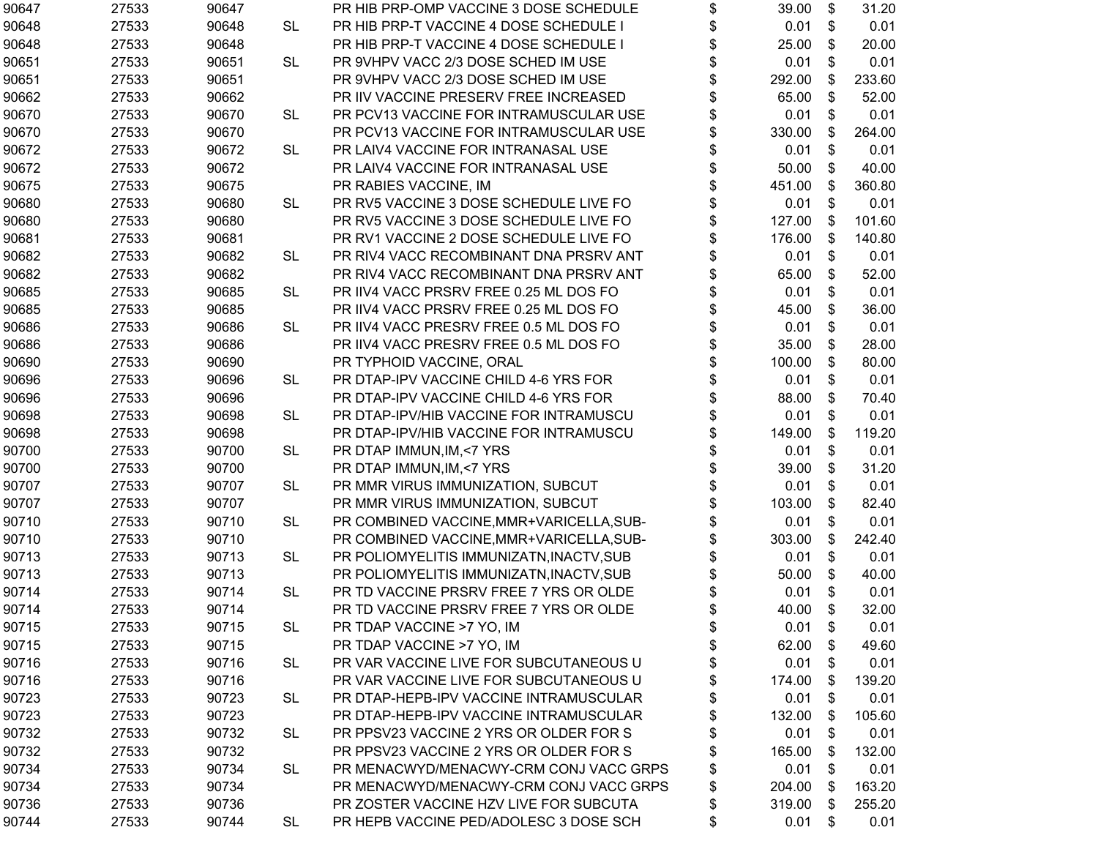| 90647 | 27533 | 90647 |           | PR HIB PRP-OMP VACCINE 3 DOSE SCHEDULE   | \$<br>39.00  | \$<br>31.20  |
|-------|-------|-------|-----------|------------------------------------------|--------------|--------------|
| 90648 | 27533 | 90648 | <b>SL</b> | PR HIB PRP-T VACCINE 4 DOSE SCHEDULE I   | \$<br>0.01   | \$<br>0.01   |
| 90648 | 27533 | 90648 |           | PR HIB PRP-T VACCINE 4 DOSE SCHEDULE I   | \$<br>25.00  | \$<br>20.00  |
| 90651 | 27533 | 90651 | <b>SL</b> | PR 9VHPV VACC 2/3 DOSE SCHED IM USE      | \$<br>0.01   | \$<br>0.01   |
| 90651 | 27533 | 90651 |           | PR 9VHPV VACC 2/3 DOSE SCHED IM USE      | \$<br>292.00 | \$<br>233.60 |
| 90662 | 27533 | 90662 |           | PR IIV VACCINE PRESERV FREE INCREASED    | 65.00        | \$<br>52.00  |
| 90670 | 27533 | 90670 | <b>SL</b> | PR PCV13 VACCINE FOR INTRAMUSCULAR USE   | \$<br>0.01   | \$<br>0.01   |
| 90670 | 27533 | 90670 |           | PR PCV13 VACCINE FOR INTRAMUSCULAR USE   | \$<br>330.00 | \$<br>264.00 |
| 90672 | 27533 | 90672 | <b>SL</b> | PR LAIV4 VACCINE FOR INTRANASAL USE      | \$<br>0.01   | \$<br>0.01   |
| 90672 | 27533 | 90672 |           | PR LAIV4 VACCINE FOR INTRANASAL USE      | \$<br>50.00  | \$<br>40.00  |
| 90675 | 27533 | 90675 |           | PR RABIES VACCINE, IM                    | \$<br>451.00 | \$<br>360.80 |
| 90680 | 27533 | 90680 | <b>SL</b> | PR RV5 VACCINE 3 DOSE SCHEDULE LIVE FO   | \$<br>0.01   | \$<br>0.01   |
| 90680 | 27533 | 90680 |           | PR RV5 VACCINE 3 DOSE SCHEDULE LIVE FO   | \$<br>127.00 | \$<br>101.60 |
| 90681 | 27533 | 90681 |           | PR RV1 VACCINE 2 DOSE SCHEDULE LIVE FO   | 176.00       | \$<br>140.80 |
| 90682 | 27533 | 90682 | <b>SL</b> | PR RIV4 VACC RECOMBINANT DNA PRSRV ANT   | \$<br>0.01   | \$<br>0.01   |
| 90682 | 27533 | 90682 |           | PR RIV4 VACC RECOMBINANT DNA PRSRV ANT   | \$<br>65.00  | \$<br>52.00  |
| 90685 | 27533 | 90685 | <b>SL</b> | PR IIV4 VACC PRSRV FREE 0.25 ML DOS FO   | \$<br>0.01   | \$<br>0.01   |
| 90685 | 27533 | 90685 |           | PR IIV4 VACC PRSRV FREE 0.25 ML DOS FO   | \$<br>45.00  | \$<br>36.00  |
| 90686 | 27533 | 90686 | <b>SL</b> | PR IIV4 VACC PRESRV FREE 0.5 ML DOS FO   | \$<br>0.01   | \$<br>0.01   |
| 90686 | 27533 | 90686 |           | PR IIV4 VACC PRESRV FREE 0.5 ML DOS FO   | \$<br>35.00  | \$<br>28.00  |
| 90690 | 27533 | 90690 |           | PR TYPHOID VACCINE, ORAL                 | \$<br>100.00 | \$<br>80.00  |
| 90696 | 27533 | 90696 | <b>SL</b> | PR DTAP-IPV VACCINE CHILD 4-6 YRS FOR    | \$<br>0.01   | \$<br>0.01   |
| 90696 | 27533 | 90696 |           | PR DTAP-IPV VACCINE CHILD 4-6 YRS FOR    | \$<br>88.00  | \$<br>70.40  |
| 90698 | 27533 | 90698 | <b>SL</b> | PR DTAP-IPV/HIB VACCINE FOR INTRAMUSCU   | \$<br>0.01   | \$<br>0.01   |
| 90698 | 27533 | 90698 |           | PR DTAP-IPV/HIB VACCINE FOR INTRAMUSCU   | \$<br>149.00 | \$<br>119.20 |
| 90700 | 27533 | 90700 | <b>SL</b> | PR DTAP IMMUN, IM, <7 YRS                | \$<br>0.01   | \$<br>0.01   |
| 90700 | 27533 | 90700 |           | PR DTAP IMMUN, IM, <7 YRS                | \$<br>39.00  | \$<br>31.20  |
| 90707 | 27533 | 90707 | <b>SL</b> | PR MMR VIRUS IMMUNIZATION, SUBCUT        | \$<br>0.01   | \$<br>0.01   |
| 90707 | 27533 | 90707 |           | PR MMR VIRUS IMMUNIZATION, SUBCUT        | \$<br>103.00 | \$<br>82.40  |
| 90710 | 27533 | 90710 | <b>SL</b> | PR COMBINED VACCINE, MMR+VARICELLA, SUB- | \$<br>0.01   | \$<br>0.01   |
| 90710 | 27533 | 90710 |           | PR COMBINED VACCINE, MMR+VARICELLA, SUB- | \$<br>303.00 | \$<br>242.40 |
| 90713 | 27533 | 90713 | <b>SL</b> | PR POLIOMYELITIS IMMUNIZATN, INACTV, SUB | \$<br>0.01   | \$<br>0.01   |
| 90713 | 27533 | 90713 |           | PR POLIOMYELITIS IMMUNIZATN, INACTV, SUB | \$<br>50.00  | \$<br>40.00  |
| 90714 | 27533 | 90714 | <b>SL</b> | PR TD VACCINE PRSRV FREE 7 YRS OR OLDE   | \$<br>0.01   | \$<br>0.01   |
| 90714 | 27533 | 90714 |           | PR TD VACCINE PRSRV FREE 7 YRS OR OLDE   | \$<br>40.00  | \$<br>32.00  |
| 90715 | 27533 | 90715 | SL.       | PR TDAP VACCINE >7 YO, IM                | \$<br>0.01   | \$<br>0.01   |
| 90715 | 27533 | 90715 |           | PR TDAP VACCINE >7 YO, IM                | \$<br>62.00  | \$<br>49.60  |
| 90716 | 27533 | 90716 | <b>SL</b> | PR VAR VACCINE LIVE FOR SUBCUTANEOUS U   | \$<br>0.01   | \$<br>0.01   |
| 90716 | 27533 | 90716 |           | PR VAR VACCINE LIVE FOR SUBCUTANEOUS U   | \$<br>174.00 | \$<br>139.20 |
| 90723 | 27533 | 90723 | <b>SL</b> | PR DTAP-HEPB-IPV VACCINE INTRAMUSCULAR   | \$<br>0.01   | \$<br>0.01   |
| 90723 | 27533 | 90723 |           | PR DTAP-HEPB-IPV VACCINE INTRAMUSCULAR   | \$<br>132.00 | \$<br>105.60 |
| 90732 | 27533 | 90732 | SL.       | PR PPSV23 VACCINE 2 YRS OR OLDER FOR S   | \$<br>0.01   | \$<br>0.01   |
| 90732 | 27533 | 90732 |           | PR PPSV23 VACCINE 2 YRS OR OLDER FOR S   | \$<br>165.00 | \$<br>132.00 |
| 90734 | 27533 | 90734 | <b>SL</b> | PR MENACWYD/MENACWY-CRM CONJ VACC GRPS   | \$<br>0.01   | \$<br>0.01   |
| 90734 | 27533 | 90734 |           | PR MENACWYD/MENACWY-CRM CONJ VACC GRPS   | \$<br>204.00 | 163.20       |
| 90736 | 27533 | 90736 |           | PR ZOSTER VACCINE HZV LIVE FOR SUBCUTA   | \$<br>319.00 | \$<br>255.20 |
| 90744 | 27533 | 90744 | <b>SL</b> | PR HEPB VACCINE PED/ADOLESC 3 DOSE SCH   | \$<br>0.01   | \$<br>0.01   |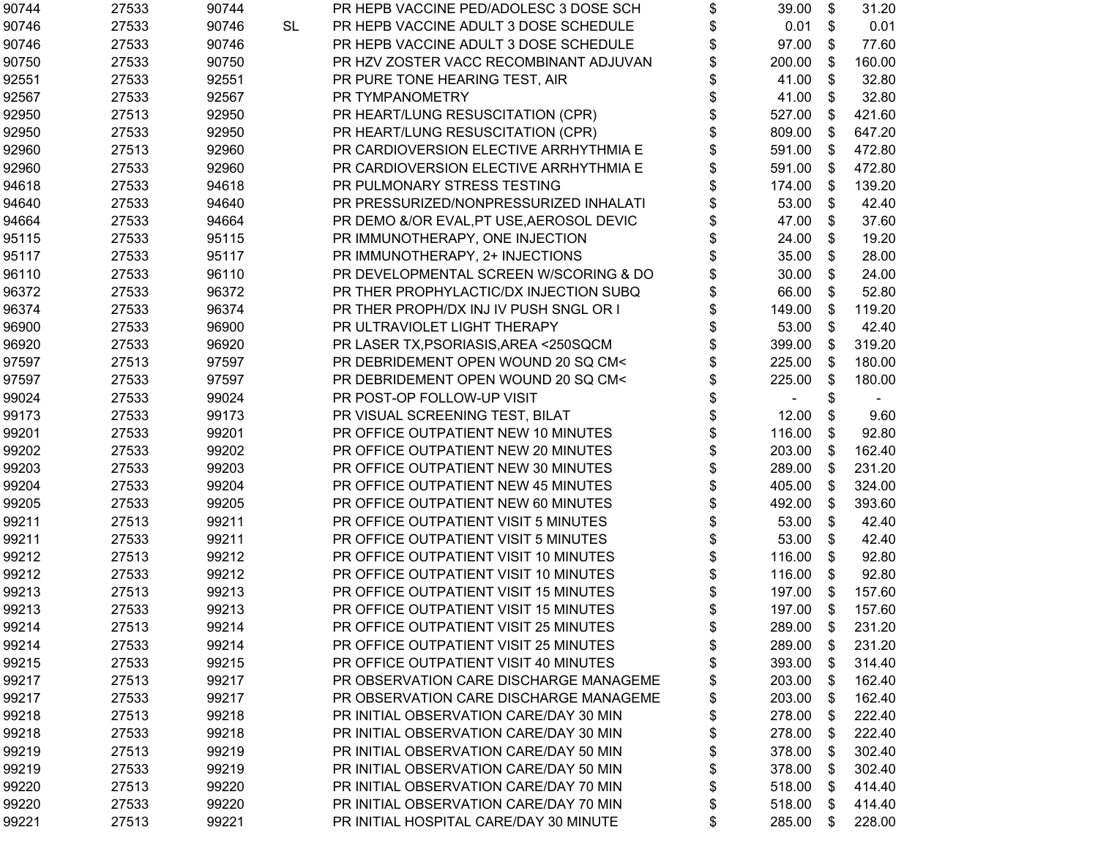| 90744 | 27533 | 90744 |    | PR HEPB VACCINE PED/ADOLESC 3 DOSE SCH   | \$<br>39.00  | \$ | 31.20  |
|-------|-------|-------|----|------------------------------------------|--------------|----|--------|
| 90746 | 27533 | 90746 | SL | PR HEPB VACCINE ADULT 3 DOSE SCHEDULE    | \$<br>0.01   | \$ | 0.01   |
| 90746 | 27533 | 90746 |    | PR HEPB VACCINE ADULT 3 DOSE SCHEDULE    | \$<br>97.00  | \$ | 77.60  |
| 90750 | 27533 | 90750 |    | PR HZV ZOSTER VACC RECOMBINANT ADJUVAN   | \$<br>200.00 | \$ | 160.00 |
| 92551 | 27533 | 92551 |    | PR PURE TONE HEARING TEST, AIR           | 41.00        | \$ | 32.80  |
| 92567 | 27533 | 92567 |    | PR TYMPANOMETRY                          | 41.00        | \$ | 32.80  |
| 92950 | 27513 | 92950 |    | PR HEART/LUNG RESUSCITATION (CPR)        | \$<br>527.00 | \$ | 421.60 |
| 92950 | 27533 | 92950 |    | PR HEART/LUNG RESUSCITATION (CPR)        | \$<br>809.00 | \$ | 647.20 |
| 92960 | 27513 | 92960 |    | PR CARDIOVERSION ELECTIVE ARRHYTHMIA E   | \$<br>591.00 | \$ | 472.80 |
| 92960 | 27533 | 92960 |    | PR CARDIOVERSION ELECTIVE ARRHYTHMIA E   | \$<br>591.00 | \$ | 472.80 |
| 94618 | 27533 | 94618 |    | PR PULMONARY STRESS TESTING              | \$<br>174.00 | \$ | 139.20 |
| 94640 | 27533 | 94640 |    | PR PRESSURIZED/NONPRESSURIZED INHALATI   | \$<br>53.00  | \$ | 42.40  |
| 94664 | 27533 | 94664 |    | PR DEMO &/OR EVAL, PT USE, AEROSOL DEVIC | \$<br>47.00  | \$ | 37.60  |
| 95115 | 27533 | 95115 |    | PR IMMUNOTHERAPY, ONE INJECTION          | 24.00        | \$ | 19.20  |
| 95117 | 27533 | 95117 |    | PR IMMUNOTHERAPY, 2+ INJECTIONS          | \$<br>35.00  | \$ | 28.00  |
| 96110 | 27533 | 96110 |    | PR DEVELOPMENTAL SCREEN W/SCORING & DO   | 30.00        | \$ | 24.00  |
| 96372 | 27533 | 96372 |    | PR THER PROPHYLACTIC/DX INJECTION SUBQ   | \$<br>66.00  | \$ | 52.80  |
| 96374 | 27533 | 96374 |    | PR THER PROPH/DX INJ IV PUSH SNGL OR I   | \$<br>149.00 | \$ | 119.20 |
| 96900 | 27533 | 96900 |    | PR ULTRAVIOLET LIGHT THERAPY             | \$<br>53.00  | \$ | 42.40  |
| 96920 | 27533 | 96920 |    | PR LASER TX, PSORIASIS, AREA <250SQCM    | \$<br>399.00 | \$ | 319.20 |
| 97597 | 27513 | 97597 |    | PR DEBRIDEMENT OPEN WOUND 20 SQ CM<      | \$<br>225.00 | \$ | 180.00 |
| 97597 | 27533 | 97597 |    | PR DEBRIDEMENT OPEN WOUND 20 SQ CM<      | 225.00       | \$ | 180.00 |
| 99024 | 27533 | 99024 |    | PR POST-OP FOLLOW-UP VISIT               | \$           | \$ |        |
| 99173 | 27533 | 99173 |    | PR VISUAL SCREENING TEST, BILAT          | \$<br>12.00  | \$ | 9.60   |
| 99201 | 27533 | 99201 |    | PR OFFICE OUTPATIENT NEW 10 MINUTES      | \$<br>116.00 | \$ | 92.80  |
| 99202 | 27533 | 99202 |    | PR OFFICE OUTPATIENT NEW 20 MINUTES      | \$<br>203.00 | \$ | 162.40 |
| 99203 | 27533 | 99203 |    | PR OFFICE OUTPATIENT NEW 30 MINUTES      | \$<br>289.00 | \$ | 231.20 |
| 99204 | 27533 | 99204 |    | PR OFFICE OUTPATIENT NEW 45 MINUTES      | \$<br>405.00 | \$ | 324.00 |
| 99205 | 27533 | 99205 |    | PR OFFICE OUTPATIENT NEW 60 MINUTES      | \$<br>492.00 | \$ | 393.60 |
| 99211 | 27513 | 99211 |    | PR OFFICE OUTPATIENT VISIT 5 MINUTES     | \$<br>53.00  | \$ | 42.40  |
| 99211 | 27533 | 99211 |    | PR OFFICE OUTPATIENT VISIT 5 MINUTES     | \$<br>53.00  | \$ | 42.40  |
| 99212 | 27513 | 99212 |    | PR OFFICE OUTPATIENT VISIT 10 MINUTES    | \$<br>116.00 | \$ | 92.80  |
| 99212 | 27533 | 99212 |    | PR OFFICE OUTPATIENT VISIT 10 MINUTES    | \$<br>116.00 | \$ | 92.80  |
| 99213 | 27513 | 99213 |    | PR OFFICE OUTPATIENT VISIT 15 MINUTES    | \$<br>197.00 | \$ | 157.60 |
| 99213 | 27533 | 99213 |    | PR OFFICE OUTPATIENT VISIT 15 MINUTES    | \$<br>197.00 | \$ | 157.60 |
| 99214 | 27513 | 99214 |    | PR OFFICE OUTPATIENT VISIT 25 MINUTES    | \$<br>289.00 | \$ | 231.20 |
| 99214 | 27533 | 99214 |    | PR OFFICE OUTPATIENT VISIT 25 MINUTES    | \$<br>289.00 | \$ | 231.20 |
| 99215 | 27533 | 99215 |    | PR OFFICE OUTPATIENT VISIT 40 MINUTES    | \$<br>393.00 | \$ | 314.40 |
| 99217 | 27513 | 99217 |    | PR OBSERVATION CARE DISCHARGE MANAGEME   | \$<br>203.00 | \$ | 162.40 |
| 99217 | 27533 | 99217 |    | PR OBSERVATION CARE DISCHARGE MANAGEME   | \$<br>203.00 | \$ | 162.40 |
| 99218 | 27513 | 99218 |    | PR INITIAL OBSERVATION CARE/DAY 30 MIN   | \$<br>278.00 | \$ | 222.40 |
| 99218 | 27533 | 99218 |    | PR INITIAL OBSERVATION CARE/DAY 30 MIN   | \$<br>278.00 | \$ | 222.40 |
| 99219 | 27513 | 99219 |    | PR INITIAL OBSERVATION CARE/DAY 50 MIN   | \$<br>378.00 | S  | 302.40 |
| 99219 | 27533 | 99219 |    | PR INITIAL OBSERVATION CARE/DAY 50 MIN   | \$<br>378.00 | S  | 302.40 |
| 99220 | 27513 | 99220 |    | PR INITIAL OBSERVATION CARE/DAY 70 MIN   | \$<br>518.00 | S  | 414.40 |
| 99220 | 27533 | 99220 |    | PR INITIAL OBSERVATION CARE/DAY 70 MIN   | \$<br>518.00 | \$ | 414.40 |
| 99221 | 27513 | 99221 |    | PR INITIAL HOSPITAL CARE/DAY 30 MINUTE   | \$<br>285.00 | \$ | 228.00 |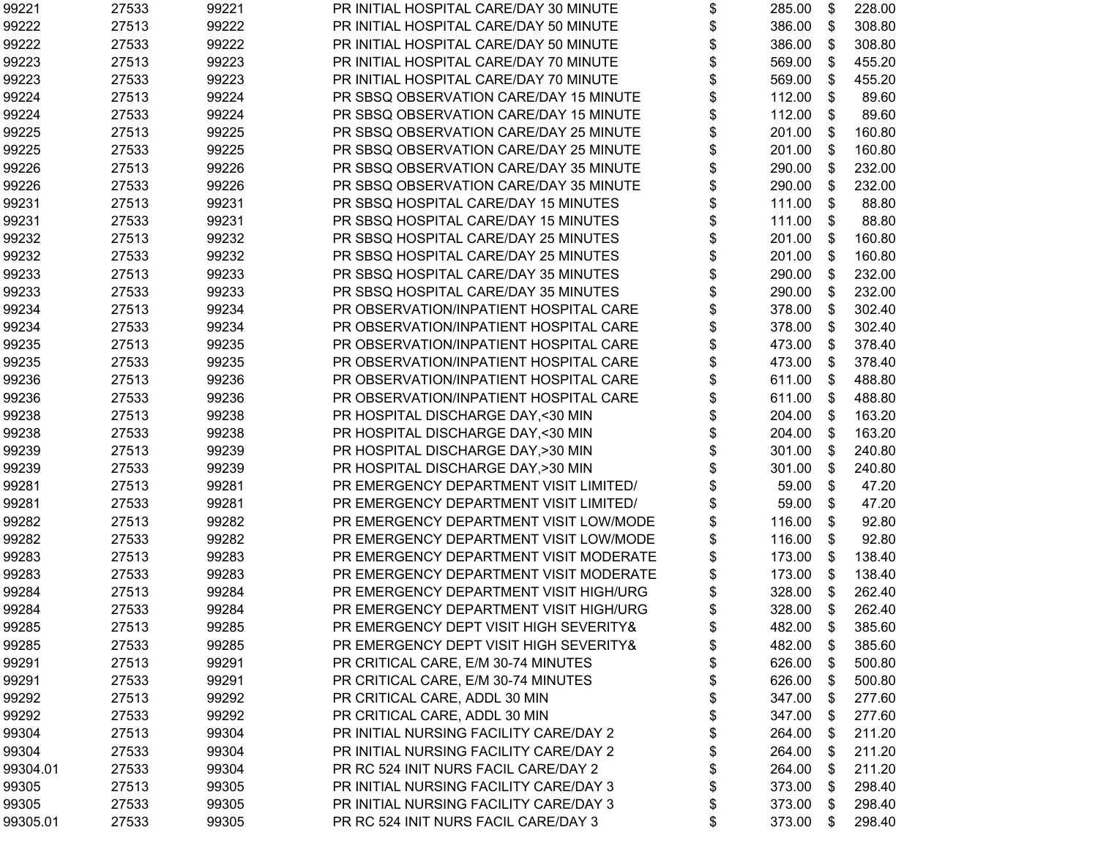| 99221    | 27533 | 99221 | PR INITIAL HOSPITAL CARE/DAY 30 MINUTE | \$<br>285.00 | \$<br>228.00 |
|----------|-------|-------|----------------------------------------|--------------|--------------|
| 99222    | 27513 | 99222 | PR INITIAL HOSPITAL CARE/DAY 50 MINUTE | \$<br>386.00 | \$<br>308.80 |
| 99222    | 27533 | 99222 | PR INITIAL HOSPITAL CARE/DAY 50 MINUTE | \$<br>386.00 | \$<br>308.80 |
| 99223    | 27513 | 99223 | PR INITIAL HOSPITAL CARE/DAY 70 MINUTE | \$<br>569.00 | \$<br>455.20 |
| 99223    | 27533 | 99223 | PR INITIAL HOSPITAL CARE/DAY 70 MINUTE | \$<br>569.00 | \$<br>455.20 |
| 99224    | 27513 | 99224 | PR SBSQ OBSERVATION CARE/DAY 15 MINUTE | \$<br>112.00 | \$<br>89.60  |
| 99224    | 27533 | 99224 | PR SBSQ OBSERVATION CARE/DAY 15 MINUTE | \$<br>112.00 | \$<br>89.60  |
| 99225    | 27513 | 99225 | PR SBSQ OBSERVATION CARE/DAY 25 MINUTE | \$<br>201.00 | \$<br>160.80 |
| 99225    | 27533 | 99225 | PR SBSQ OBSERVATION CARE/DAY 25 MINUTE | \$<br>201.00 | \$<br>160.80 |
| 99226    | 27513 | 99226 | PR SBSQ OBSERVATION CARE/DAY 35 MINUTE | \$<br>290.00 | \$<br>232.00 |
| 99226    | 27533 | 99226 | PR SBSQ OBSERVATION CARE/DAY 35 MINUTE | \$<br>290.00 | \$<br>232.00 |
| 99231    | 27513 | 99231 | PR SBSQ HOSPITAL CARE/DAY 15 MINUTES   | \$<br>111.00 | \$<br>88.80  |
| 99231    | 27533 | 99231 | PR SBSQ HOSPITAL CARE/DAY 15 MINUTES   | \$<br>111.00 | \$<br>88.80  |
| 99232    | 27513 | 99232 | PR SBSQ HOSPITAL CARE/DAY 25 MINUTES   | \$<br>201.00 | \$<br>160.80 |
| 99232    | 27533 | 99232 | PR SBSQ HOSPITAL CARE/DAY 25 MINUTES   | \$<br>201.00 | \$<br>160.80 |
| 99233    | 27513 | 99233 | PR SBSQ HOSPITAL CARE/DAY 35 MINUTES   | \$<br>290.00 | \$<br>232.00 |
| 99233    | 27533 | 99233 | PR SBSQ HOSPITAL CARE/DAY 35 MINUTES   | \$<br>290.00 | \$<br>232.00 |
| 99234    | 27513 | 99234 | PR OBSERVATION/INPATIENT HOSPITAL CARE | \$<br>378.00 | \$<br>302.40 |
| 99234    | 27533 | 99234 | PR OBSERVATION/INPATIENT HOSPITAL CARE | \$<br>378.00 | \$<br>302.40 |
| 99235    | 27513 | 99235 | PR OBSERVATION/INPATIENT HOSPITAL CARE | \$<br>473.00 | \$<br>378.40 |
| 99235    | 27533 | 99235 | PR OBSERVATION/INPATIENT HOSPITAL CARE | \$<br>473.00 | \$<br>378.40 |
| 99236    | 27513 | 99236 | PR OBSERVATION/INPATIENT HOSPITAL CARE | 611.00       | \$<br>488.80 |
| 99236    | 27533 | 99236 | PR OBSERVATION/INPATIENT HOSPITAL CARE | \$<br>611.00 | \$<br>488.80 |
| 99238    | 27513 | 99238 | PR HOSPITAL DISCHARGE DAY, < 30 MIN    | \$<br>204.00 | \$<br>163.20 |
| 99238    | 27533 | 99238 | PR HOSPITAL DISCHARGE DAY, < 30 MIN    | \$<br>204.00 | \$<br>163.20 |
| 99239    | 27513 | 99239 | PR HOSPITAL DISCHARGE DAY, > 30 MIN    | \$<br>301.00 | \$<br>240.80 |
| 99239    | 27533 | 99239 | PR HOSPITAL DISCHARGE DAY, > 30 MIN    | \$<br>301.00 | \$<br>240.80 |
| 99281    | 27513 | 99281 | PR EMERGENCY DEPARTMENT VISIT LIMITED/ | \$<br>59.00  | \$<br>47.20  |
| 99281    | 27533 | 99281 | PR EMERGENCY DEPARTMENT VISIT LIMITED/ | \$<br>59.00  | \$<br>47.20  |
| 99282    | 27513 | 99282 | PR EMERGENCY DEPARTMENT VISIT LOW/MODE | \$<br>116.00 | \$<br>92.80  |
| 99282    | 27533 | 99282 | PR EMERGENCY DEPARTMENT VISIT LOW/MODE | \$<br>116.00 | \$<br>92.80  |
| 99283    | 27513 | 99283 | PR EMERGENCY DEPARTMENT VISIT MODERATE | \$<br>173.00 | \$<br>138.40 |
| 99283    | 27533 | 99283 | PR EMERGENCY DEPARTMENT VISIT MODERATE | \$<br>173.00 | \$<br>138.40 |
| 99284    | 27513 | 99284 | PR EMERGENCY DEPARTMENT VISIT HIGH/URG | \$<br>328.00 | \$<br>262.40 |
| 99284    | 27533 | 99284 | PR EMERGENCY DEPARTMENT VISIT HIGH/URG | \$<br>328.00 | \$<br>262.40 |
| 99285    | 27513 | 99285 | PR EMERGENCY DEPT VISIT HIGH SEVERITY& | \$<br>482.00 | \$<br>385.60 |
| 99285    | 27533 | 99285 | PR EMERGENCY DEPT VISIT HIGH SEVERITY& | \$<br>482.00 | \$<br>385.60 |
| 99291    | 27513 | 99291 | PR CRITICAL CARE, E/M 30-74 MINUTES    | \$<br>626.00 | \$<br>500.80 |
| 99291    | 27533 | 99291 | PR CRITICAL CARE, E/M 30-74 MINUTES    | \$<br>626.00 | \$<br>500.80 |
| 99292    | 27513 | 99292 | PR CRITICAL CARE, ADDL 30 MIN          | \$<br>347.00 | \$<br>277.60 |
| 99292    | 27533 | 99292 | PR CRITICAL CARE, ADDL 30 MIN          | \$<br>347.00 | \$<br>277.60 |
| 99304    | 27513 | 99304 | PR INITIAL NURSING FACILITY CARE/DAY 2 | \$<br>264.00 | \$<br>211.20 |
| 99304    | 27533 | 99304 | PR INITIAL NURSING FACILITY CARE/DAY 2 | \$<br>264.00 | \$<br>211.20 |
| 99304.01 | 27533 | 99304 | PR RC 524 INIT NURS FACIL CARE/DAY 2   | \$<br>264.00 | \$<br>211.20 |
| 99305    | 27513 | 99305 | PR INITIAL NURSING FACILITY CARE/DAY 3 | \$<br>373.00 | \$<br>298.40 |
| 99305    | 27533 | 99305 | PR INITIAL NURSING FACILITY CARE/DAY 3 | \$<br>373.00 | \$<br>298.40 |
| 99305.01 | 27533 | 99305 | PR RC 524 INIT NURS FACIL CARE/DAY 3   | \$<br>373.00 | \$<br>298.40 |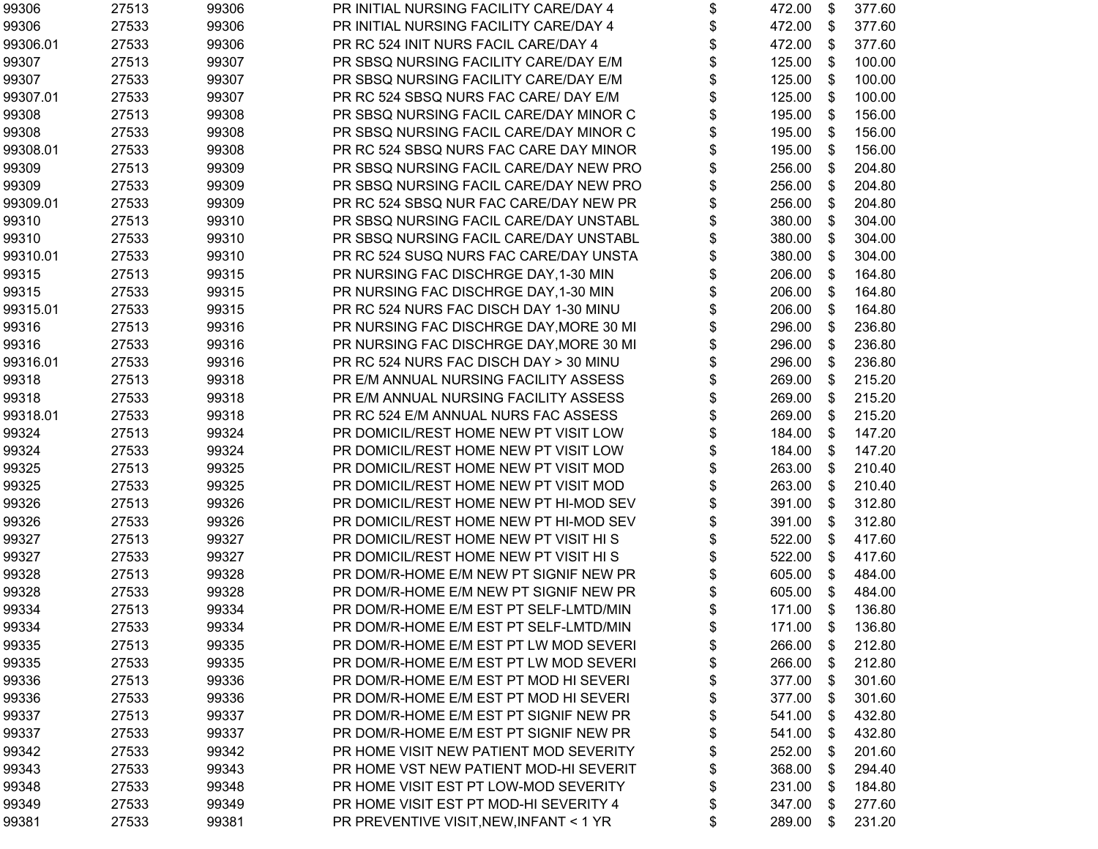| 99306    | 27513 | 99306 | PR INITIAL NURSING FACILITY CARE/DAY 4  | \$<br>472.00 | \$ | 377.60 |
|----------|-------|-------|-----------------------------------------|--------------|----|--------|
| 99306    | 27533 | 99306 | PR INITIAL NURSING FACILITY CARE/DAY 4  | \$<br>472.00 | \$ | 377.60 |
| 99306.01 | 27533 | 99306 | PR RC 524 INIT NURS FACIL CARE/DAY 4    | \$<br>472.00 | \$ | 377.60 |
| 99307    | 27513 | 99307 | PR SBSQ NURSING FACILITY CARE/DAY E/M   | \$<br>125.00 | \$ | 100.00 |
| 99307    | 27533 | 99307 | PR SBSQ NURSING FACILITY CARE/DAY E/M   | \$<br>125.00 | \$ | 100.00 |
| 99307.01 | 27533 | 99307 | PR RC 524 SBSQ NURS FAC CARE/ DAY E/M   | 125.00       | \$ | 100.00 |
| 99308    | 27513 | 99308 | PR SBSQ NURSING FACIL CARE/DAY MINOR C  | \$<br>195.00 | \$ | 156.00 |
| 99308    | 27533 | 99308 | PR SBSQ NURSING FACIL CARE/DAY MINOR C  | \$<br>195.00 | \$ | 156.00 |
| 99308.01 | 27533 | 99308 | PR RC 524 SBSQ NURS FAC CARE DAY MINOR  | \$<br>195.00 | \$ | 156.00 |
| 99309    | 27513 | 99309 | PR SBSQ NURSING FACIL CARE/DAY NEW PRO  | \$<br>256.00 | \$ | 204.80 |
| 99309    | 27533 | 99309 | PR SBSQ NURSING FACIL CARE/DAY NEW PRO  | \$<br>256.00 | \$ | 204.80 |
| 99309.01 | 27533 | 99309 | PR RC 524 SBSQ NUR FAC CARE/DAY NEW PR  | \$<br>256.00 | \$ | 204.80 |
| 99310    | 27513 | 99310 | PR SBSQ NURSING FACIL CARE/DAY UNSTABL  | \$<br>380.00 | \$ | 304.00 |
| 99310    | 27533 | 99310 | PR SBSQ NURSING FACIL CARE/DAY UNSTABL  | \$<br>380.00 | \$ | 304.00 |
| 99310.01 | 27533 | 99310 | PR RC 524 SUSQ NURS FAC CARE/DAY UNSTA  | \$<br>380.00 | \$ | 304.00 |
| 99315    | 27513 | 99315 | PR NURSING FAC DISCHRGE DAY, 1-30 MIN   | \$<br>206.00 | \$ | 164.80 |
| 99315    | 27533 | 99315 | PR NURSING FAC DISCHRGE DAY, 1-30 MIN   | \$<br>206.00 | \$ | 164.80 |
| 99315.01 | 27533 | 99315 | PR RC 524 NURS FAC DISCH DAY 1-30 MINU  | \$<br>206.00 | \$ | 164.80 |
| 99316    | 27513 | 99316 | PR NURSING FAC DISCHRGE DAY, MORE 30 MI | \$<br>296.00 | \$ | 236.80 |
| 99316    | 27533 | 99316 | PR NURSING FAC DISCHRGE DAY, MORE 30 MI | \$<br>296.00 | \$ | 236.80 |
| 99316.01 | 27533 | 99316 | PR RC 524 NURS FAC DISCH DAY > 30 MINU  | \$<br>296.00 | \$ | 236.80 |
| 99318    | 27513 | 99318 | PR E/M ANNUAL NURSING FACILITY ASSESS   | \$<br>269.00 | \$ | 215.20 |
| 99318    | 27533 | 99318 | PR E/M ANNUAL NURSING FACILITY ASSESS   | \$<br>269.00 | \$ | 215.20 |
| 99318.01 | 27533 | 99318 | PR RC 524 E/M ANNUAL NURS FAC ASSESS    | \$<br>269.00 | \$ | 215.20 |
| 99324    | 27513 | 99324 | PR DOMICIL/REST HOME NEW PT VISIT LOW   | \$<br>184.00 | \$ | 147.20 |
| 99324    | 27533 | 99324 | PR DOMICIL/REST HOME NEW PT VISIT LOW   | \$<br>184.00 | \$ | 147.20 |
| 99325    | 27513 | 99325 | PR DOMICIL/REST HOME NEW PT VISIT MOD   | \$<br>263.00 | \$ | 210.40 |
| 99325    | 27533 | 99325 | PR DOMICIL/REST HOME NEW PT VISIT MOD   | \$<br>263.00 | \$ | 210.40 |
| 99326    | 27513 | 99326 | PR DOMICIL/REST HOME NEW PT HI-MOD SEV  | \$<br>391.00 | \$ | 312.80 |
| 99326    | 27533 | 99326 | PR DOMICIL/REST HOME NEW PT HI-MOD SEV  | \$<br>391.00 | \$ | 312.80 |
| 99327    | 27513 | 99327 | PR DOMICIL/REST HOME NEW PT VISIT HIS   | \$<br>522.00 | \$ | 417.60 |
| 99327    | 27533 | 99327 | PR DOMICIL/REST HOME NEW PT VISIT HIS   | \$<br>522.00 | \$ | 417.60 |
| 99328    | 27513 | 99328 | PR DOM/R-HOME E/M NEW PT SIGNIF NEW PR  | \$<br>605.00 | \$ | 484.00 |
| 99328    | 27533 | 99328 | PR DOM/R-HOME E/M NEW PT SIGNIF NEW PR  | \$<br>605.00 | \$ | 484.00 |
| 99334    | 27513 | 99334 | PR DOM/R-HOME E/M EST PT SELF-LMTD/MIN  | \$<br>171.00 | \$ | 136.80 |
| 99334    | 27533 | 99334 | PR DOM/R-HOME E/M EST PT SELF-LMTD/MIN  | \$<br>171.00 | \$ | 136.80 |
| 99335    | 27513 | 99335 | PR DOM/R-HOME E/M EST PT LW MOD SEVERI  | \$<br>266.00 | \$ | 212.80 |
| 99335    | 27533 | 99335 | PR DOM/R-HOME E/M EST PT LW MOD SEVERI  | \$<br>266.00 | \$ | 212.80 |
| 99336    | 27513 | 99336 | PR DOM/R-HOME E/M EST PT MOD HI SEVERI  | \$<br>377.00 | \$ | 301.60 |
| 99336    | 27533 | 99336 | PR DOM/R-HOME E/M EST PT MOD HI SEVERI  | \$<br>377.00 | \$ | 301.60 |
| 99337    | 27513 | 99337 | PR DOM/R-HOME E/M EST PT SIGNIF NEW PR  | \$<br>541.00 | \$ | 432.80 |
| 99337    | 27533 | 99337 | PR DOM/R-HOME E/M EST PT SIGNIF NEW PR  | \$<br>541.00 | \$ | 432.80 |
| 99342    | 27533 | 99342 | PR HOME VISIT NEW PATIENT MOD SEVERITY  | \$<br>252.00 | S  | 201.60 |
| 99343    | 27533 | 99343 | PR HOME VST NEW PATIENT MOD-HI SEVERIT  | \$<br>368.00 | S  | 294.40 |
| 99348    | 27533 | 99348 | PR HOME VISIT EST PT LOW-MOD SEVERITY   | \$<br>231.00 | S  | 184.80 |
| 99349    | 27533 | 99349 | PR HOME VISIT EST PT MOD-HI SEVERITY 4  | 347.00       | \$ | 277.60 |
| 99381    | 27533 | 99381 | PR PREVENTIVE VISIT, NEW, INFANT < 1 YR | \$<br>289.00 | \$ | 231.20 |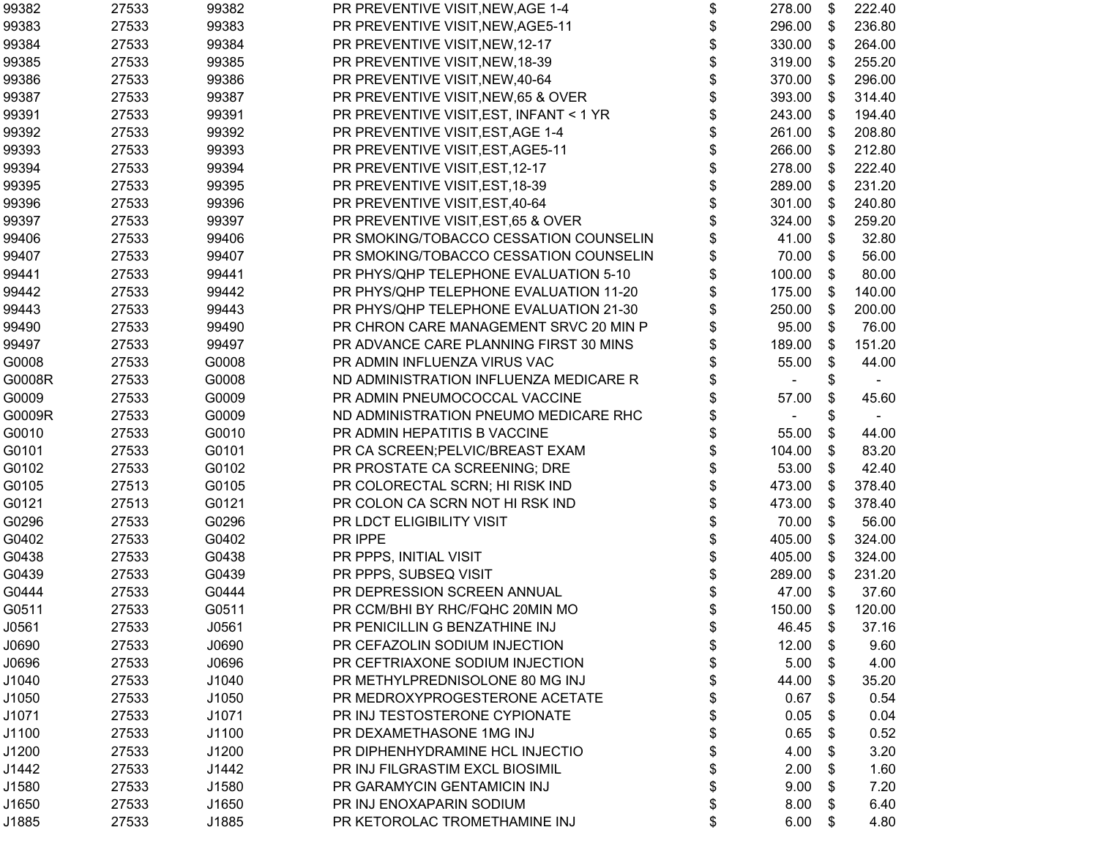| 99382  | 27533 | 99382 | PR PREVENTIVE VISIT, NEW, AGE 1-4       | \$ | 278.00 | \$             | 222.40 |
|--------|-------|-------|-----------------------------------------|----|--------|----------------|--------|
| 99383  | 27533 | 99383 | PR PREVENTIVE VISIT, NEW, AGE5-11       | \$ | 296.00 | \$             | 236.80 |
| 99384  | 27533 | 99384 | PR PREVENTIVE VISIT, NEW, 12-17         | \$ | 330.00 | \$             | 264.00 |
| 99385  | 27533 | 99385 | PR PREVENTIVE VISIT, NEW, 18-39         | \$ | 319.00 | \$             | 255.20 |
| 99386  | 27533 | 99386 | PR PREVENTIVE VISIT, NEW, 40-64         | \$ | 370.00 | \$             | 296.00 |
| 99387  | 27533 | 99387 | PR PREVENTIVE VISIT, NEW, 65 & OVER     | \$ | 393.00 | \$             | 314.40 |
| 99391  | 27533 | 99391 | PR PREVENTIVE VISIT, EST, INFANT < 1 YR |    | 243.00 | \$             | 194.40 |
| 99392  | 27533 | 99392 | PR PREVENTIVE VISIT, EST, AGE 1-4       | \$ | 261.00 | $\mathfrak{S}$ | 208.80 |
| 99393  | 27533 | 99393 | PR PREVENTIVE VISIT, EST, AGE5-11       | \$ | 266.00 | \$             | 212.80 |
| 99394  | 27533 | 99394 | PR PREVENTIVE VISIT, EST, 12-17         | \$ | 278.00 | \$             | 222.40 |
| 99395  | 27533 | 99395 | PR PREVENTIVE VISIT, EST, 18-39         | \$ | 289.00 | \$             | 231.20 |
| 99396  | 27533 | 99396 | PR PREVENTIVE VISIT, EST, 40-64         | \$ | 301.00 | \$             | 240.80 |
| 99397  | 27533 | 99397 | PR PREVENTIVE VISIT, EST, 65 & OVER     | \$ | 324.00 | \$             | 259.20 |
| 99406  | 27533 | 99406 | PR SMOKING/TOBACCO CESSATION COUNSELIN  | \$ | 41.00  | \$             | 32.80  |
| 99407  | 27533 | 99407 | PR SMOKING/TOBACCO CESSATION COUNSELIN  | \$ | 70.00  | \$             | 56.00  |
| 99441  | 27533 | 99441 | PR PHYS/QHP TELEPHONE EVALUATION 5-10   | \$ | 100.00 | \$             | 80.00  |
| 99442  | 27533 | 99442 | PR PHYS/QHP TELEPHONE EVALUATION 11-20  | \$ | 175.00 | \$             | 140.00 |
| 99443  | 27533 | 99443 | PR PHYS/QHP TELEPHONE EVALUATION 21-30  | \$ | 250.00 | \$             | 200.00 |
| 99490  | 27533 | 99490 | PR CHRON CARE MANAGEMENT SRVC 20 MIN P  | \$ | 95.00  | \$             | 76.00  |
| 99497  | 27533 | 99497 | PR ADVANCE CARE PLANNING FIRST 30 MINS  | \$ | 189.00 | \$             | 151.20 |
| G0008  | 27533 | G0008 | PR ADMIN INFLUENZA VIRUS VAC            | \$ | 55.00  | \$             | 44.00  |
| G0008R | 27533 | G0008 | ND ADMINISTRATION INFLUENZA MEDICARE R  |    |        | \$             |        |
| G0009  | 27533 | G0009 | PR ADMIN PNEUMOCOCCAL VACCINE           |    | 57.00  | \$             | 45.60  |
| G0009R | 27533 | G0009 | ND ADMINISTRATION PNEUMO MEDICARE RHC   |    |        | \$             |        |
| G0010  | 27533 | G0010 | PR ADMIN HEPATITIS B VACCINE            |    | 55.00  | \$             | 44.00  |
| G0101  | 27533 | G0101 | PR CA SCREEN; PELVIC/BREAST EXAM        | \$ | 104.00 | \$             | 83.20  |
| G0102  | 27533 | G0102 | PR PROSTATE CA SCREENING; DRE           | \$ | 53.00  | \$             | 42.40  |
| G0105  | 27513 | G0105 | PR COLORECTAL SCRN; HI RISK IND         | \$ | 473.00 | \$             | 378.40 |
| G0121  | 27513 | G0121 | PR COLON CA SCRN NOT HI RSK IND         | \$ | 473.00 | \$             | 378.40 |
| G0296  | 27533 | G0296 | PR LDCT ELIGIBILITY VISIT               |    | 70.00  | \$             | 56.00  |
| G0402  | 27533 | G0402 | PR IPPE                                 |    | 405.00 | \$             | 324.00 |
| G0438  | 27533 | G0438 | PR PPPS, INITIAL VISIT                  | \$ | 405.00 | \$             | 324.00 |
| G0439  | 27533 | G0439 | PR PPPS, SUBSEQ VISIT                   | \$ | 289.00 | \$             | 231.20 |
| G0444  | 27533 | G0444 | PR DEPRESSION SCREEN ANNUAL             | \$ | 47.00  | \$             | 37.60  |
| G0511  | 27533 | G0511 | PR CCM/BHI BY RHC/FQHC 20MIN MO         | \$ | 150.00 | \$             | 120.00 |
| J0561  | 27533 | J0561 | PR PENICILLIN G BENZATHINE INJ          | Φ  | 46.45  | \$             | 37.16  |
| J0690  | 27533 | J0690 | PR CEFAZOLIN SODIUM INJECTION           | \$ | 12.00  | \$             | 9.60   |
| J0696  | 27533 | J0696 | PR CEFTRIAXONE SODIUM INJECTION         |    | 5.00   | \$             | 4.00   |
| J1040  | 27533 | J1040 | PR METHYLPREDNISOLONE 80 MG INJ         |    | 44.00  | \$             | 35.20  |
| J1050  | 27533 | J1050 | PR MEDROXYPROGESTERONE ACETATE          |    | 0.67   | \$             | 0.54   |
| J1071  | 27533 | J1071 | PR INJ TESTOSTERONE CYPIONATE           |    | 0.05   | \$             | 0.04   |
| J1100  | 27533 | J1100 | PR DEXAMETHASONE 1MG INJ                |    | 0.65   | \$             | 0.52   |
| J1200  | 27533 | J1200 | PR DIPHENHYDRAMINE HCL INJECTIO         |    | 4.00   | \$             | 3.20   |
| J1442  | 27533 | J1442 | PR INJ FILGRASTIM EXCL BIOSIMIL         |    | 2.00   | \$             | 1.60   |
| J1580  | 27533 | J1580 | PR GARAMYCIN GENTAMICIN INJ             |    | 9.00   | \$             | 7.20   |
| J1650  | 27533 | J1650 | PR INJ ENOXAPARIN SODIUM                |    | 8.00   | S              | 6.40   |
| J1885  | 27533 | J1885 | PR KETOROLAC TROMETHAMINE INJ           | \$ | 6.00   | \$             | 4.80   |